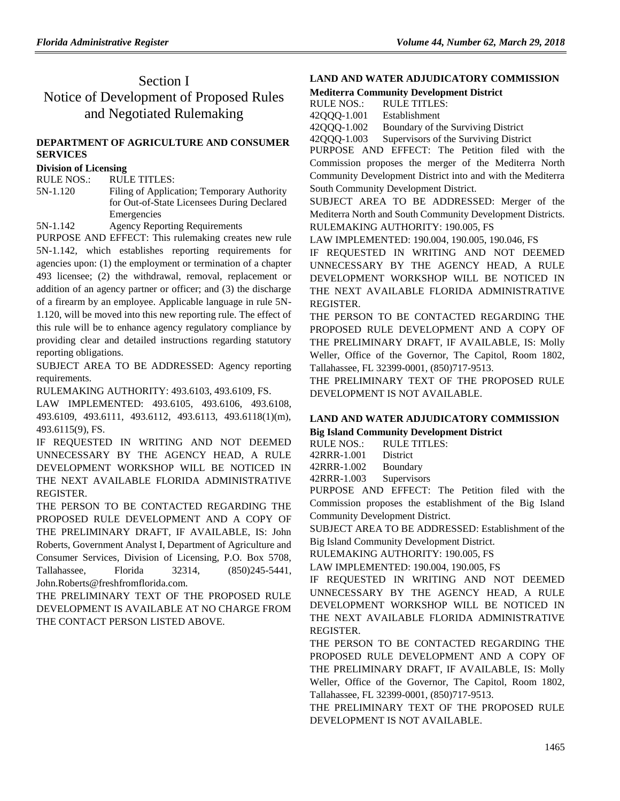# Section I Notice of Development of Proposed Rules and Negotiated Rulemaking

## **[DEPARTMENT OF AGRICULTURE](https://www.flrules.org/gateway/department.asp?id=5) AND CONSUMER [SERVICES](https://www.flrules.org/gateway/department.asp?id=5)**

#### **[Division of Licensing](https://www.flrules.org/gateway/organization.asp?id=756)**

RULE NOS.: RULE TITLES:

[5N-1.120](https://www.flrules.org/gateway/ruleNo.asp?id=5N-1.120) Filing of Application; Temporary Authority for Out-of-State Licensees During Declared Emergencies

[5N-1.142](https://www.flrules.org/gateway/ruleNo.asp?id=5N-1.142) Agency Reporting Requirements

PURPOSE AND EFFECT: This rulemaking creates new rule 5N-1.142, which establishes reporting requirements for agencies upon: (1) the employment or termination of a chapter 493 licensee; (2) the withdrawal, removal, replacement or addition of an agency partner or officer; and (3) the discharge of a firearm by an employee. Applicable language in rule 5N-1.120, will be moved into this new reporting rule. The effect of this rule will be to enhance agency regulatory compliance by providing clear and detailed instructions regarding statutory reporting obligations.

SUBJECT AREA TO BE ADDRESSED: Agency reporting requirements.

RULEMAKING AUTHORITY: [493.6103, 493.6109, FS.](https://www.flrules.org/gateway/cfr.asp?id=493.6103,%20493.6109,%20FS)

LAW IMPLEMENTED: [493.6105, 493.6106, 493.6108,](https://www.flrules.org/gateway/cfr.asp?id=493.6105,%20493.6106,%20493.6108,%20493.6109,%20493.6111,%20493.6112,%20493.6113,%20493.6118(1)(m),%20493.6115(9),%20FS)  [493.6109, 493.6111, 493.6112, 493.6113, 493.6118\(1\)\(m\),](https://www.flrules.org/gateway/cfr.asp?id=493.6105,%20493.6106,%20493.6108,%20493.6109,%20493.6111,%20493.6112,%20493.6113,%20493.6118(1)(m),%20493.6115(9),%20FS)  [493.6115\(9\), FS.](https://www.flrules.org/gateway/cfr.asp?id=493.6105,%20493.6106,%20493.6108,%20493.6109,%20493.6111,%20493.6112,%20493.6113,%20493.6118(1)(m),%20493.6115(9),%20FS)

IF REQUESTED IN WRITING AND NOT DEEMED UNNECESSARY BY THE AGENCY HEAD, A RULE DEVELOPMENT WORKSHOP WILL BE NOTICED IN THE NEXT AVAILABLE FLORIDA ADMINISTRATIVE REGISTER.

THE PERSON TO BE CONTACTED REGARDING THE PROPOSED RULE DEVELOPMENT AND A COPY OF THE PRELIMINARY DRAFT, IF AVAILABLE, IS: John Roberts, Government Analyst I, Department of Agriculture and Consumer Services, Division of Licensing, P.O. Box 5708, Tallahassee, Florida 32314, (850)245-5441, John.Roberts@freshfromflorida.com.

THE PRELIMINARY TEXT OF THE PROPOSED RULE DEVELOPMENT IS AVAILABLE AT NO CHARGE FROM THE CONTACT PERSON LISTED ABOVE.

### **[LAND AND WATER ADJUDICATORY COMMISSION](https://www.flrules.org/gateway/department.asp?id=42)**

**[Mediterra Community Development District](https://www.flrules.org/gateway/organization.asp?id=1306)**

|            | $\ldots$                          |
|------------|-----------------------------------|
| RULE NOS.: | <b>RULE TITLES:</b>               |
| നവരെ 1 സ്ഥ | $\Gamma$ <sub>atab</sub> lichmont |

[42QQQ-1.001](https://www.flrules.org/gateway/ruleNo.asp?id=42QQQ-1.001) Establishment

[42QQQ-1.002](https://www.flrules.org/gateway/ruleNo.asp?id=42QQQ-1.002) Boundary of the Surviving District [42QQQ-1.003](https://www.flrules.org/gateway/ruleNo.asp?id=42QQQ-1.003) Supervisors of the Surviving District

PURPOSE AND EFFECT: The Petition filed with the Commission proposes the merger of the Mediterra North Community Development District into and with the Mediterra South Community Development District.

SUBJECT AREA TO BE ADDRESSED: Merger of the Mediterra North and South Community Development Districts. RULEMAKING AUTHORITY: [190.005, FS](https://www.flrules.org/gateway/cfr.asp?id=190.005,%20FS)

LAW IMPLEMENTED: [190.004, 190.005, 190.046, FS](https://www.flrules.org/gateway/cfr.asp?id=190.004,%20190.005,%20190.046,%20FS)

IF REQUESTED IN WRITING AND NOT DEEMED UNNECESSARY BY THE AGENCY HEAD, A RULE DEVELOPMENT WORKSHOP WILL BE NOTICED IN THE NEXT AVAILABLE FLORIDA ADMINISTRATIVE REGISTER.

THE PERSON TO BE CONTACTED REGARDING THE PROPOSED RULE DEVELOPMENT AND A COPY OF THE PRELIMINARY DRAFT, IF AVAILABLE, IS: Molly Weller, Office of the Governor, The Capitol, Room 1802, Tallahassee, FL 32399-0001, (850)717-9513.

THE PRELIMINARY TEXT OF THE PROPOSED RULE DEVELOPMENT IS NOT AVAILABLE.

## **[LAND AND WATER ADJUDICATORY COMMISSION](https://www.flrules.org/gateway/department.asp?id=42)**

**[Big Island Community Development District](https://www.flrules.org/gateway/organization.asp?id=1307)**

RULE NOS.: RULE TITLES: [42RRR-1.001](https://www.flrules.org/gateway/ruleNo.asp?id=42RRR-1.001) District

[42RRR-1.002](https://www.flrules.org/gateway/ruleNo.asp?id=42RRR-1.002) Boundary

[42RRR-1.003](https://www.flrules.org/gateway/ruleNo.asp?id=42RRR-1.003) Supervisors

PURPOSE AND EFFECT: The Petition filed with the Commission proposes the establishment of the Big Island Community Development District.

SUBJECT AREA TO BE ADDRESSED: Establishment of the Big Island Community Development District.

RULEMAKING AUTHORITY: [190.005, FS](https://www.flrules.org/gateway/cfr.asp?id=190.005,%20FS)

LAW IMPLEMENTED: [190.004, 190.005, FS](https://www.flrules.org/gateway/cfr.asp?id=190.004,%20190.005,%20FS)

IF REQUESTED IN WRITING AND NOT DEEMED UNNECESSARY BY THE AGENCY HEAD, A RULE DEVELOPMENT WORKSHOP WILL BE NOTICED IN THE NEXT AVAILABLE FLORIDA ADMINISTRATIVE REGISTER.

THE PERSON TO BE CONTACTED REGARDING THE PROPOSED RULE DEVELOPMENT AND A COPY OF THE PRELIMINARY DRAFT, IF AVAILABLE, IS: Molly Weller, Office of the Governor, The Capitol, Room 1802, Tallahassee, FL 32399-0001, (850)717-9513.

THE PRELIMINARY TEXT OF THE PROPOSED RULE DEVELOPMENT IS NOT AVAILABLE.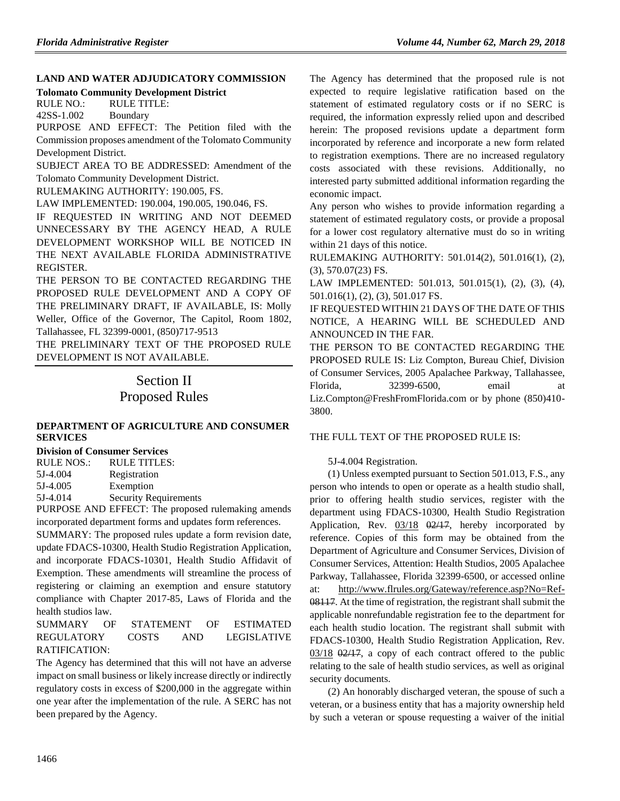# **[LAND AND WATER ADJUDICATORY COMMISSION](https://www.flrules.org/gateway/department.asp?id=42)**

**[Tolomato Community Development District](https://www.flrules.org/gateway/organization.asp?id=493)**

RULE NO.: RULE TITLE: [42SS-1.002](https://www.flrules.org/gateway/ruleNo.asp?id=42SS-1.002) Boundary

PURPOSE AND EFFECT: The Petition filed with the Commission proposes amendment of the Tolomato Community Development District.

SUBJECT AREA TO BE ADDRESSED: Amendment of the Tolomato Community Development District.

RULEMAKING AUTHORITY: [190.005, FS.](https://www.flrules.org/gateway/cfr.asp?id=190.005,%20FS)

LAW IMPLEMENTED: [190.004, 190.005, 190.046, FS.](https://www.flrules.org/gateway/cfr.asp?id=190.004,%20190.005,%20190.046,%20FS)

IF REQUESTED IN WRITING AND NOT DEEMED UNNECESSARY BY THE AGENCY HEAD, A RULE DEVELOPMENT WORKSHOP WILL BE NOTICED IN THE NEXT AVAILABLE FLORIDA ADMINISTRATIVE REGISTER.

THE PERSON TO BE CONTACTED REGARDING THE PROPOSED RULE DEVELOPMENT AND A COPY OF THE PRELIMINARY DRAFT, IF AVAILABLE, IS: Molly Weller, Office of the Governor, The Capitol, Room 1802, Tallahassee, FL 32399-0001, (850)717-9513

THE PRELIMINARY TEXT OF THE PROPOSED RULE DEVELOPMENT IS NOT AVAILABLE.

# Section II Proposed Rules

## **[DEPARTMENT OF AGRICULTURE AND CONSUMER](https://www.flrules.org/gateway/department.asp?id=5)  [SERVICES](https://www.flrules.org/gateway/department.asp?id=5)**

**[Division of Consumer Services](https://www.flrules.org/gateway/organization.asp?id=170)**

| RULE NOS.: | RULE TITLES:                 |
|------------|------------------------------|
| 5J-4.004   | Registration                 |
| 5J-4.005   | Exemption                    |
| 5J-4.014   | <b>Security Requirements</b> |

PURPOSE AND EFFECT: The proposed rulemaking amends incorporated department forms and updates form references.

SUMMARY: The proposed rules update a form revision date, update FDACS-10300, Health Studio Registration Application, and incorporate FDACS-10301, Health Studio Affidavit of Exemption. These amendments will streamline the process of registering or claiming an exemption and ensure statutory compliance with Chapter 2017-85, Laws of Florida and the health studios law.

### SUMMARY OF STATEMENT OF ESTIMATED REGULATORY COSTS AND LEGISLATIVE RATIFICATION:

The Agency has determined that this will not have an adverse impact on small business or likely increase directly or indirectly regulatory costs in excess of \$200,000 in the aggregate within one year after the implementation of the rule. A SERC has not been prepared by the Agency.

The Agency has determined that the proposed rule is not expected to require legislative ratification based on the statement of estimated regulatory costs or if no SERC is required, the information expressly relied upon and described herein: The proposed revisions update a department form incorporated by reference and incorporate a new form related to registration exemptions. There are no increased regulatory costs associated with these revisions. Additionally, no interested party submitted additional information regarding the economic impact.

Any person who wishes to provide information regarding a statement of estimated regulatory costs, or provide a proposal for a lower cost regulatory alternative must do so in writing within 21 days of this notice.

RULEMAKING AUTHORITY: [501.014\(2\), 501.016\(1\), \(2\),](https://www.flrules.org/gateway/cfr.asp?id=501.014(2),%20501.016(1),%20(2),%20(3),%20570.07(23)%20FS)  [\(3\), 570.07\(23\) FS.](https://www.flrules.org/gateway/cfr.asp?id=501.014(2),%20501.016(1),%20(2),%20(3),%20570.07(23)%20FS)

LAW IMPLEMENTED: [501.013, 501.015\(1\), \(2\), \(3\), \(4\),](https://www.flrules.org/gateway/cfr.asp?id=501.013,%20501.015(1),%20(2),%20(3),%20(4),%20501.016(1),%20(2),%20(3),%20501.017%20FS)  [501.016\(1\), \(2\), \(3\), 501.017 FS.](https://www.flrules.org/gateway/cfr.asp?id=501.013,%20501.015(1),%20(2),%20(3),%20(4),%20501.016(1),%20(2),%20(3),%20501.017%20FS)

IF REQUESTED WITHIN 21 DAYS OF THE DATE OF THIS NOTICE, A HEARING WILL BE SCHEDULED AND ANNOUNCED IN THE FAR.

THE PERSON TO BE CONTACTED REGARDING THE PROPOSED RULE IS: Liz Compton, Bureau Chief, Division of Consumer Services, 2005 Apalachee Parkway, Tallahassee, Florida, 32399-6500, email at Liz.Compton@FreshFromFlorida.com or by phone (850)410- 3800.

## THE FULL TEXT OF THE PROPOSED RULE IS:

## 5J-4.004 Registration.

(1) Unless exempted pursuant to Section 501.013, F.S., any person who intends to open or operate as a health studio shall, prior to offering health studio services, register with the department using FDACS-10300, Health Studio Registration Application, Rev. 03/18 02/17, hereby incorporated by reference. Copies of this form may be obtained from the Department of Agriculture and Consumer Services, Division of Consumer Services, Attention: Health Studios, 2005 Apalachee Parkway, Tallahassee, Florida 32399-6500, or accessed online at: http://www.flrules.org/Gateway/reference.asp?No=Ref-08117. At the time of registration, the registrant shall submit the applicable nonrefundable registration fee to the department for each health studio location. The registrant shall submit with FDACS-10300, Health Studio Registration Application, Rev.  $03/18$   $\Theta$ 2/17, a copy of each contract offered to the public relating to the sale of health studio services, as well as original security documents.

(2) An honorably discharged veteran, the spouse of such a veteran, or a business entity that has a majority ownership held by such a veteran or spouse requesting a waiver of the initial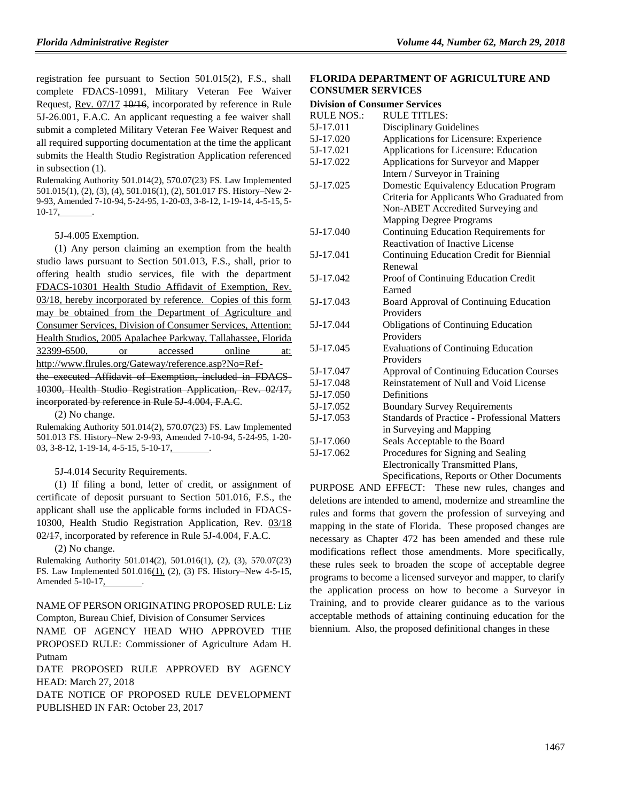registration fee pursuant to Section 501.015(2), F.S., shall complete FDACS-10991, Military Veteran Fee Waiver Request, Rev. 07/17 10/16, incorporated by reference in Rule 5J-26.001, F.A.C. An applicant requesting a fee waiver shall submit a completed Military Veteran Fee Waiver Request and all required supporting documentation at the time the applicant submits the Health Studio Registration Application referenced in subsection (1).

Rulemaking Authority 501.014(2), 570.07(23) FS. Law Implemented 501.015(1), (2), (3), (4), 501.016(1), (2), 501.017 FS. History–New 2- 9-93, Amended 7-10-94, 5-24-95, 1-20-03, 3-8-12, 1-19-14, 4-5-15, 5-  $10-17$ ,

5J-4.005 Exemption.

(1) Any person claiming an exemption from the health studio laws pursuant to Section 501.013, F.S., shall, prior to offering health studio services, file with the department FDACS-10301 Health Studio Affidavit of Exemption, Rev. 03/18, hereby incorporated by reference. Copies of this form may be obtained from the Department of Agriculture and Consumer Services, Division of Consumer Services, Attention: Health Studios, 2005 Apalachee Parkway, Tallahassee, Florida 32399-6500, or accessed online at: http://www.flrules.org/Gateway/reference.asp?No=Ref-

the executed Affidavit of Exemption, included in FDACS-10300, Health Studio Registration Application, Rev. 02/17, incorporated by reference in Rule 5J 4.004, F.A.C.

(2) No change.

Rulemaking Authority 501.014(2), 570.07(23) FS. Law Implemented 501.013 FS. History–New 2-9-93, Amended 7-10-94, 5-24-95, 1-20- 03, 3-8-12, 1-19-14, 4-5-15, 5-10-17,

5J-4.014 Security Requirements.

(1) If filing a bond, letter of credit, or assignment of certificate of deposit pursuant to Section 501.016, F.S., the applicant shall use the applicable forms included in FDACS-10300, Health Studio Registration Application, Rev. 03/18 02/17, incorporated by reference in Rule 5J-4.004, F.A.C.

(2) No change.

Rulemaking Authority 501.014(2), 501.016(1), (2), (3), 570.07(23) FS. Law Implemented 501.016(1), (2), (3) FS. History–New 4-5-15, Amended 5-10-17, .

NAME OF PERSON ORIGINATING PROPOSED RULE: Liz Compton, Bureau Chief, Division of Consumer Services

NAME OF AGENCY HEAD WHO APPROVED THE PROPOSED RULE: Commissioner of Agriculture Adam H. Putnam

DATE PROPOSED RULE APPROVED BY AGENCY HEAD: March 27, 2018

DATE NOTICE OF PROPOSED RULE DEVELOPMENT PUBLISHED IN FAR: October 23, 2017

### **FLORIDA DEPARTMENT OF AGRICULTURE AND CONSUMER SERVICES**

#### **Division of Consumer Services**

| <b>RULE TITLES:</b>                                 |
|-----------------------------------------------------|
| <b>Disciplinary Guidelines</b>                      |
| Applications for Licensure: Experience              |
| Applications for Licensure: Education               |
| Applications for Surveyor and Mapper                |
| Intern / Surveyor in Training                       |
| Domestic Equivalency Education Program              |
| Criteria for Applicants Who Graduated from          |
| Non-ABET Accredited Surveying and                   |
| <b>Mapping Degree Programs</b>                      |
| Continuing Education Requirements for               |
| <b>Reactivation of Inactive License</b>             |
| Continuing Education Credit for Biennial            |
| Renewal                                             |
| Proof of Continuing Education Credit                |
| Earned                                              |
| Board Approval of Continuing Education              |
| Providers                                           |
| <b>Obligations of Continuing Education</b>          |
| Providers                                           |
| <b>Evaluations of Continuing Education</b>          |
| Providers                                           |
| <b>Approval of Continuing Education Courses</b>     |
| Reinstatement of Null and Void License              |
| Definitions                                         |
| <b>Boundary Survey Requirements</b>                 |
| <b>Standards of Practice - Professional Matters</b> |
| in Surveying and Mapping                            |
| Seals Acceptable to the Board                       |
| Procedures for Signing and Sealing                  |
| <b>Electronically Transmitted Plans,</b>            |
| Specifications, Reports or Other Documents          |
|                                                     |

PURPOSE AND EFFECT: These new rules, changes and deletions are intended to amend, modernize and streamline the rules and forms that govern the profession of surveying and mapping in the state of Florida. These proposed changes are necessary as Chapter 472 has been amended and these rule modifications reflect those amendments. More specifically, these rules seek to broaden the scope of acceptable degree programs to become a licensed surveyor and mapper, to clarify the application process on how to become a Surveyor in Training, and to provide clearer guidance as to the various acceptable methods of attaining continuing education for the biennium. Also, the proposed definitional changes in these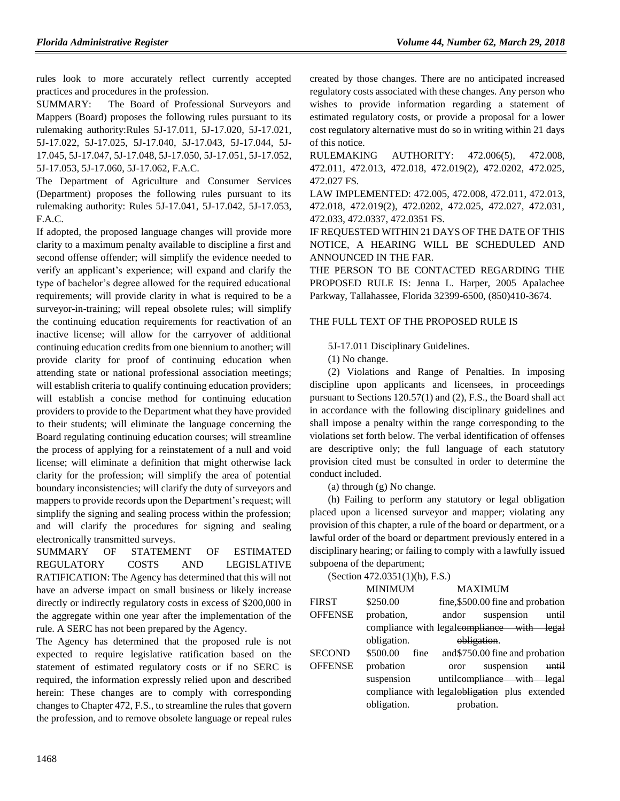rules look to more accurately reflect currently accepted practices and procedures in the profession.

SUMMARY: The Board of Professional Surveyors and Mappers (Board) proposes the following rules pursuant to its rulemaking authority:Rules 5J-17.011, 5J-17.020, 5J-17.021, 5J-17.022, 5J-17.025, 5J-17.040, 5J-17.043, 5J-17.044, 5J-17.045, 5J-17.047, 5J-17.048, 5J-17.050, 5J-17.051, 5J-17.052, 5J-17.053, 5J-17.060, 5J-17.062, F.A.C.

The Department of Agriculture and Consumer Services (Department) proposes the following rules pursuant to its rulemaking authority: Rules 5J-17.041, 5J-17.042, 5J-17.053, F.A.C.

If adopted, the proposed language changes will provide more clarity to a maximum penalty available to discipline a first and second offense offender; will simplify the evidence needed to verify an applicant's experience; will expand and clarify the type of bachelor's degree allowed for the required educational requirements; will provide clarity in what is required to be a surveyor-in-training; will repeal obsolete rules; will simplify the continuing education requirements for reactivation of an inactive license; will allow for the carryover of additional continuing education credits from one biennium to another; will provide clarity for proof of continuing education when attending state or national professional association meetings; will establish criteria to qualify continuing education providers; will establish a concise method for continuing education providers to provide to the Department what they have provided to their students; will eliminate the language concerning the Board regulating continuing education courses; will streamline the process of applying for a reinstatement of a null and void license; will eliminate a definition that might otherwise lack clarity for the profession; will simplify the area of potential boundary inconsistencies; will clarify the duty of surveyors and mappers to provide records upon the Department's request; will simplify the signing and sealing process within the profession; and will clarify the procedures for signing and sealing electronically transmitted surveys.

SUMMARY OF STATEMENT OF ESTIMATED REGULATORY COSTS AND LEGISLATIVE RATIFICATION: The Agency has determined that this will not have an adverse impact on small business or likely increase directly or indirectly regulatory costs in excess of \$200,000 in the aggregate within one year after the implementation of the rule. A SERC has not been prepared by the Agency.

The Agency has determined that the proposed rule is not expected to require legislative ratification based on the statement of estimated regulatory costs or if no SERC is required, the information expressly relied upon and described herein: These changes are to comply with corresponding changes to Chapter 472, F.S., to streamline the rules that govern the profession, and to remove obsolete language or repeal rules

created by those changes. There are no anticipated increased regulatory costs associated with these changes. Any person who wishes to provide information regarding a statement of estimated regulatory costs, or provide a proposal for a lower cost regulatory alternative must do so in writing within 21 days of this notice.

RULEMAKING AUTHORITY: 472.006(5), 472.008, 472.011, 472.013, 472.018, 472.019(2), 472.0202, 472.025, 472.027 FS.

LAW IMPLEMENTED: 472.005, 472.008, 472.011, 472.013, 472.018, 472.019(2), 472.0202, 472.025, 472.027, 472.031, 472.033, 472.0337, 472.0351 FS.

IF REQUESTED WITHIN 21 DAYS OF THE DATE OF THIS NOTICE, A HEARING WILL BE SCHEDULED AND ANNOUNCED IN THE FAR.

THE PERSON TO BE CONTACTED REGARDING THE PROPOSED RULE IS: Jenna L. Harper, 2005 Apalachee Parkway, Tallahassee, Florida 32399-6500, (850)410-3674.

## THE FULL TEXT OF THE PROPOSED RULE IS

5J-17.011 Disciplinary Guidelines.

(1) No change.

(2) Violations and Range of Penalties. In imposing discipline upon applicants and licensees, in proceedings pursuant to Sections 120.57(1) and (2), F.S., the Board shall act in accordance with the following disciplinary guidelines and shall impose a penalty within the range corresponding to the violations set forth below. The verbal identification of offenses are descriptive only; the full language of each statutory provision cited must be consulted in order to determine the conduct included.

(a) through (g) No change.

(h) Failing to perform any statutory or legal obligation placed upon a licensed surveyor and mapper; violating any provision of this chapter, a rule of the board or department, or a lawful order of the board or department previously entered in a disciplinary hearing; or failing to comply with a lawfully issued subpoena of the department;

|                | (Section 472.0351(1)(h), F.S.) |                                                          |
|----------------|--------------------------------|----------------------------------------------------------|
|                | <b>MINIMUM</b>                 | <b>MAXIMUM</b>                                           |
| <b>FIRST</b>   | \$250.00                       | fine, \$500.00 fine and probation                        |
| <b>OFFENSE</b> | probation,                     | suspension<br>andor<br>until                             |
|                |                                | compliance with legaleompliance with<br><del>legal</del> |
|                | obligation.                    | obligation                                               |
| <b>SECOND</b>  | \$500.00<br>fine               | and \$750.00 fine and probation                          |
| <b>OFFENSE</b> | probation                      | suspension<br>until<br>oror                              |
|                | suspension                     | untileompliance with legal                               |
|                |                                | compliance with legalobligation plus extended            |
|                | obligation.                    | probation.                                               |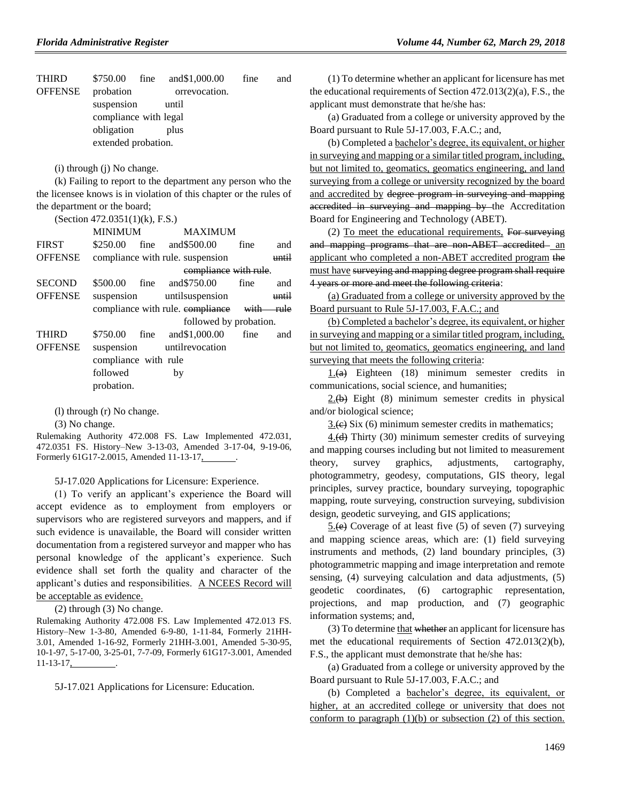| <b>THIRD</b>   | \$750.00              | fine | and \$1,000.00 | fine | and |
|----------------|-----------------------|------|----------------|------|-----|
| <b>OFFENSE</b> | probation             |      | orrevocation.  |      |     |
|                | suspension            |      | until          |      |     |
|                | compliance with legal |      |                |      |     |
|                | obligation            |      | plus           |      |     |
|                | extended probation.   |      |                |      |     |
|                |                       |      |                |      |     |

(i) through (j) No change.

(k) Failing to report to the department any person who the the licensee knows is in violation of this chapter or the rules of the department or the board;

(Section 472.0351(1)(k), F.S.)

|                | MINIMUM              | <b>MAXIMUM</b>                             |      |       |
|----------------|----------------------|--------------------------------------------|------|-------|
| <b>FIRST</b>   |                      | \$250.00 fine and \$500.00                 | fine | and   |
| <b>OFFENSE</b> |                      | compliance with rule, suspension           |      | until |
|                |                      | compliance with rule.                      |      |       |
| <b>SECOND</b>  |                      | \$500.00 fine and \$750.00 fine            |      | and   |
| <b>OFFENSE</b> |                      | suspension untilsuspension                 |      | until |
|                |                      | compliance with rule. compliance with rule |      |       |
|                |                      | followed by probation.                     |      |       |
| <b>THIRD</b>   |                      | \$750.00 fine and \$1,000.00               | fine | and   |
| <b>OFFENSE</b> |                      | suspension until revocation                |      |       |
|                | compliance with rule |                                            |      |       |
|                | followed             | by                                         |      |       |
|                | probation.           |                                            |      |       |
|                |                      |                                            |      |       |

(l) through (r) No change.

(3) No change.

Rulemaking Authority 472.008 FS. Law Implemented 472.031, 472.0351 FS. History–New 3-13-03, Amended 3-17-04, 9-19-06, Formerly 61G17-2.0015, Amended 11-13-17, .

5J-17.020 Applications for Licensure: Experience.

(1) To verify an applicant's experience the Board will accept evidence as to employment from employers or supervisors who are registered surveyors and mappers, and if such evidence is unavailable, the Board will consider written documentation from a registered surveyor and mapper who has personal knowledge of the applicant's experience. Such evidence shall set forth the quality and character of the applicant's duties and responsibilities. A NCEES Record will be acceptable as evidence.

(2) through (3) No change.

Rulemaking Authority 472.008 FS. Law Implemented 472.013 FS. History–New 1-3-80, Amended 6-9-80, 1-11-84, Formerly 21HH-3.01, Amended 1-16-92, Formerly 21HH-3.001, Amended 5-30-95, 10-1-97, 5-17-00, 3-25-01, 7-7-09, Formerly 61G17-3.001, Amended  $11-13-17$ ,

5J-17.021 Applications for Licensure: Education.

(1) To determine whether an applicant for licensure has met the educational requirements of Section 472.013(2)(a), F.S., the applicant must demonstrate that he/she has:

(a) Graduated from a college or university approved by the Board pursuant to Rule 5J-17.003, F.A.C.; and,

(b) Completed a bachelor's degree, its equivalent, or higher in surveying and mapping or a similar titled program, including, but not limited to, geomatics, geomatics engineering, and land surveying from a college or university recognized by the board and accredited by degree program in surveying and mapping accredited in surveying and mapping by the Accreditation Board for Engineering and Technology (ABET).

 $(2)$  To meet the educational requirements, For surveying and mapping programs that are non-ABET accredited an applicant who completed a non-ABET accredited program the must have surveying and mapping degree program shall require 4 years or more and meet the following criteria:

(a) Graduated from a college or university approved by the Board pursuant to Rule 5J-17.003, F.A.C.; and

(b) Completed a bachelor's degree, its equivalent, or higher in surveying and mapping or a similar titled program, including, but not limited to, geomatics, geomatics engineering, and land surveying that meets the following criteria:

1.(a) Eighteen (18) minimum semester credits in communications, social science, and humanities;

 $2.(\theta)$  Eight (8) minimum semester credits in physical and/or biological science;

 $3.6$ ) Six (6) minimum semester credits in mathematics;

 $4.$ (d) Thirty (30) minimum semester credits of surveying and mapping courses including but not limited to measurement theory, survey graphics, adjustments, cartography, photogrammetry, geodesy, computations, GIS theory, legal principles, survey practice, boundary surveying, topographic mapping, route surveying, construction surveying, subdivision design, geodetic surveying, and GIS applications;

 $5(e)$  Coverage of at least five (5) of seven (7) surveying and mapping science areas, which are: (1) field surveying instruments and methods, (2) land boundary principles, (3) photogrammetric mapping and image interpretation and remote sensing, (4) surveying calculation and data adjustments, (5) geodetic coordinates, (6) cartographic representation, projections, and map production, and (7) geographic information systems; and,

 $(3)$  To determine that whether an applicant for licensure has met the educational requirements of Section 472.013(2)(b), F.S., the applicant must demonstrate that he/she has:

(a) Graduated from a college or university approved by the Board pursuant to Rule 5J-17.003, F.A.C.; and

(b) Completed a bachelor's degree, its equivalent, or higher, at an accredited college or university that does not conform to paragraph  $(1)(b)$  or subsection  $(2)$  of this section.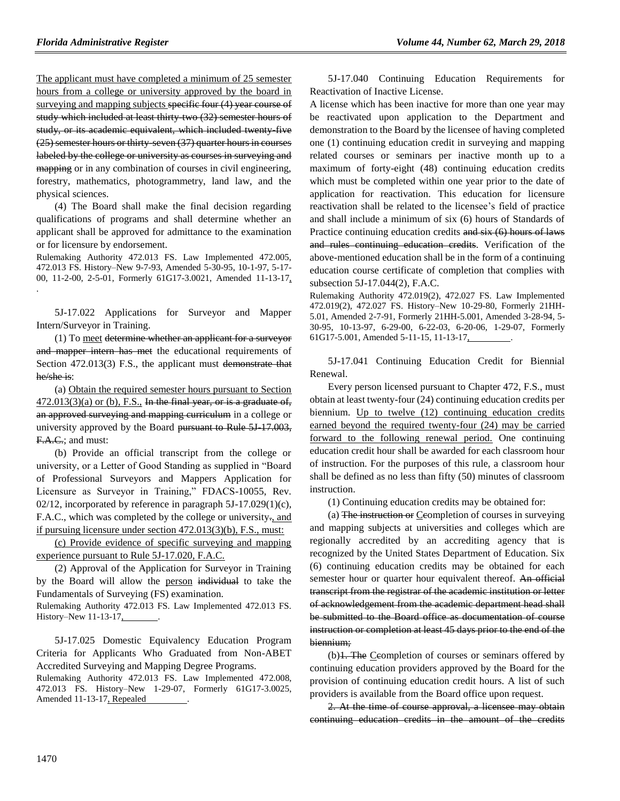The applicant must have completed a minimum of 25 semester hours from a college or university approved by the board in surveying and mapping subjects specific four (4) year course of study which included at least thirty-two (32) semester hours of study, or its academic equivalent, which included twenty-five (25) semester hours or thirty-seven (37) quarter hours in courses labeled by the college or university as courses in surveying and mapping or in any combination of courses in civil engineering, forestry, mathematics, photogrammetry, land law, and the physical sciences.

(4) The Board shall make the final decision regarding qualifications of programs and shall determine whether an applicant shall be approved for admittance to the examination or for licensure by endorsement.

Rulemaking Authority 472.013 FS. Law Implemented 472.005, 472.013 FS. History–New 9-7-93, Amended 5-30-95, 10-1-97, 5-17- 00, 11-2-00, 2-5-01, Formerly 61G17-3.0021, Amended 11-13-17, .

5J-17.022 Applications for Surveyor and Mapper Intern/Surveyor in Training.

(1) To meet determine whether an applicant for a surveyor and mapper intern has met the educational requirements of Section 472.013(3) F.S., the applicant must demonstrate that he/she is:

(a) Obtain the required semester hours pursuant to Section  $472.013(3)(a)$  or (b), F.S., In the final year, or is a graduate of, an approved surveying and mapping curriculum in a college or university approved by the Board pursuant to Rule 5J 17.003, F.A.C.; and must:

(b) Provide an official transcript from the college or university, or a Letter of Good Standing as supplied in "Board of Professional Surveyors and Mappers Application for Licensure as Surveyor in Training," FDACS-10055, Rev. 02/12, incorporated by reference in paragraph  $5J-17.029(1)(c)$ , F.A.C., which was completed by the college or university., and if pursuing licensure under section 472.013(3)(b), F.S., must:

(c) Provide evidence of specific surveying and mapping experience pursuant to Rule 5J-17.020, F.A.C.

(2) Approval of the Application for Surveyor in Training by the Board will allow the person individual to take the Fundamentals of Surveying (FS) examination.

Rulemaking Authority 472.013 FS. Law Implemented 472.013 FS. History–New 11-13-17,

5J-17.025 Domestic Equivalency Education Program Criteria for Applicants Who Graduated from Non-ABET Accredited Surveying and Mapping Degree Programs. Rulemaking Authority 472.013 FS. Law Implemented 472.008, 472.013 FS. History–New 1-29-07, Formerly 61G17-3.0025, Amended 11-13-17, Repealed

5J-17.040 Continuing Education Requirements for Reactivation of Inactive License.

A license which has been inactive for more than one year may be reactivated upon application to the Department and demonstration to the Board by the licensee of having completed one (1) continuing education credit in surveying and mapping related courses or seminars per inactive month up to a maximum of forty-eight (48) continuing education credits which must be completed within one year prior to the date of application for reactivation. This education for licensure reactivation shall be related to the licensee's field of practice and shall include a minimum of six (6) hours of Standards of Practice continuing education credits and six (6) hours of laws and rules continuing education credits. Verification of the above-mentioned education shall be in the form of a continuing education course certificate of completion that complies with subsection 5J-17.044(2), F.A.C.

Rulemaking Authority 472.019(2), 472.027 FS. Law Implemented 472.019(2), 472.027 FS. History–New 10-29-80, Formerly 21HH-5.01, Amended 2-7-91, Formerly 21HH-5.001, Amended 3-28-94, 5- 30-95, 10-13-97, 6-29-00, 6-22-03, 6-20-06, 1-29-07, Formerly 61G17-5.001, Amended 5-11-15, 11-13-17, .

5J-17.041 Continuing Education Credit for Biennial Renewal.

Every person licensed pursuant to Chapter 472, F.S., must obtain at least twenty-four (24) continuing education credits per biennium. Up to twelve (12) continuing education credits earned beyond the required twenty-four (24) may be carried forward to the following renewal period. One continuing education credit hour shall be awarded for each classroom hour of instruction. For the purposes of this rule, a classroom hour shall be defined as no less than fifty (50) minutes of classroom instruction.

(1) Continuing education credits may be obtained for:

(a) The instruction or Ceompletion of courses in surveying and mapping subjects at universities and colleges which are regionally accredited by an accrediting agency that is recognized by the United States Department of Education. Six (6) continuing education credits may be obtained for each semester hour or quarter hour equivalent thereof. An official transcript from the registrar of the academic institution or letter of acknowledgement from the academic department head shall be submitted to the Board office as documentation of course instruction or completion at least 45 days prior to the end of the biennium;

(b)1. The Ceompletion of courses or seminars offered by continuing education providers approved by the Board for the provision of continuing education credit hours. A list of such providers is available from the Board office upon request.

2. At the time of course approval, a licensee may obtain continuing education credits in the amount of the credits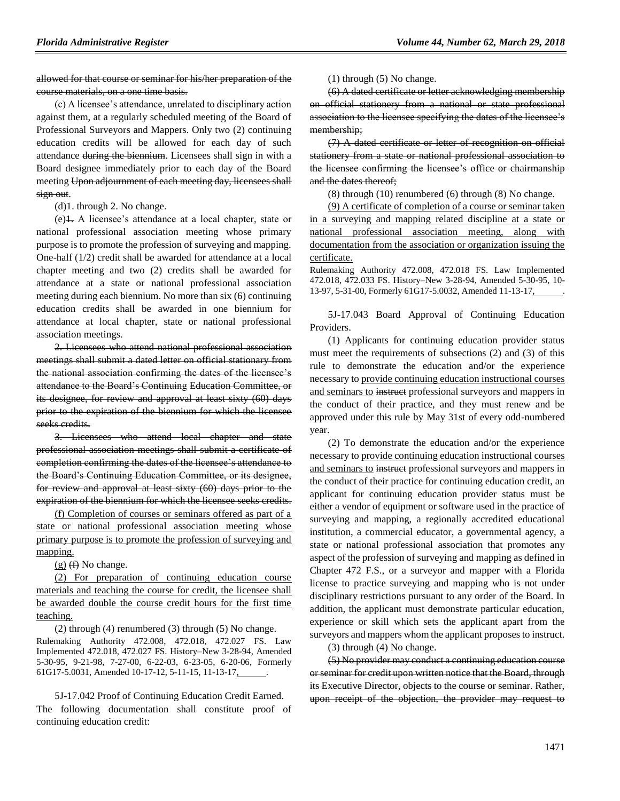### allowed for that course or seminar for his/her preparation of the course materials, on a one time basis.

(c) A licensee's attendance, unrelated to disciplinary action against them, at a regularly scheduled meeting of the Board of Professional Surveyors and Mappers. Only two (2) continuing education credits will be allowed for each day of such attendance during the biennium. Licensees shall sign in with a Board designee immediately prior to each day of the Board meeting Upon adjournment of each meeting day, licensees shall sign out.

(d)1. through 2. No change.

(e)1. A licensee's attendance at a local chapter, state or national professional association meeting whose primary purpose is to promote the profession of surveying and mapping. One-half (1/2) credit shall be awarded for attendance at a local chapter meeting and two (2) credits shall be awarded for attendance at a state or national professional association meeting during each biennium. No more than six (6) continuing education credits shall be awarded in one biennium for attendance at local chapter, state or national professional association meetings.

2. Licensees who attend national professional association meetings shall submit a dated letter on official stationary from the national association confirming the dates of the licensee's attendance to the Board's Continuing Education Committee, or its designee, for review and approval at least sixty (60) days prior to the expiration of the biennium for which the licensee seeks credits.

3. Licensees who attend local chapter and state professional association meetings shall submit a certificate of completion confirming the dates of the licensee's attendance to the Board's Continuing Education Committee, or its designee, for review and approval at least sixty (60) days prior to the expiration of the biennium for which the licensee seeks credits.

(f) Completion of courses or seminars offered as part of a state or national professional association meeting whose primary purpose is to promote the profession of surveying and mapping.

 $(g)$  (f) No change.

(2) For preparation of continuing education course materials and teaching the course for credit, the licensee shall be awarded double the course credit hours for the first time teaching.

(2) through (4) renumbered (3) through (5) No change.

Rulemaking Authority 472.008, 472.018, 472.027 FS. Law Implemented 472.018, 472.027 FS. History–New 3-28-94, Amended 5-30-95, 9-21-98, 7-27-00, 6-22-03, 6-23-05, 6-20-06, Formerly 61G17-5.0031, Amended 10-17-12, 5-11-15, 11-13-17, .

5J-17.042 Proof of Continuing Education Credit Earned. The following documentation shall constitute proof of continuing education credit:

(1) through (5) No change.

(6) A dated certificate or letter acknowledging membership on official stationery from a national or state professional association to the licensee specifying the dates of the licensee's membership;

(7) A dated certificate or letter of recognition on official stationery from a state or national professional association to the licensee confirming the licensee's office or chairmanship and the dates thereof;

(8) through (10) renumbered (6) through (8) No change.

(9) A certificate of completion of a course or seminar taken in a surveying and mapping related discipline at a state or national professional association meeting, along with documentation from the association or organization issuing the certificate.

Rulemaking Authority 472.008, 472.018 FS. Law Implemented 472.018, 472.033 FS. History–New 3-28-94, Amended 5-30-95, 10- 13-97, 5-31-00, Formerly 61G17-5.0032, Amended 11-13-17, .

5J-17.043 Board Approval of Continuing Education Providers.

(1) Applicants for continuing education provider status must meet the requirements of subsections (2) and (3) of this rule to demonstrate the education and/or the experience necessary to provide continuing education instructional courses and seminars to instruct professional surveyors and mappers in the conduct of their practice, and they must renew and be approved under this rule by May 31st of every odd-numbered year.

(2) To demonstrate the education and/or the experience necessary to provide continuing education instructional courses and seminars to instruct professional surveyors and mappers in the conduct of their practice for continuing education credit, an applicant for continuing education provider status must be either a vendor of equipment or software used in the practice of surveying and mapping, a regionally accredited educational institution, a commercial educator, a governmental agency, a state or national professional association that promotes any aspect of the profession of surveying and mapping as defined in Chapter 472 F.S., or a surveyor and mapper with a Florida license to practice surveying and mapping who is not under disciplinary restrictions pursuant to any order of the Board. In addition, the applicant must demonstrate particular education, experience or skill which sets the applicant apart from the surveyors and mappers whom the applicant proposes to instruct.

(3) through (4) No change.

(5) No provider may conduct a continuing education course or seminar for credit upon written notice that the Board, through its Executive Director, objects to the course or seminar. Rather, upon receipt of the objection, the provider may request to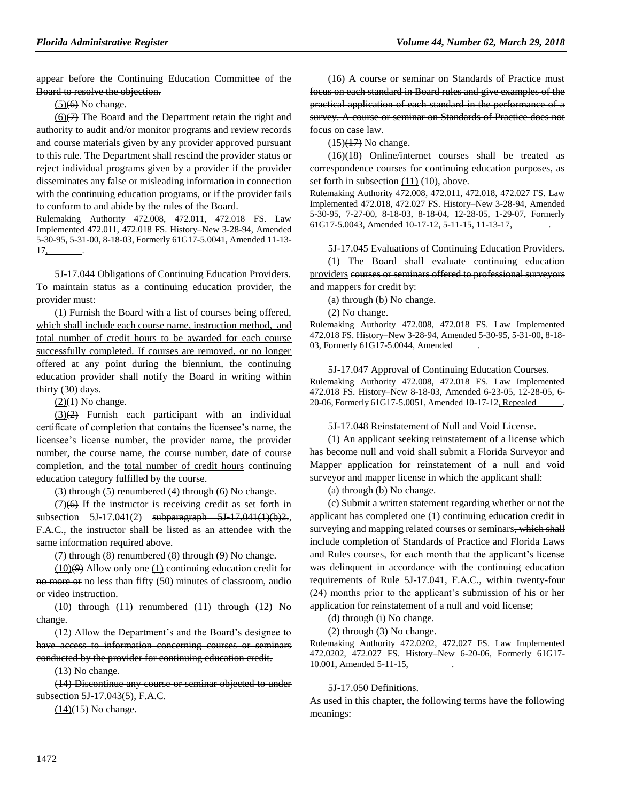appear before the Continuing Education Committee of the Board to resolve the objection.

 $(5)(6)$  No change.

 $(6)(7)$  The Board and the Department retain the right and authority to audit and/or monitor programs and review records and course materials given by any provider approved pursuant to this rule. The Department shall rescind the provider status or reject individual programs given by a provider if the provider disseminates any false or misleading information in connection with the continuing education programs, or if the provider fails to conform to and abide by the rules of the Board.

Rulemaking Authority 472.008, 472.011, 472.018 FS. Law Implemented 472.011, 472.018 FS. History–New 3-28-94, Amended 5-30-95, 5-31-00, 8-18-03, Formerly 61G17-5.0041, Amended 11-13-  $17,$ 

5J-17.044 Obligations of Continuing Education Providers. To maintain status as a continuing education provider, the provider must:

(1) Furnish the Board with a list of courses being offered, which shall include each course name, instruction method, and total number of credit hours to be awarded for each course successfully completed. If courses are removed, or no longer offered at any point during the biennium, the continuing education provider shall notify the Board in writing within thirty (30) days.

 $(2)(1)$  No change.

 $(3)(2)$  Furnish each participant with an individual certificate of completion that contains the licensee's name, the licensee's license number, the provider name, the provider number, the course name, the course number, date of course completion, and the total number of credit hours continuing education category fulfilled by the course.

(3) through (5) renumbered (4) through (6) No change.

 $(7)(6)$  If the instructor is receiving credit as set forth in subsection 5J-17.041(2) subparagraph 5J-17.041(1)(b)2., F.A.C., the instructor shall be listed as an attendee with the same information required above.

(7) through (8) renumbered (8) through (9) No change.

 $(10)(9)$  Allow only one (1) continuing education credit for no more or no less than fifty (50) minutes of classroom, audio or video instruction.

(10) through (11) renumbered (11) through (12) No change.

(12) Allow the Department's and the Board's designee to have access to information concerning courses or seminars conducted by the provider for continuing education credit.

(13) No change.

(14) Discontinue any course or seminar objected to under subsection 5J 17.043(5), F.A.C.

 $(14)(15)$  No change.

(16) A course or seminar on Standards of Practice must focus on each standard in Board rules and give examples of the practical application of each standard in the performance of a survey. A course or seminar on Standards of Practice does not focus on case law.

 $(15)(17)$  No change.

(16)(18) Online/internet courses shall be treated as correspondence courses for continuing education purposes, as set forth in subsection  $(11)$   $(10)$ , above.

Rulemaking Authority 472.008, 472.011, 472.018, 472.027 FS. Law Implemented 472.018, 472.027 FS. History–New 3-28-94, Amended 5-30-95, 7-27-00, 8-18-03, 8-18-04, 12-28-05, 1-29-07, Formerly 61G17-5.0043, Amended 10-17-12, 5-11-15, 11-13-17, .

5J-17.045 Evaluations of Continuing Education Providers.

(1) The Board shall evaluate continuing education providers courses or seminars offered to professional surveyors and mappers for credit by:

(a) through (b) No change.

(2) No change.

Rulemaking Authority 472.008, 472.018 FS. Law Implemented 472.018 FS. History–New 3-28-94, Amended 5-30-95, 5-31-00, 8-18- 03, Formerly 61G17-5.0044, Amended

5J-17.047 Approval of Continuing Education Courses. Rulemaking Authority 472.008, 472.018 FS. Law Implemented 472.018 FS. History–New 8-18-03, Amended 6-23-05, 12-28-05, 6- 20-06, Formerly 61G17-5.0051, Amended 10-17-12, Repealed .

5J-17.048 Reinstatement of Null and Void License.

(1) An applicant seeking reinstatement of a license which has become null and void shall submit a Florida Surveyor and Mapper application for reinstatement of a null and void surveyor and mapper license in which the applicant shall:

(a) through (b) No change.

(c) Submit a written statement regarding whether or not the applicant has completed one (1) continuing education credit in surveying and mapping related courses or seminars, which shall include completion of Standards of Practice and Florida Laws and Rules courses, for each month that the applicant's license was delinquent in accordance with the continuing education requirements of Rule 5J-17.041, F.A.C., within twenty-four (24) months prior to the applicant's submission of his or her application for reinstatement of a null and void license;

(d) through (i) No change.

(2) through (3) No change.

Rulemaking Authority 472.0202, 472.027 FS. Law Implemented 472.0202, 472.027 FS. History–New 6-20-06, Formerly 61G17- 10.001, Amended 5-11-15, .

5J-17.050 Definitions.

As used in this chapter, the following terms have the following meanings: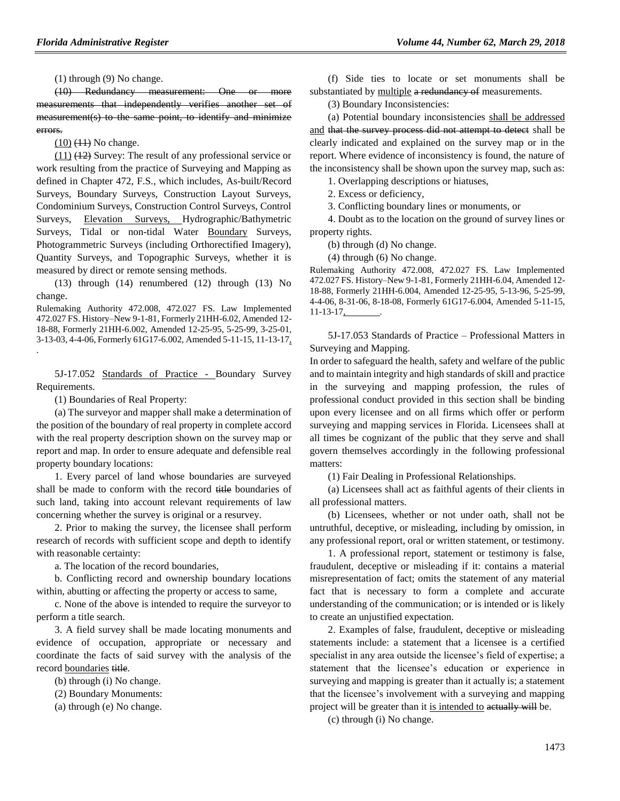(1) through (9) No change.

(10) Redundancy measurement: One or more measurements that independently verifies another set of measurement(s) to the same point, to identify and minimize errors.

 $(10)$   $(11)$  No change.

(11) (12) Survey: The result of any professional service or work resulting from the practice of Surveying and Mapping as defined in Chapter 472, F.S., which includes, As-built/Record Surveys, Boundary Surveys, Construction Layout Surveys, Condominium Surveys, Construction Control Surveys, Control Surveys, Elevation Surveys, Hydrographic/Bathymetric Surveys, Tidal or non-tidal Water Boundary Surveys, Photogrammetric Surveys (including Orthorectified Imagery), Quantity Surveys, and Topographic Surveys, whether it is measured by direct or remote sensing methods.

(13) through (14) renumbered (12) through (13) No change.

Rulemaking Authority 472.008, 472.027 FS. Law Implemented 472.027 FS. History–New 9-1-81, Formerly 21HH-6.02, Amended 12- 18-88, Formerly 21HH-6.002, Amended 12-25-95, 5-25-99, 3-25-01, 3-13-03, 4-4-06, Formerly 61G17-6.002, Amended 5-11-15, 11-13-17,

5J-17.052 Standards of Practice - Boundary Survey Requirements.

(1) Boundaries of Real Property:

.

(a) The surveyor and mapper shall make a determination of the position of the boundary of real property in complete accord with the real property description shown on the survey map or report and map. In order to ensure adequate and defensible real property boundary locations:

1. Every parcel of land whose boundaries are surveyed shall be made to conform with the record title boundaries of such land, taking into account relevant requirements of law concerning whether the survey is original or a resurvey.

2. Prior to making the survey, the licensee shall perform research of records with sufficient scope and depth to identify with reasonable certainty:

a. The location of the record boundaries,

b. Conflicting record and ownership boundary locations within, abutting or affecting the property or access to same,

c. None of the above is intended to require the surveyor to perform a title search.

3. A field survey shall be made locating monuments and evidence of occupation, appropriate or necessary and coordinate the facts of said survey with the analysis of the record boundaries title.

(b) through (i) No change.

(2) Boundary Monuments:

(a) through (e) No change.

(f) Side ties to locate or set monuments shall be substantiated by multiple a redundancy of measurements.

(3) Boundary Inconsistencies:

(a) Potential boundary inconsistencies shall be addressed and that the survey process did not attempt to detect shall be clearly indicated and explained on the survey map or in the report. Where evidence of inconsistency is found, the nature of the inconsistency shall be shown upon the survey map, such as:

1. Overlapping descriptions or hiatuses,

2. Excess or deficiency,

3. Conflicting boundary lines or monuments, or

4. Doubt as to the location on the ground of survey lines or property rights.

(b) through (d) No change.

(4) through (6) No change.

Rulemaking Authority 472.008, 472.027 FS. Law Implemented 472.027 FS. History–New 9-1-81, Formerly 21HH-6.04, Amended 12- 18-88, Formerly 21HH-6.004, Amended 12-25-95, 5-13-96, 5-25-99, 4-4-06, 8-31-06, 8-18-08, Formerly 61G17-6.004, Amended 5-11-15,  $11-13-17$ ,

5J-17.053 Standards of Practice – Professional Matters in Surveying and Mapping.

In order to safeguard the health, safety and welfare of the public and to maintain integrity and high standards of skill and practice in the surveying and mapping profession, the rules of professional conduct provided in this section shall be binding upon every licensee and on all firms which offer or perform surveying and mapping services in Florida. Licensees shall at all times be cognizant of the public that they serve and shall govern themselves accordingly in the following professional matters:

(1) Fair Dealing in Professional Relationships.

(a) Licensees shall act as faithful agents of their clients in all professional matters.

(b) Licensees, whether or not under oath, shall not be untruthful, deceptive, or misleading, including by omission, in any professional report, oral or written statement, or testimony.

1. A professional report, statement or testimony is false, fraudulent, deceptive or misleading if it: contains a material misrepresentation of fact; omits the statement of any material fact that is necessary to form a complete and accurate understanding of the communication; or is intended or is likely to create an unjustified expectation.

2. Examples of false, fraudulent, deceptive or misleading statements include: a statement that a licensee is a certified specialist in any area outside the licensee's field of expertise; a statement that the licensee's education or experience in surveying and mapping is greater than it actually is; a statement that the licensee's involvement with a surveying and mapping project will be greater than it is intended to actually will be.

(c) through (i) No change.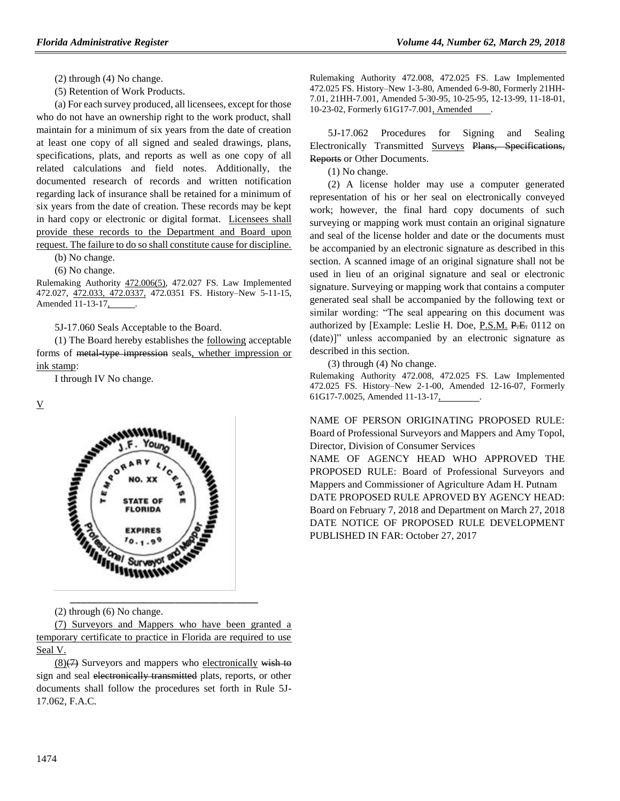- (2) through (4) No change.
- (5) Retention of Work Products.

(a) For each survey produced, all licensees, except for those who do not have an ownership right to the work product, shall maintain for a minimum of six years from the date of creation at least one copy of all signed and sealed drawings, plans, specifications, plats, and reports as well as one copy of all related calculations and field notes. Additionally, the documented research of records and written notification regarding lack of insurance shall be retained for a minimum of six years from the date of creation. These records may be kept in hard copy or electronic or digital format. Licensees shall provide these records to the Department and Board upon request. The failure to do so shall constitute cause for discipline.

(b) No change.

(6) No change.

Rulemaking Authority 472.006(5), 472.027 FS. Law Implemented 472.027, 472.033, 472.0337, 472.0351 FS. History–New 5-11-15, Amended 11-13-17,

5J-17.060 Seals Acceptable to the Board.

(1) The Board hereby establishes the following acceptable forms of metal-type impression seals, whether impression or ink stamp:

I through IV No change.

V



(2) through (6) No change.

(7) Surveyors and Mappers who have been granted a temporary certificate to practice in Florida are required to use Seal V.

 $(8)(7)$  Surveyors and mappers who electronically wish to sign and seal electronically transmitted plats, reports, or other documents shall follow the procedures set forth in Rule 5J-17.062, F.A.C.

Rulemaking Authority 472.008, 472.025 FS. Law Implemented 472.025 FS. History–New 1-3-80, Amended 6-9-80, Formerly 21HH-7.01, 21HH-7.001, Amended 5-30-95, 10-25-95, 12-13-99, 11-18-01, 10-23-02, Formerly 61G17-7.001, Amended .

5J-17.062 Procedures for Signing and Sealing Electronically Transmitted Surveys Plans, Specifications, **Reports** or Other Documents.

(1) No change.

(2) A license holder may use a computer generated representation of his or her seal on electronically conveyed work; however, the final hard copy documents of such surveying or mapping work must contain an original signature and seal of the license holder and date or the documents must be accompanied by an electronic signature as described in this section. A scanned image of an original signature shall not be used in lieu of an original signature and seal or electronic signature. Surveying or mapping work that contains a computer generated seal shall be accompanied by the following text or similar wording: "The seal appearing on this document was authorized by [Example: Leslie H. Doe, P.S.M. P.E. 0112 on (date)]" unless accompanied by an electronic signature as described in this section.

(3) through (4) No change.

Rulemaking Authority 472.008, 472.025 FS. Law Implemented 472.025 FS. History–New 2-1-00, Amended 12-16-07, Formerly 61G17-7.0025, Amended 11-13-17,

NAME OF PERSON ORIGINATING PROPOSED RULE: Board of Professional Surveyors and Mappers and Amy Topol, Director, Division of Consumer Services NAME OF AGENCY HEAD WHO APPROVED THE

PROPOSED RULE: Board of Professional Surveyors and Mappers and Commissioner of Agriculture Adam H. Putnam DATE PROPOSED RULE APROVED BY AGENCY HEAD: Board on February 7, 2018 and Department on March 27, 2018 DATE NOTICE OF PROPOSED RULE DEVELOPMENT PUBLISHED IN FAR: October 27, 2017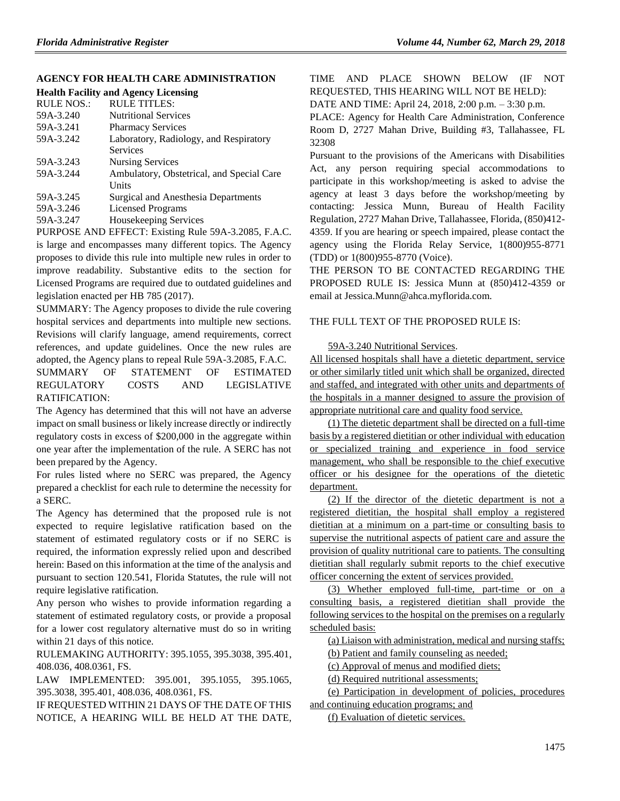## **[AGENCY FOR HEALTH CARE ADMINISTRATION](https://www.flrules.org/gateway/department.asp?id=59)**

|                   | <b>Health Facility and Agency Licensing</b> |
|-------------------|---------------------------------------------|
| <b>RULE NOS.:</b> | <b>RULE TITLES:</b>                         |
| 59A-3.240         | <b>Nutritional Services</b>                 |
| 59A-3.241         | <b>Pharmacy Services</b>                    |
| 59A-3.242         | Laboratory, Radiology, and Respiratory      |
|                   | Services                                    |
| 59A-3.243         | <b>Nursing Services</b>                     |
| 59A-3.244         | Ambulatory, Obstetrical, and Special Care   |
|                   | Units                                       |
| 59A-3.245         | Surgical and Anesthesia Departments         |
| 59A-3.246         | <b>Licensed Programs</b>                    |
| 59A-3.247         | Housekeeping Services                       |

PURPOSE AND EFFECT: Existing Rule 59A-3.2085, F.A.C. is large and encompasses many different topics. The Agency proposes to divide this rule into multiple new rules in order to improve readability. Substantive edits to the section for Licensed Programs are required due to outdated guidelines and legislation enacted per HB 785 (2017).

SUMMARY: The Agency proposes to divide the rule covering hospital services and departments into multiple new sections. Revisions will clarify language, amend requirements, correct references, and update guidelines. Once the new rules are adopted, the Agency plans to repeal Rule 59A-3.2085, F.A.C.

SUMMARY OF STATEMENT OF ESTIMATED REGULATORY COSTS AND LEGISLATIVE RATIFICATION:

The Agency has determined that this will not have an adverse impact on small business or likely increase directly or indirectly regulatory costs in excess of \$200,000 in the aggregate within one year after the implementation of the rule. A SERC has not been prepared by the Agency.

For rules listed where no SERC was prepared, the Agency prepared a checklist for each rule to determine the necessity for a SERC.

The Agency has determined that the proposed rule is not expected to require legislative ratification based on the statement of estimated regulatory costs or if no SERC is required, the information expressly relied upon and described herein: Based on this information at the time of the analysis and pursuant to section 120.541, Florida Statutes, the rule will not require legislative ratification.

Any person who wishes to provide information regarding a statement of estimated regulatory costs, or provide a proposal for a lower cost regulatory alternative must do so in writing within 21 days of this notice.

RULEMAKING AUTHORITY[: 395.1055,](https://www.flrules.org/gateway/statute.asp?id=395.1055) [395.3038,](https://www.flrules.org/gateway/statute.asp?id=%20395.3038) [395.401,](https://www.flrules.org/gateway/statute.asp?id=%20395.401) [408.036,](https://www.flrules.org/gateway/statute.asp?id=%20408.036) [408.0361,](https://www.flrules.org/gateway/statute.asp?id=%20408.0361) FS.

LAW IMPLEMENTED: [395.001,](https://www.flrules.org/gateway/statute.asp?id=395.001) [395.1055,](https://www.flrules.org/gateway/statute.asp?id=%20395.1055) [395.1065,](https://www.flrules.org/gateway/statute.asp?id=%20395.1065) [395.3038,](https://www.flrules.org/gateway/statute.asp?id=%20395.3038) [395.401,](https://www.flrules.org/gateway/statute.asp?id=%20395.401) [408.036,](https://www.flrules.org/gateway/statute.asp?id=%20408.036) [408.0361,](https://www.flrules.org/gateway/statute.asp?id=%20408.0361) FS.

IF REQUESTED WITHIN 21 DAYS OF THE DATE OF THIS NOTICE, A HEARING WILL BE HELD AT THE DATE, TIME AND PLACE SHOWN BELOW (IF NOT REQUESTED, THIS HEARING WILL NOT BE HELD):

DATE AND TIME: April 24, 2018, 2:00 p.m. – 3:30 p.m.

PLACE: Agency for Health Care Administration, Conference Room D, 2727 Mahan Drive, Building #3, Tallahassee, FL 32308

Pursuant to the provisions of the Americans with Disabilities Act, any person requiring special accommodations to participate in this workshop/meeting is asked to advise the agency at least 3 days before the workshop/meeting by contacting: Jessica Munn, Bureau of Health Facility Regulation, 2727 Mahan Drive, Tallahassee, Florida, (850)412- 4359. If you are hearing or speech impaired, please contact the agency using the Florida Relay Service, 1(800)955-8771 (TDD) or 1(800)955-8770 (Voice).

THE PERSON TO BE CONTACTED REGARDING THE PROPOSED RULE IS: Jessica Munn at (850)412-4359 or email at Jessica.Munn@ahca.myflorida.com.

#### THE FULL TEXT OF THE PROPOSED RULE IS:

59A-3.240 Nutritional Services.

All licensed hospitals shall have a dietetic department, service or other similarly titled unit which shall be organized, directed and staffed, and integrated with other units and departments of the hospitals in a manner designed to assure the provision of appropriate nutritional care and quality food service.

(1) The dietetic department shall be directed on a full-time basis by a registered dietitian or other individual with education or specialized training and experience in food service management, who shall be responsible to the chief executive officer or his designee for the operations of the dietetic department.

(2) If the director of the dietetic department is not a registered dietitian, the hospital shall employ a registered dietitian at a minimum on a part-time or consulting basis to supervise the nutritional aspects of patient care and assure the provision of quality nutritional care to patients. The consulting dietitian shall regularly submit reports to the chief executive officer concerning the extent of services provided.

(3) Whether employed full-time, part-time or on a consulting basis, a registered dietitian shall provide the following services to the hospital on the premises on a regularly scheduled basis:

(a) Liaison with administration, medical and nursing staffs;

(b) Patient and family counseling as needed;

(c) Approval of menus and modified diets;

(d) Required nutritional assessments;

(e) Participation in development of policies, procedures and continuing education programs; and

(f) Evaluation of dietetic services.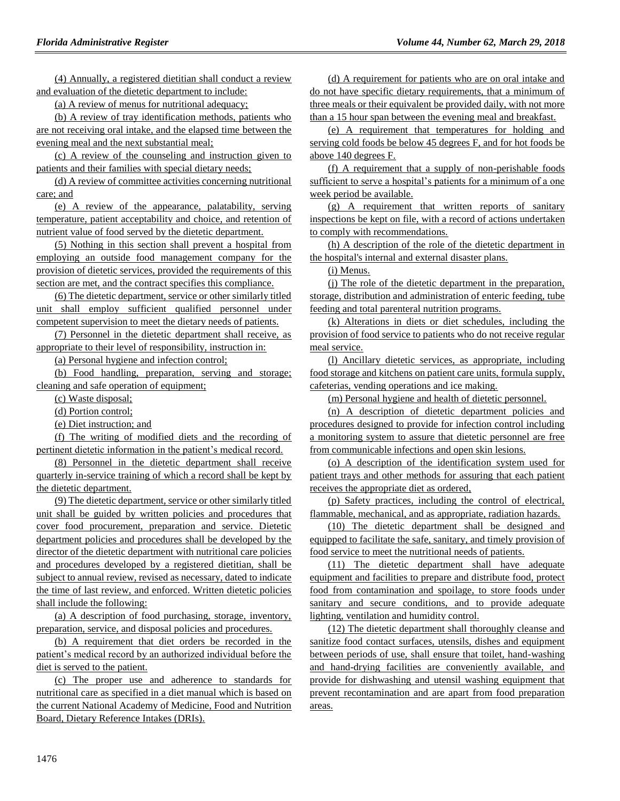(4) Annually, a registered dietitian shall conduct a review and evaluation of the dietetic department to include:

(a) A review of menus for nutritional adequacy;

(b) A review of tray identification methods, patients who are not receiving oral intake, and the elapsed time between the evening meal and the next substantial meal;

(c) A review of the counseling and instruction given to patients and their families with special dietary needs;

(d) A review of committee activities concerning nutritional care; and

(e) A review of the appearance, palatability, serving temperature, patient acceptability and choice, and retention of nutrient value of food served by the dietetic department.

(5) Nothing in this section shall prevent a hospital from employing an outside food management company for the provision of dietetic services, provided the requirements of this section are met, and the contract specifies this compliance.

(6) The dietetic department, service or other similarly titled unit shall employ sufficient qualified personnel under competent supervision to meet the dietary needs of patients.

(7) Personnel in the dietetic department shall receive, as appropriate to their level of responsibility, instruction in:

(a) Personal hygiene and infection control;

(b) Food handling, preparation, serving and storage; cleaning and safe operation of equipment;

(c) Waste disposal;

(d) Portion control;

(e) Diet instruction; and

(f) The writing of modified diets and the recording of pertinent dietetic information in the patient's medical record.

(8) Personnel in the dietetic department shall receive quarterly in-service training of which a record shall be kept by the dietetic department.

(9) The dietetic department, service or other similarly titled unit shall be guided by written policies and procedures that cover food procurement, preparation and service. Dietetic department policies and procedures shall be developed by the director of the dietetic department with nutritional care policies and procedures developed by a registered dietitian, shall be subject to annual review, revised as necessary, dated to indicate the time of last review, and enforced. Written dietetic policies shall include the following:

(a) A description of food purchasing, storage, inventory, preparation, service, and disposal policies and procedures.

(b) A requirement that diet orders be recorded in the patient's medical record by an authorized individual before the diet is served to the patient.

(c) The proper use and adherence to standards for nutritional care as specified in a diet manual which is based on the current National Academy of Medicine, Food and Nutrition Board, Dietary Reference Intakes (DRIs).

(d) A requirement for patients who are on oral intake and do not have specific dietary requirements, that a minimum of three meals or their equivalent be provided daily, with not more than a 15 hour span between the evening meal and breakfast.

(e) A requirement that temperatures for holding and serving cold foods be below 45 degrees F, and for hot foods be above 140 degrees F.

(f) A requirement that a supply of non-perishable foods sufficient to serve a hospital's patients for a minimum of a one week period be available.

(g) A requirement that written reports of sanitary inspections be kept on file, with a record of actions undertaken to comply with recommendations.

(h) A description of the role of the dietetic department in the hospital's internal and external disaster plans.

(i) Menus.

(j) The role of the dietetic department in the preparation, storage, distribution and administration of enteric feeding, tube feeding and total parenteral nutrition programs.

(k) Alterations in diets or diet schedules, including the provision of food service to patients who do not receive regular meal service.

(l) Ancillary dietetic services, as appropriate, including food storage and kitchens on patient care units, formula supply, cafeterias, vending operations and ice making.

(m) Personal hygiene and health of dietetic personnel.

(n) A description of dietetic department policies and procedures designed to provide for infection control including a monitoring system to assure that dietetic personnel are free from communicable infections and open skin lesions.

(o) A description of the identification system used for patient trays and other methods for assuring that each patient receives the appropriate diet as ordered,

(p) Safety practices, including the control of electrical, flammable, mechanical, and as appropriate, radiation hazards.

(10) The dietetic department shall be designed and equipped to facilitate the safe, sanitary, and timely provision of food service to meet the nutritional needs of patients.

(11) The dietetic department shall have adequate equipment and facilities to prepare and distribute food, protect food from contamination and spoilage, to store foods under sanitary and secure conditions, and to provide adequate lighting, ventilation and humidity control.

(12) The dietetic department shall thoroughly cleanse and sanitize food contact surfaces, utensils, dishes and equipment between periods of use, shall ensure that toilet, hand-washing and hand-drying facilities are conveniently available, and provide for dishwashing and utensil washing equipment that prevent recontamination and are apart from food preparation areas.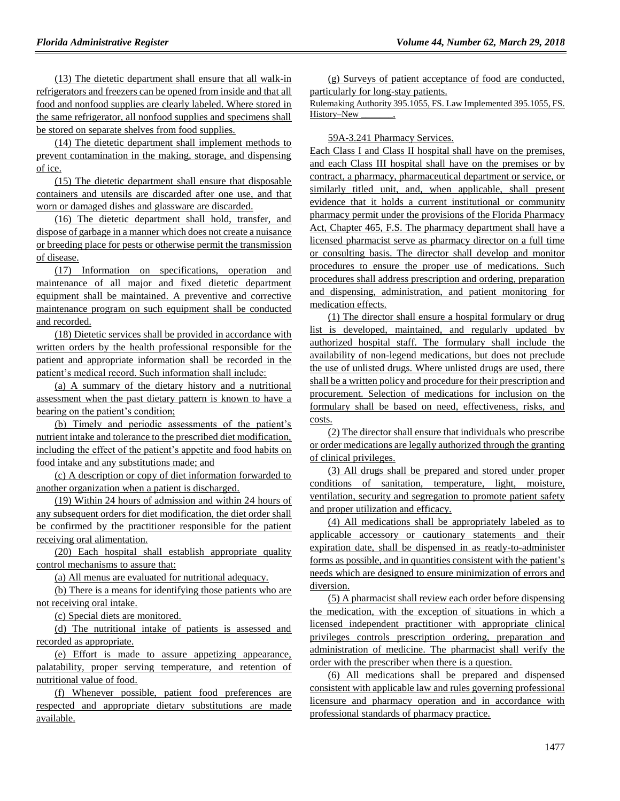(13) The dietetic department shall ensure that all walk-in refrigerators and freezers can be opened from inside and that all food and nonfood supplies are clearly labeled. Where stored in the same refrigerator, all nonfood supplies and specimens shall be stored on separate shelves from food supplies.

(14) The dietetic department shall implement methods to prevent contamination in the making, storage, and dispensing of ice.

(15) The dietetic department shall ensure that disposable containers and utensils are discarded after one use, and that worn or damaged dishes and glassware are discarded.

(16) The dietetic department shall hold, transfer, and dispose of garbage in a manner which does not create a nuisance or breeding place for pests or otherwise permit the transmission of disease.

(17) Information on specifications, operation and maintenance of all major and fixed dietetic department equipment shall be maintained. A preventive and corrective maintenance program on such equipment shall be conducted and recorded.

(18) Dietetic services shall be provided in accordance with written orders by the health professional responsible for the patient and appropriate information shall be recorded in the patient's medical record. Such information shall include:

(a) A summary of the dietary history and a nutritional assessment when the past dietary pattern is known to have a bearing on the patient's condition;

(b) Timely and periodic assessments of the patient's nutrient intake and tolerance to the prescribed diet modification, including the effect of the patient's appetite and food habits on food intake and any substitutions made; and

(c) A description or copy of diet information forwarded to another organization when a patient is discharged.

(19) Within 24 hours of admission and within 24 hours of any subsequent orders for diet modification, the diet order shall be confirmed by the practitioner responsible for the patient receiving oral alimentation.

(20) Each hospital shall establish appropriate quality control mechanisms to assure that:

(a) All menus are evaluated for nutritional adequacy.

(b) There is a means for identifying those patients who are not receiving oral intake.

(c) Special diets are monitored.

(d) The nutritional intake of patients is assessed and recorded as appropriate.

(e) Effort is made to assure appetizing appearance, palatability, proper serving temperature, and retention of nutritional value of food.

(f) Whenever possible, patient food preferences are respected and appropriate dietary substitutions are made available.

(g) Surveys of patient acceptance of food are conducted, particularly for long-stay patients.

Rulemaking Authority 395.1055, FS. Law Implemented 395.1055, FS. History–New

59A-3.241 Pharmacy Services.

Each Class I and Class II hospital shall have on the premises, and each Class III hospital shall have on the premises or by contract, a pharmacy, pharmaceutical department or service, or similarly titled unit, and, when applicable, shall present evidence that it holds a current institutional or community pharmacy permit under the provisions of the Florida Pharmacy Act, Chapter 465, F.S. The pharmacy department shall have a licensed pharmacist serve as pharmacy director on a full time or consulting basis. The director shall develop and monitor procedures to ensure the proper use of medications. Such procedures shall address prescription and ordering, preparation and dispensing, administration, and patient monitoring for medication effects.

(1) The director shall ensure a hospital formulary or drug list is developed, maintained, and regularly updated by authorized hospital staff. The formulary shall include the availability of non-legend medications, but does not preclude the use of unlisted drugs. Where unlisted drugs are used, there shall be a written policy and procedure for their prescription and procurement. Selection of medications for inclusion on the formulary shall be based on need, effectiveness, risks, and costs.

(2) The director shall ensure that individuals who prescribe or order medications are legally authorized through the granting of clinical privileges.

(3) All drugs shall be prepared and stored under proper conditions of sanitation, temperature, light, moisture, ventilation, security and segregation to promote patient safety and proper utilization and efficacy.

(4) All medications shall be appropriately labeled as to applicable accessory or cautionary statements and their expiration date, shall be dispensed in as ready-to-administer forms as possible, and in quantities consistent with the patient's needs which are designed to ensure minimization of errors and diversion.

(5) A pharmacist shall review each order before dispensing the medication, with the exception of situations in which a licensed independent practitioner with appropriate clinical privileges controls prescription ordering, preparation and administration of medicine. The pharmacist shall verify the order with the prescriber when there is a question.

(6) All medications shall be prepared and dispensed consistent with applicable law and rules governing professional licensure and pharmacy operation and in accordance with professional standards of pharmacy practice.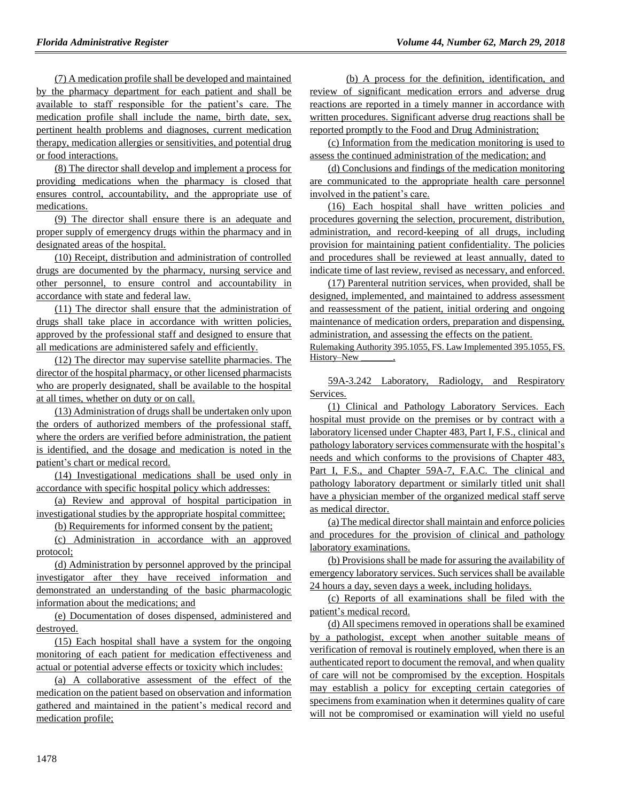(7) A medication profile shall be developed and maintained by the pharmacy department for each patient and shall be available to staff responsible for the patient's care. The medication profile shall include the name, birth date, sex, pertinent health problems and diagnoses, current medication therapy, medication allergies or sensitivities, and potential drug or food interactions.

(8) The director shall develop and implement a process for providing medications when the pharmacy is closed that ensures control, accountability, and the appropriate use of medications.

(9) The director shall ensure there is an adequate and proper supply of emergency drugs within the pharmacy and in designated areas of the hospital.

(10) Receipt, distribution and administration of controlled drugs are documented by the pharmacy, nursing service and other personnel, to ensure control and accountability in accordance with state and federal law.

(11) The director shall ensure that the administration of drugs shall take place in accordance with written policies, approved by the professional staff and designed to ensure that all medications are administered safely and efficiently.

(12) The director may supervise satellite pharmacies. The director of the hospital pharmacy, or other licensed pharmacists who are properly designated, shall be available to the hospital at all times, whether on duty or on call.

(13) Administration of drugs shall be undertaken only upon the orders of authorized members of the professional staff, where the orders are verified before administration, the patient is identified, and the dosage and medication is noted in the patient's chart or medical record.

(14) Investigational medications shall be used only in accordance with specific hospital policy which addresses:

(a) Review and approval of hospital participation in investigational studies by the appropriate hospital committee;

(b) Requirements for informed consent by the patient;

(c) Administration in accordance with an approved protocol;

(d) Administration by personnel approved by the principal investigator after they have received information and demonstrated an understanding of the basic pharmacologic information about the medications; and

(e) Documentation of doses dispensed, administered and destroyed.

(15) Each hospital shall have a system for the ongoing monitoring of each patient for medication effectiveness and actual or potential adverse effects or toxicity which includes:

(a) A collaborative assessment of the effect of the medication on the patient based on observation and information gathered and maintained in the patient's medical record and medication profile;

(b) A process for the definition, identification, and review of significant medication errors and adverse drug reactions are reported in a timely manner in accordance with written procedures. Significant adverse drug reactions shall be reported promptly to the Food and Drug Administration;

(c) Information from the medication monitoring is used to assess the continued administration of the medication; and

(d) Conclusions and findings of the medication monitoring are communicated to the appropriate health care personnel involved in the patient's care.

(16) Each hospital shall have written policies and procedures governing the selection, procurement, distribution, administration, and record-keeping of all drugs, including provision for maintaining patient confidentiality. The policies and procedures shall be reviewed at least annually, dated to indicate time of last review, revised as necessary, and enforced.

(17) Parenteral nutrition services, when provided, shall be designed, implemented, and maintained to address assessment and reassessment of the patient, initial ordering and ongoing maintenance of medication orders, preparation and dispensing, administration, and assessing the effects on the patient.

Rulemaking Authority 395.1055, FS. Law Implemented 395.1055, FS. History–New \_\_\_\_\_\_\_,

59A-3.242 Laboratory, Radiology, and Respiratory Services.

(1) Clinical and Pathology Laboratory Services. Each hospital must provide on the premises or by contract with a laboratory licensed under Chapter 483, Part I, F.S., clinical and pathology laboratory services commensurate with the hospital's needs and which conforms to the provisions of Chapter 483, Part I, F.S., and Chapter 59A-7, F.A.C. The clinical and pathology laboratory department or similarly titled unit shall have a physician member of the organized medical staff serve as medical director.

(a) The medical director shall maintain and enforce policies and procedures for the provision of clinical and pathology laboratory examinations.

(b) Provisions shall be made for assuring the availability of emergency laboratory services. Such services shall be available 24 hours a day, seven days a week, including holidays.

(c) Reports of all examinations shall be filed with the patient's medical record.

(d) All specimens removed in operations shall be examined by a pathologist, except when another suitable means of verification of removal is routinely employed, when there is an authenticated report to document the removal, and when quality of care will not be compromised by the exception. Hospitals may establish a policy for excepting certain categories of specimens from examination when it determines quality of care will not be compromised or examination will yield no useful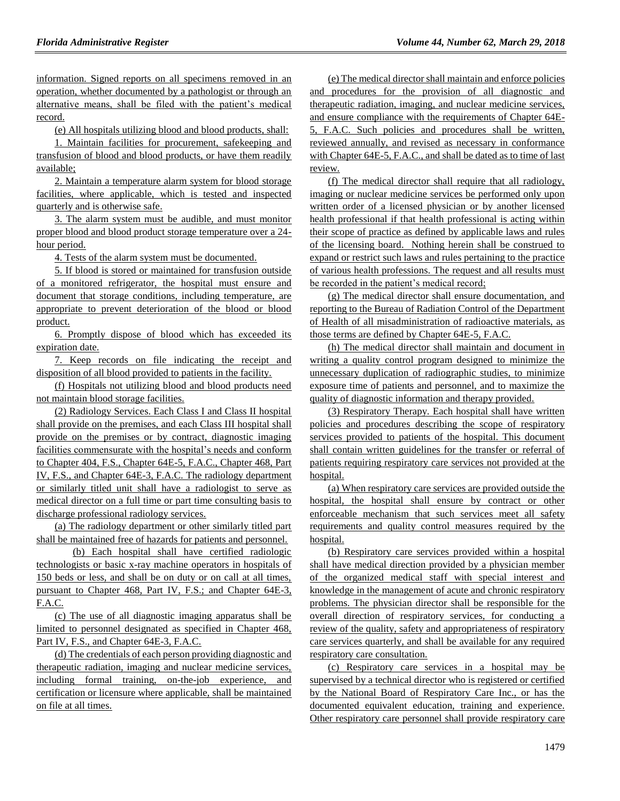information. Signed reports on all specimens removed in an operation, whether documented by a pathologist or through an alternative means, shall be filed with the patient's medical record.

(e) All hospitals utilizing blood and blood products, shall:

1. Maintain facilities for procurement, safekeeping and transfusion of blood and blood products, or have them readily available;

2. Maintain a temperature alarm system for blood storage facilities, where applicable, which is tested and inspected quarterly and is otherwise safe.

3. The alarm system must be audible, and must monitor proper blood and blood product storage temperature over a 24 hour period.

4. Tests of the alarm system must be documented.

5. If blood is stored or maintained for transfusion outside of a monitored refrigerator, the hospital must ensure and document that storage conditions, including temperature, are appropriate to prevent deterioration of the blood or blood product.

6. Promptly dispose of blood which has exceeded its expiration date.

7. Keep records on file indicating the receipt and disposition of all blood provided to patients in the facility.

(f) Hospitals not utilizing blood and blood products need not maintain blood storage facilities.

(2) Radiology Services. Each Class I and Class II hospital shall provide on the premises, and each Class III hospital shall provide on the premises or by contract, diagnostic imaging facilities commensurate with the hospital's needs and conform to Chapter 404, F.S., Chapter 64E-5, F.A.C., Chapter 468, Part IV, F.S., and Chapter 64E-3, F.A.C. The radiology department or similarly titled unit shall have a radiologist to serve as medical director on a full time or part time consulting basis to discharge professional radiology services.

(a) The radiology department or other similarly titled part shall be maintained free of hazards for patients and personnel.

(b) Each hospital shall have certified radiologic technologists or basic x-ray machine operators in hospitals of 150 beds or less, and shall be on duty or on call at all times, pursuant to Chapter 468, Part IV, F.S.; and Chapter 64E-3, F.A.C.

(c) The use of all diagnostic imaging apparatus shall be limited to personnel designated as specified in Chapter 468, Part IV, F.S., and Chapter 64E-3, F.A.C.

(d) The credentials of each person providing diagnostic and therapeutic radiation, imaging and nuclear medicine services, including formal training, on-the-job experience, and certification or licensure where applicable, shall be maintained on file at all times.

(e) The medical director shall maintain and enforce policies and procedures for the provision of all diagnostic and therapeutic radiation, imaging, and nuclear medicine services, and ensure compliance with the requirements of Chapter 64E-5, F.A.C. Such policies and procedures shall be written, reviewed annually, and revised as necessary in conformance with Chapter 64E-5, F.A.C., and shall be dated as to time of last review.

(f) The medical director shall require that all radiology, imaging or nuclear medicine services be performed only upon written order of a licensed physician or by another licensed health professional if that health professional is acting within their scope of practice as defined by applicable laws and rules of the licensing board. Nothing herein shall be construed to expand or restrict such laws and rules pertaining to the practice of various health professions. The request and all results must be recorded in the patient's medical record;

(g) The medical director shall ensure documentation, and reporting to the Bureau of Radiation Control of the Department of Health of all misadministration of radioactive materials, as those terms are defined by Chapter 64E-5, F.A.C.

(h) The medical director shall maintain and document in writing a quality control program designed to minimize the unnecessary duplication of radiographic studies, to minimize exposure time of patients and personnel, and to maximize the quality of diagnostic information and therapy provided.

(3) Respiratory Therapy. Each hospital shall have written policies and procedures describing the scope of respiratory services provided to patients of the hospital. This document shall contain written guidelines for the transfer or referral of patients requiring respiratory care services not provided at the hospital.

(a) When respiratory care services are provided outside the hospital, the hospital shall ensure by contract or other enforceable mechanism that such services meet all safety requirements and quality control measures required by the hospital.

(b) Respiratory care services provided within a hospital shall have medical direction provided by a physician member of the organized medical staff with special interest and knowledge in the management of acute and chronic respiratory problems. The physician director shall be responsible for the overall direction of respiratory services, for conducting a review of the quality, safety and appropriateness of respiratory care services quarterly, and shall be available for any required respiratory care consultation.

(c) Respiratory care services in a hospital may be supervised by a technical director who is registered or certified by the National Board of Respiratory Care Inc., or has the documented equivalent education, training and experience. Other respiratory care personnel shall provide respiratory care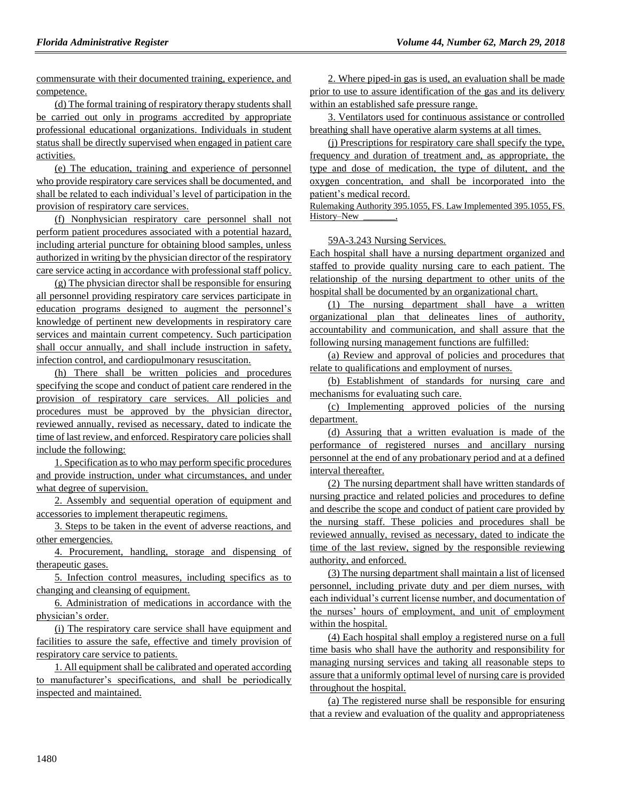commensurate with their documented training, experience, and competence.

(d) The formal training of respiratory therapy students shall be carried out only in programs accredited by appropriate professional educational organizations. Individuals in student status shall be directly supervised when engaged in patient care activities.

(e) The education, training and experience of personnel who provide respiratory care services shall be documented, and shall be related to each individual's level of participation in the provision of respiratory care services.

(f) Nonphysician respiratory care personnel shall not perform patient procedures associated with a potential hazard, including arterial puncture for obtaining blood samples, unless authorized in writing by the physician director of the respiratory care service acting in accordance with professional staff policy.

(g) The physician director shall be responsible for ensuring all personnel providing respiratory care services participate in education programs designed to augment the personnel's knowledge of pertinent new developments in respiratory care services and maintain current competency. Such participation shall occur annually, and shall include instruction in safety, infection control, and cardiopulmonary resuscitation.

(h) There shall be written policies and procedures specifying the scope and conduct of patient care rendered in the provision of respiratory care services. All policies and procedures must be approved by the physician director, reviewed annually, revised as necessary, dated to indicate the time of last review, and enforced. Respiratory care policies shall include the following:

1. Specification as to who may perform specific procedures and provide instruction, under what circumstances, and under what degree of supervision.

2. Assembly and sequential operation of equipment and accessories to implement therapeutic regimens.

3. Steps to be taken in the event of adverse reactions, and other emergencies.

4. Procurement, handling, storage and dispensing of therapeutic gases.

5. Infection control measures, including specifics as to changing and cleansing of equipment.

6. Administration of medications in accordance with the physician's order.

(i) The respiratory care service shall have equipment and facilities to assure the safe, effective and timely provision of respiratory care service to patients.

1. All equipment shall be calibrated and operated according to manufacturer's specifications, and shall be periodically inspected and maintained.

2. Where piped-in gas is used, an evaluation shall be made prior to use to assure identification of the gas and its delivery within an established safe pressure range.

3. Ventilators used for continuous assistance or controlled breathing shall have operative alarm systems at all times.

(j) Prescriptions for respiratory care shall specify the type, frequency and duration of treatment and, as appropriate, the type and dose of medication, the type of dilutent, and the oxygen concentration, and shall be incorporated into the patient's medical record.

Rulemaking Authority 395.1055, FS. Law Implemented 395.1055, FS. History–New

## 59A-3.243 Nursing Services.

Each hospital shall have a nursing department organized and staffed to provide quality nursing care to each patient. The relationship of the nursing department to other units of the hospital shall be documented by an organizational chart.

(1) The nursing department shall have a written organizational plan that delineates lines of authority, accountability and communication, and shall assure that the following nursing management functions are fulfilled:

(a) Review and approval of policies and procedures that relate to qualifications and employment of nurses.

(b) Establishment of standards for nursing care and mechanisms for evaluating such care.

(c) Implementing approved policies of the nursing department.

(d) Assuring that a written evaluation is made of the performance of registered nurses and ancillary nursing personnel at the end of any probationary period and at a defined interval thereafter.

(2) The nursing department shall have written standards of nursing practice and related policies and procedures to define and describe the scope and conduct of patient care provided by the nursing staff. These policies and procedures shall be reviewed annually, revised as necessary, dated to indicate the time of the last review, signed by the responsible reviewing authority, and enforced.

(3) The nursing department shall maintain a list of licensed personnel, including private duty and per diem nurses, with each individual's current license number, and documentation of the nurses' hours of employment, and unit of employment within the hospital.

(4) Each hospital shall employ a registered nurse on a full time basis who shall have the authority and responsibility for managing nursing services and taking all reasonable steps to assure that a uniformly optimal level of nursing care is provided throughout the hospital.

(a) The registered nurse shall be responsible for ensuring that a review and evaluation of the quality and appropriateness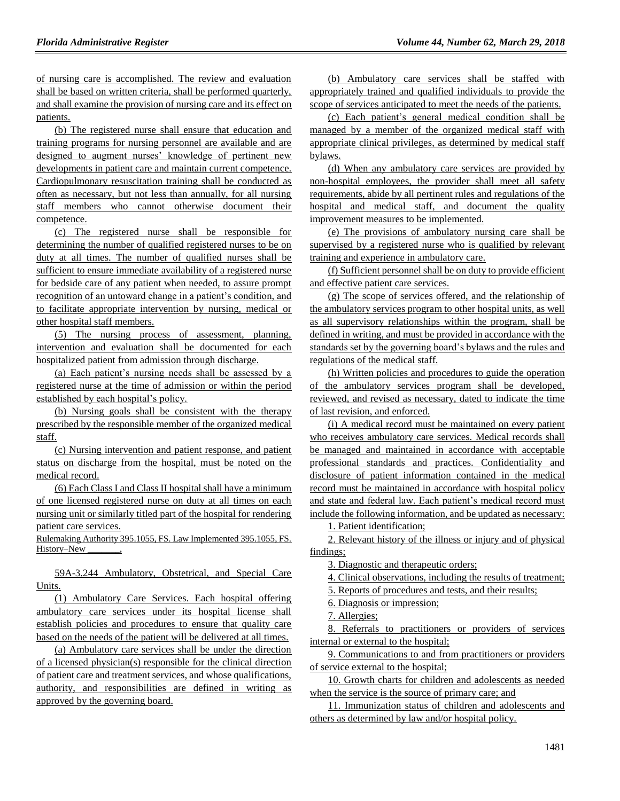of nursing care is accomplished. The review and evaluation shall be based on written criteria, shall be performed quarterly, and shall examine the provision of nursing care and its effect on patients.

(b) The registered nurse shall ensure that education and training programs for nursing personnel are available and are designed to augment nurses' knowledge of pertinent new developments in patient care and maintain current competence. Cardiopulmonary resuscitation training shall be conducted as often as necessary, but not less than annually, for all nursing staff members who cannot otherwise document their competence.

(c) The registered nurse shall be responsible for determining the number of qualified registered nurses to be on duty at all times. The number of qualified nurses shall be sufficient to ensure immediate availability of a registered nurse for bedside care of any patient when needed, to assure prompt recognition of an untoward change in a patient's condition, and to facilitate appropriate intervention by nursing, medical or other hospital staff members.

(5) The nursing process of assessment, planning, intervention and evaluation shall be documented for each hospitalized patient from admission through discharge.

(a) Each patient's nursing needs shall be assessed by a registered nurse at the time of admission or within the period established by each hospital's policy.

(b) Nursing goals shall be consistent with the therapy prescribed by the responsible member of the organized medical staff.

(c) Nursing intervention and patient response, and patient status on discharge from the hospital, must be noted on the medical record.

(6) Each Class I and Class II hospital shall have a minimum of one licensed registered nurse on duty at all times on each nursing unit or similarly titled part of the hospital for rendering patient care services.

Rulemaking Authority 395.1055, FS. Law Implemented 395.1055, FS. History–New

59A-3.244 Ambulatory, Obstetrical, and Special Care Units.

(1) Ambulatory Care Services. Each hospital offering ambulatory care services under its hospital license shall establish policies and procedures to ensure that quality care based on the needs of the patient will be delivered at all times.

(a) Ambulatory care services shall be under the direction of a licensed physician(s) responsible for the clinical direction of patient care and treatment services, and whose qualifications, authority, and responsibilities are defined in writing as approved by the governing board.

(b) Ambulatory care services shall be staffed with appropriately trained and qualified individuals to provide the scope of services anticipated to meet the needs of the patients.

(c) Each patient's general medical condition shall be managed by a member of the organized medical staff with appropriate clinical privileges, as determined by medical staff bylaws.

(d) When any ambulatory care services are provided by non-hospital employees, the provider shall meet all safety requirements, abide by all pertinent rules and regulations of the hospital and medical staff, and document the quality improvement measures to be implemented.

(e) The provisions of ambulatory nursing care shall be supervised by a registered nurse who is qualified by relevant training and experience in ambulatory care.

(f) Sufficient personnel shall be on duty to provide efficient and effective patient care services.

(g) The scope of services offered, and the relationship of the ambulatory services program to other hospital units, as well as all supervisory relationships within the program, shall be defined in writing, and must be provided in accordance with the standards set by the governing board's bylaws and the rules and regulations of the medical staff.

(h) Written policies and procedures to guide the operation of the ambulatory services program shall be developed, reviewed, and revised as necessary, dated to indicate the time of last revision, and enforced.

(i) A medical record must be maintained on every patient who receives ambulatory care services. Medical records shall be managed and maintained in accordance with acceptable professional standards and practices. Confidentiality and disclosure of patient information contained in the medical record must be maintained in accordance with hospital policy and state and federal law. Each patient's medical record must include the following information, and be updated as necessary:

1. Patient identification;

2. Relevant history of the illness or injury and of physical findings;

3. Diagnostic and therapeutic orders;

4. Clinical observations, including the results of treatment;

5. Reports of procedures and tests, and their results;

6. Diagnosis or impression;

7. Allergies;

8. Referrals to practitioners or providers of services internal or external to the hospital;

9. Communications to and from practitioners or providers of service external to the hospital;

10. Growth charts for children and adolescents as needed when the service is the source of primary care; and

11. Immunization status of children and adolescents and others as determined by law and/or hospital policy.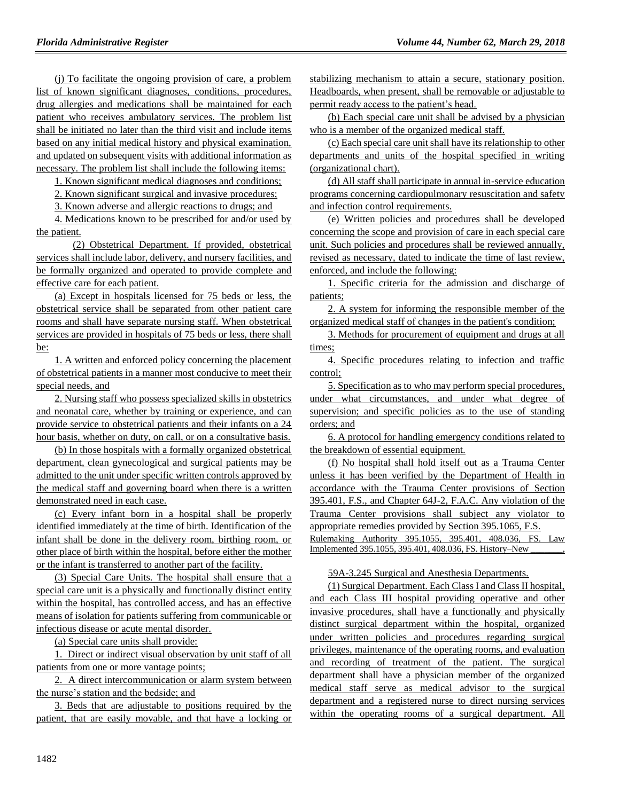(j) To facilitate the ongoing provision of care, a problem list of known significant diagnoses, conditions, procedures, drug allergies and medications shall be maintained for each patient who receives ambulatory services. The problem list shall be initiated no later than the third visit and include items based on any initial medical history and physical examination, and updated on subsequent visits with additional information as necessary. The problem list shall include the following items:

1. Known significant medical diagnoses and conditions;

2. Known significant surgical and invasive procedures;

3. Known adverse and allergic reactions to drugs; and

4. Medications known to be prescribed for and/or used by the patient.

(2) Obstetrical Department. If provided, obstetrical services shall include labor, delivery, and nursery facilities, and be formally organized and operated to provide complete and effective care for each patient.

(a) Except in hospitals licensed for 75 beds or less, the obstetrical service shall be separated from other patient care rooms and shall have separate nursing staff. When obstetrical services are provided in hospitals of 75 beds or less, there shall be:

1. A written and enforced policy concerning the placement of obstetrical patients in a manner most conducive to meet their special needs, and

2. Nursing staff who possess specialized skills in obstetrics and neonatal care, whether by training or experience, and can provide service to obstetrical patients and their infants on a 24 hour basis, whether on duty, on call, or on a consultative basis.

(b) In those hospitals with a formally organized obstetrical department, clean gynecological and surgical patients may be admitted to the unit under specific written controls approved by the medical staff and governing board when there is a written demonstrated need in each case.

(c) Every infant born in a hospital shall be properly identified immediately at the time of birth. Identification of the infant shall be done in the delivery room, birthing room, or other place of birth within the hospital, before either the mother or the infant is transferred to another part of the facility.

(3) Special Care Units. The hospital shall ensure that a special care unit is a physically and functionally distinct entity within the hospital, has controlled access, and has an effective means of isolation for patients suffering from communicable or infectious disease or acute mental disorder.

(a) Special care units shall provide:

1. Direct or indirect visual observation by unit staff of all patients from one or more vantage points;

2. A direct intercommunication or alarm system between the nurse's station and the bedside; and

3. Beds that are adjustable to positions required by the patient, that are easily movable, and that have a locking or stabilizing mechanism to attain a secure, stationary position. Headboards, when present, shall be removable or adjustable to permit ready access to the patient's head.

(b) Each special care unit shall be advised by a physician who is a member of the organized medical staff.

(c) Each special care unit shall have its relationship to other departments and units of the hospital specified in writing (organizational chart).

(d) All staff shall participate in annual in-service education programs concerning cardiopulmonary resuscitation and safety and infection control requirements.

(e) Written policies and procedures shall be developed concerning the scope and provision of care in each special care unit. Such policies and procedures shall be reviewed annually, revised as necessary, dated to indicate the time of last review, enforced, and include the following:

1. Specific criteria for the admission and discharge of patients;

2. A system for informing the responsible member of the organized medical staff of changes in the patient's condition;

3. Methods for procurement of equipment and drugs at all times:

4. Specific procedures relating to infection and traffic control;

5. Specification as to who may perform special procedures, under what circumstances, and under what degree of supervision; and specific policies as to the use of standing orders; and

6. A protocol for handling emergency conditions related to the breakdown of essential equipment.

(f) No hospital shall hold itself out as a Trauma Center unless it has been verified by the Department of Health in accordance with the Trauma Center provisions of Section 395.401, F.S., and Chapter 64J-2, F.A.C. Any violation of the Trauma Center provisions shall subject any violator to appropriate remedies provided by Section 395.1065, F.S.

Rulemaking Authority 395.1055, 395.401, 408.036, FS. Law Implemented 395.1055, 395.401, 408.036, FS. History–New

## 59A-3.245 Surgical and Anesthesia Departments.

(1) Surgical Department. Each Class I and Class II hospital, and each Class III hospital providing operative and other invasive procedures, shall have a functionally and physically distinct surgical department within the hospital, organized under written policies and procedures regarding surgical privileges, maintenance of the operating rooms, and evaluation and recording of treatment of the patient. The surgical department shall have a physician member of the organized medical staff serve as medical advisor to the surgical department and a registered nurse to direct nursing services within the operating rooms of a surgical department. All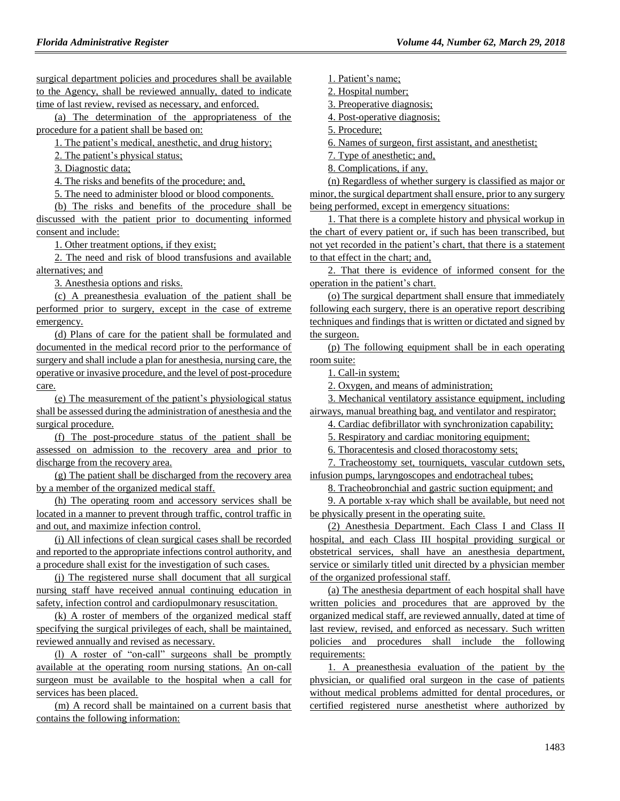surgical department policies and procedures shall be available to the Agency, shall be reviewed annually, dated to indicate time of last review, revised as necessary, and enforced.

(a) The determination of the appropriateness of the procedure for a patient shall be based on:

1. The patient's medical, anesthetic, and drug history;

2. The patient's physical status;

3. Diagnostic data;

4. The risks and benefits of the procedure; and,

5. The need to administer blood or blood components.

(b) The risks and benefits of the procedure shall be discussed with the patient prior to documenting informed consent and include:

1. Other treatment options, if they exist;

2. The need and risk of blood transfusions and available alternatives; and

3. Anesthesia options and risks.

(c) A preanesthesia evaluation of the patient shall be performed prior to surgery, except in the case of extreme emergency.

(d) Plans of care for the patient shall be formulated and documented in the medical record prior to the performance of surgery and shall include a plan for anesthesia, nursing care, the operative or invasive procedure, and the level of post-procedure care.

(e) The measurement of the patient's physiological status shall be assessed during the administration of anesthesia and the surgical procedure.

(f) The post-procedure status of the patient shall be assessed on admission to the recovery area and prior to discharge from the recovery area.

(g) The patient shall be discharged from the recovery area by a member of the organized medical staff.

(h) The operating room and accessory services shall be located in a manner to prevent through traffic, control traffic in and out, and maximize infection control.

(i) All infections of clean surgical cases shall be recorded and reported to the appropriate infections control authority, and a procedure shall exist for the investigation of such cases.

(j) The registered nurse shall document that all surgical nursing staff have received annual continuing education in safety, infection control and cardiopulmonary resuscitation.

(k) A roster of members of the organized medical staff specifying the surgical privileges of each, shall be maintained, reviewed annually and revised as necessary.

(l) A roster of "on-call" surgeons shall be promptly available at the operating room nursing stations. An on-call surgeon must be available to the hospital when a call for services has been placed.

(m) A record shall be maintained on a current basis that contains the following information:

1. Patient's name;

2. Hospital number;

3. Preoperative diagnosis;

4. Post-operative diagnosis;

5. Procedure;

6. Names of surgeon, first assistant, and anesthetist;

7. Type of anesthetic; and,

8. Complications, if any.

(n) Regardless of whether surgery is classified as major or minor, the surgical department shall ensure, prior to any surgery being performed, except in emergency situations:

1. That there is a complete history and physical workup in the chart of every patient or, if such has been transcribed, but not yet recorded in the patient's chart, that there is a statement to that effect in the chart; and,

2. That there is evidence of informed consent for the operation in the patient's chart.

(o) The surgical department shall ensure that immediately following each surgery, there is an operative report describing techniques and findings that is written or dictated and signed by the surgeon.

(p) The following equipment shall be in each operating room suite:

1. Call-in system;

2. Oxygen, and means of administration;

3. Mechanical ventilatory assistance equipment, including airways, manual breathing bag, and ventilator and respirator;

4. Cardiac defibrillator with synchronization capability;

5. Respiratory and cardiac monitoring equipment;

6. Thoracentesis and closed thoracostomy sets;

7. Tracheostomy set, tourniquets, vascular cutdown sets, infusion pumps, laryngoscopes and endotracheal tubes;

8. Tracheobronchial and gastric suction equipment; and

9. A portable x-ray which shall be available, but need not be physically present in the operating suite.

(2) Anesthesia Department. Each Class I and Class II hospital, and each Class III hospital providing surgical or obstetrical services, shall have an anesthesia department, service or similarly titled unit directed by a physician member of the organized professional staff.

(a) The anesthesia department of each hospital shall have written policies and procedures that are approved by the organized medical staff, are reviewed annually, dated at time of last review, revised, and enforced as necessary. Such written policies and procedures shall include the following requirements:

1. A preanesthesia evaluation of the patient by the physician, or qualified oral surgeon in the case of patients without medical problems admitted for dental procedures, or certified registered nurse anesthetist where authorized by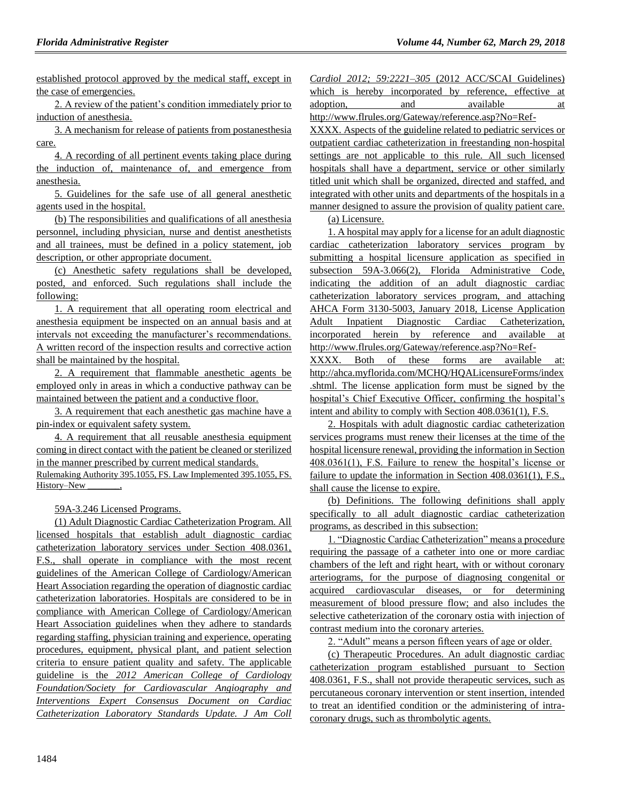established protocol approved by the medical staff, except in the case of emergencies.

2. A review of the patient's condition immediately prior to induction of anesthesia.

3. A mechanism for release of patients from postanesthesia care.

4. A recording of all pertinent events taking place during the induction of, maintenance of, and emergence from anesthesia.

5. Guidelines for the safe use of all general anesthetic agents used in the hospital.

(b) The responsibilities and qualifications of all anesthesia personnel, including physician, nurse and dentist anesthetists and all trainees, must be defined in a policy statement, job description, or other appropriate document.

(c) Anesthetic safety regulations shall be developed, posted, and enforced. Such regulations shall include the following:

1. A requirement that all operating room electrical and anesthesia equipment be inspected on an annual basis and at intervals not exceeding the manufacturer's recommendations. A written record of the inspection results and corrective action shall be maintained by the hospital.

2. A requirement that flammable anesthetic agents be employed only in areas in which a conductive pathway can be maintained between the patient and a conductive floor.

3. A requirement that each anesthetic gas machine have a pin-index or equivalent safety system.

4. A requirement that all reusable anesthesia equipment coming in direct contact with the patient be cleaned or sterilized in the manner prescribed by current medical standards. Rulemaking Authority 395.1055, FS. Law Implemented 395.1055, FS. History–New \_\_\_\_\_\_\_,

59A-3.246 Licensed Programs.

(1) Adult Diagnostic Cardiac Catheterization Program. All licensed hospitals that establish adult diagnostic cardiac catheterization laboratory services under Section 408.0361, F.S., shall operate in compliance with the most recent guidelines of the American College of Cardiology/American Heart Association regarding the operation of diagnostic cardiac catheterization laboratories. Hospitals are considered to be in compliance with American College of Cardiology/American Heart Association guidelines when they adhere to standards regarding staffing, physician training and experience, operating procedures, equipment, physical plant, and patient selection criteria to ensure patient quality and safety. The applicable guideline is the *2012 American College of Cardiology Foundation/Society for Cardiovascular Angiography and Interventions Expert Consensus Document on Cardiac Catheterization Laboratory Standards Update. J Am Coll* 

|           |  |     |  | <i>Cardiol 2012: 59:2221–305 (2012 ACC/SCAI Guidelines)</i>                    |  |    |
|-----------|--|-----|--|--------------------------------------------------------------------------------|--|----|
|           |  |     |  | which is hereby incorporated by reference, effective at                        |  |    |
| adoption, |  | and |  | available                                                                      |  | at |
|           |  |     |  | $1.44$ $1.1$ $1.1$ $1.1$ $1.1$ $1.1$ $1.1$ $1.1$ $1.1$ $1.1$ $1.1$ $1.1$ $1.1$ |  |    |

http://www.flrules.org/Gateway/reference.asp?No=Ref-XXXX. Aspects of the guideline related to pediatric services or outpatient cardiac catheterization in freestanding non-hospital settings are not applicable to this rule. All such licensed hospitals shall have a department, service or other similarly titled unit which shall be organized, directed and staffed, and integrated with other units and departments of the hospitals in a manner designed to assure the provision of quality patient care.

(a) Licensure.

1. A hospital may apply for a license for an adult diagnostic cardiac catheterization laboratory services program by submitting a hospital licensure application as specified in subsection 59A-3.066(2), Florida Administrative Code, indicating the addition of an adult diagnostic cardiac catheterization laboratory services program, and attaching AHCA Form 3130-5003, January 2018, License Application Adult Inpatient Diagnostic Cardiac Catheterization, incorporated herein by reference and available at http://www.flrules.org/Gateway/reference.asp?No=Ref-

XXXX. Both of these forms are available at: http://ahca.myflorida.com/MCHQ/HQALicensureForms/index .shtml. The license application form must be signed by the hospital's Chief Executive Officer, confirming the hospital's intent and ability to comply with Section 408.0361(1), F.S.

2. Hospitals with adult diagnostic cardiac catheterization services programs must renew their licenses at the time of the hospital licensure renewal, providing the information in Section 408.0361(1), F.S. Failure to renew the hospital's license or failure to update the information in Section 408.0361(1), F.S., shall cause the license to expire.

(b) Definitions. The following definitions shall apply specifically to all adult diagnostic cardiac catheterization programs, as described in this subsection:

1. "Diagnostic Cardiac Catheterization" means a procedure requiring the passage of a catheter into one or more cardiac chambers of the left and right heart, with or without coronary arteriograms, for the purpose of diagnosing congenital or acquired cardiovascular diseases, or for determining measurement of blood pressure flow; and also includes the selective catheterization of the coronary ostia with injection of contrast medium into the coronary arteries.

2. "Adult" means a person fifteen years of age or older.

(c) Therapeutic Procedures. An adult diagnostic cardiac catheterization program established pursuant to Section 408.0361, F.S., shall not provide therapeutic services, such as percutaneous coronary intervention or stent insertion, intended to treat an identified condition or the administering of intracoronary drugs, such as thrombolytic agents.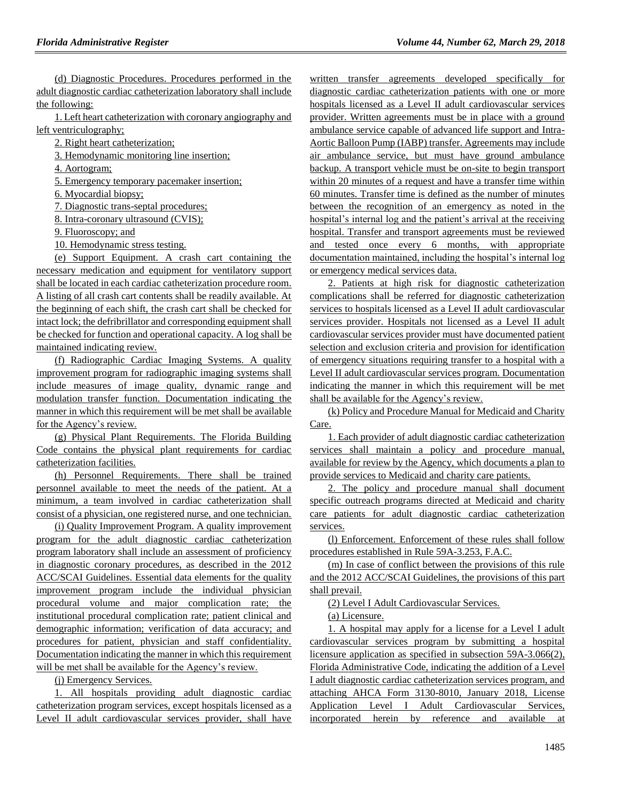(d) Diagnostic Procedures. Procedures performed in the adult diagnostic cardiac catheterization laboratory shall include the following:

1. Left heart catheterization with coronary angiography and left ventriculography;

2. Right heart catheterization;

3. Hemodynamic monitoring line insertion;

4. Aortogram;

5. Emergency temporary pacemaker insertion;

6. Myocardial biopsy;

7. Diagnostic trans-septal procedures;

8. Intra-coronary ultrasound (CVIS);

9. Fluoroscopy; and

10. Hemodynamic stress testing.

(e) Support Equipment. A crash cart containing the necessary medication and equipment for ventilatory support shall be located in each cardiac catheterization procedure room. A listing of all crash cart contents shall be readily available. At the beginning of each shift, the crash cart shall be checked for intact lock; the defribrillator and corresponding equipment shall be checked for function and operational capacity. A log shall be maintained indicating review.

(f) Radiographic Cardiac Imaging Systems. A quality improvement program for radiographic imaging systems shall include measures of image quality, dynamic range and modulation transfer function. Documentation indicating the manner in which this requirement will be met shall be available for the Agency's review.

(g) Physical Plant Requirements. The Florida Building Code contains the physical plant requirements for cardiac catheterization facilities.

(h) Personnel Requirements. There shall be trained personnel available to meet the needs of the patient. At a minimum, a team involved in cardiac catheterization shall consist of a physician, one registered nurse, and one technician.

(i) Quality Improvement Program. A quality improvement program for the adult diagnostic cardiac catheterization program laboratory shall include an assessment of proficiency in diagnostic coronary procedures, as described in the 2012 ACC/SCAI Guidelines. Essential data elements for the quality improvement program include the individual physician procedural volume and major complication rate; the institutional procedural complication rate; patient clinical and demographic information; verification of data accuracy; and procedures for patient, physician and staff confidentiality. Documentation indicating the manner in which this requirement will be met shall be available for the Agency's review.

(j) Emergency Services.

1. All hospitals providing adult diagnostic cardiac catheterization program services, except hospitals licensed as a Level II adult cardiovascular services provider, shall have

written transfer agreements developed specifically for diagnostic cardiac catheterization patients with one or more hospitals licensed as a Level II adult cardiovascular services provider. Written agreements must be in place with a ground ambulance service capable of advanced life support and Intra-Aortic Balloon Pump (IABP) transfer. Agreements may include air ambulance service, but must have ground ambulance backup. A transport vehicle must be on-site to begin transport within 20 minutes of a request and have a transfer time within 60 minutes. Transfer time is defined as the number of minutes between the recognition of an emergency as noted in the hospital's internal log and the patient's arrival at the receiving hospital. Transfer and transport agreements must be reviewed and tested once every 6 months, with appropriate documentation maintained, including the hospital's internal log or emergency medical services data.

2. Patients at high risk for diagnostic catheterization complications shall be referred for diagnostic catheterization services to hospitals licensed as a Level II adult cardiovascular services provider. Hospitals not licensed as a Level II adult cardiovascular services provider must have documented patient selection and exclusion criteria and provision for identification of emergency situations requiring transfer to a hospital with a Level II adult cardiovascular services program. Documentation indicating the manner in which this requirement will be met shall be available for the Agency's review.

(k) Policy and Procedure Manual for Medicaid and Charity Care.

1. Each provider of adult diagnostic cardiac catheterization services shall maintain a policy and procedure manual, available for review by the Agency, which documents a plan to provide services to Medicaid and charity care patients.

2. The policy and procedure manual shall document specific outreach programs directed at Medicaid and charity care patients for adult diagnostic cardiac catheterization services.

(l) Enforcement. Enforcement of these rules shall follow procedures established in Rule 59A-3.253, F.A.C.

(m) In case of conflict between the provisions of this rule and the 2012 ACC/SCAI Guidelines, the provisions of this part shall prevail.

(2) Level I Adult Cardiovascular Services.

(a) Licensure.

1. A hospital may apply for a license for a Level I adult cardiovascular services program by submitting a hospital licensure application as specified in subsection 59A-3.066(2), Florida Administrative Code, indicating the addition of a Level I adult diagnostic cardiac catheterization services program, and attaching AHCA Form 3130-8010, January 2018, License Application Level I Adult Cardiovascular Services, incorporated herein by reference and available at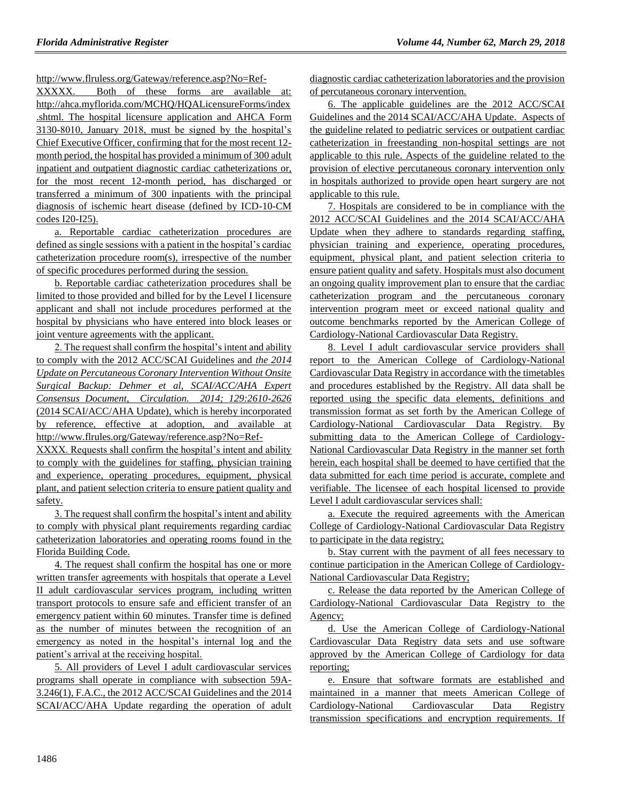http://www.flruless.org/Gateway/reference.asp?No=Ref-

XXXXX. Both of these forms are available at: http://ahca.myflorida.com/MCHQ/HQALicensureForms/index .shtml. The hospital licensure application and AHCA Form 3130-8010, January 2018, must be signed by the hospital's Chief Executive Officer, confirming that for the most recent 12 month period, the hospital has provided a minimum of 300 adult inpatient and outpatient diagnostic cardiac catheterizations or, for the most recent 12-month period, has discharged or transferred a minimum of 300 inpatients with the principal diagnosis of ischemic heart disease (defined by ICD-10-CM codes I20-I25).

a. Reportable cardiac catheterization procedures are defined as single sessions with a patient in the hospital's cardiac catheterization procedure room(s), irrespective of the number of specific procedures performed during the session.

b. Reportable cardiac catheterization procedures shall be limited to those provided and billed for by the Level I licensure applicant and shall not include procedures performed at the hospital by physicians who have entered into block leases or joint venture agreements with the applicant.

2. The request shall confirm the hospital's intent and ability to comply with the 2012 ACC/SCAI Guidelines and *the 2014 Update on Percutaneous Coronary Intervention Without Onsite Surgical Backup: Dehmer et al, SCAI/ACC/AHA Expert Consensus Document, Circulation. 2014; 129:2610-2626*  (2014 SCAI/ACC/AHA Update), which is hereby incorporated by reference, effective at adoption, and available at http://www.flrules.org/Gateway/reference.asp?No=Ref-

XXXX. Requests shall confirm the hospital's intent and ability to comply with the guidelines for staffing, physician training and experience, operating procedures, equipment, physical plant, and patient selection criteria to ensure patient quality and safety.

3. The request shall confirm the hospital's intent and ability to comply with physical plant requirements regarding cardiac catheterization laboratories and operating rooms found in the Florida Building Code.

4. The request shall confirm the hospital has one or more written transfer agreements with hospitals that operate a Level II adult cardiovascular services program, including written transport protocols to ensure safe and efficient transfer of an emergency patient within 60 minutes. Transfer time is defined as the number of minutes between the recognition of an emergency as noted in the hospital's internal log and the patient's arrival at the receiving hospital.

5. All providers of Level I adult cardiovascular services programs shall operate in compliance with subsection 59A-3.246(1), F.A.C., the 2012 ACC/SCAI Guidelines and the 2014 SCAI/ACC/AHA Update regarding the operation of adult diagnostic cardiac catheterization laboratories and the provision of percutaneous coronary intervention.

6. The applicable guidelines are the 2012 ACC/SCAI Guidelines and the 2014 SCAI/ACC/AHA Update*.* Aspects of the guideline related to pediatric services or outpatient cardiac catheterization in freestanding non-hospital settings are not applicable to this rule. Aspects of the guideline related to the provision of elective percutaneous coronary intervention only in hospitals authorized to provide open heart surgery are not applicable to this rule.

7. Hospitals are considered to be in compliance with the 2012 ACC/SCAI Guidelines and the 2014 SCAI/ACC/AHA Update when they adhere to standards regarding staffing, physician training and experience, operating procedures, equipment, physical plant, and patient selection criteria to ensure patient quality and safety. Hospitals must also document an ongoing quality improvement plan to ensure that the cardiac catheterization program and the percutaneous coronary intervention program meet or exceed national quality and outcome benchmarks reported by the American College of Cardiology-National Cardiovascular Data Registry.

8. Level I adult cardiovascular service providers shall report to the American College of Cardiology-National Cardiovascular Data Registry in accordance with the timetables and procedures established by the Registry. All data shall be reported using the specific data elements, definitions and transmission format as set forth by the American College of Cardiology-National Cardiovascular Data Registry. By submitting data to the American College of Cardiology-National Cardiovascular Data Registry in the manner set forth herein, each hospital shall be deemed to have certified that the data submitted for each time period is accurate, complete and verifiable. The licensee of each hospital licensed to provide Level I adult cardiovascular services shall:

a. Execute the required agreements with the American College of Cardiology-National Cardiovascular Data Registry to participate in the data registry;

b. Stay current with the payment of all fees necessary to continue participation in the American College of Cardiology-National Cardiovascular Data Registry;

c. Release the data reported by the American College of Cardiology-National Cardiovascular Data Registry to the Agency;

d. Use the American College of Cardiology-National Cardiovascular Data Registry data sets and use software approved by the American College of Cardiology for data reporting;

e. Ensure that software formats are established and maintained in a manner that meets American College of Cardiology-National Cardiovascular Data Registry transmission specifications and encryption requirements. If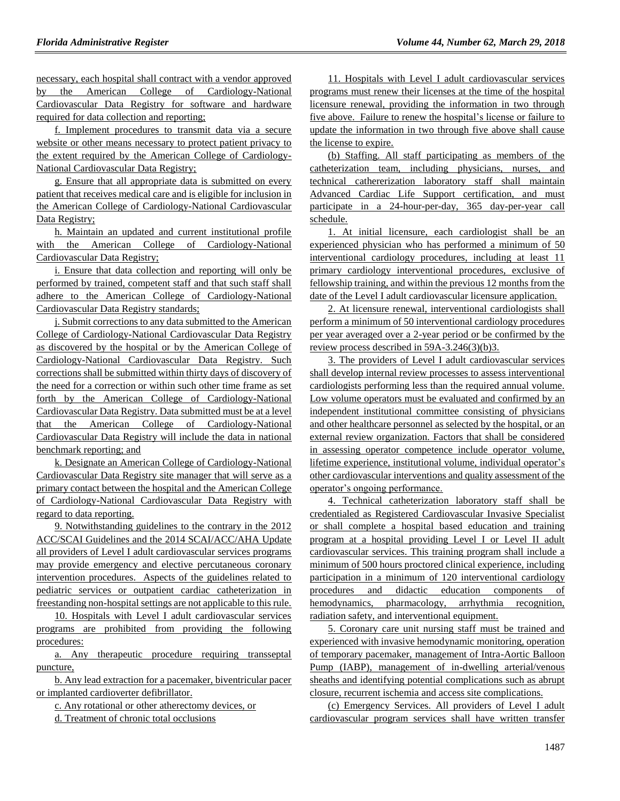necessary, each hospital shall contract with a vendor approved by the American College of Cardiology-National Cardiovascular Data Registry for software and hardware required for data collection and reporting;

f. Implement procedures to transmit data via a secure website or other means necessary to protect patient privacy to the extent required by the American College of Cardiology-National Cardiovascular Data Registry;

g. Ensure that all appropriate data is submitted on every patient that receives medical care and is eligible for inclusion in the American College of Cardiology-National Cardiovascular Data Registry;

h. Maintain an updated and current institutional profile with the American College of Cardiology-National Cardiovascular Data Registry;

i. Ensure that data collection and reporting will only be performed by trained, competent staff and that such staff shall adhere to the American College of Cardiology-National Cardiovascular Data Registry standards;

j. Submit corrections to any data submitted to the American College of Cardiology-National Cardiovascular Data Registry as discovered by the hospital or by the American College of Cardiology-National Cardiovascular Data Registry. Such corrections shall be submitted within thirty days of discovery of the need for a correction or within such other time frame as set forth by the American College of Cardiology-National Cardiovascular Data Registry. Data submitted must be at a level that the American College of Cardiology-National Cardiovascular Data Registry will include the data in national benchmark reporting; and

k. Designate an American College of Cardiology-National Cardiovascular Data Registry site manager that will serve as a primary contact between the hospital and the American College of Cardiology-National Cardiovascular Data Registry with regard to data reporting.

9. Notwithstanding guidelines to the contrary in the 2012 ACC/SCAI Guidelines and the 2014 SCAI/ACC/AHA Update all providers of Level I adult cardiovascular services programs may provide emergency and elective percutaneous coronary intervention procedures. Aspects of the guidelines related to pediatric services or outpatient cardiac catheterization in freestanding non-hospital settings are not applicable to this rule.

10. Hospitals with Level I adult cardiovascular services programs are prohibited from providing the following procedures:

a. Any therapeutic procedure requiring transseptal puncture,

b. Any lead extraction for a pacemaker, biventricular pacer or implanted cardioverter defibrillator.

c. Any rotational or other atherectomy devices, or

d. Treatment of chronic total occlusions

11. Hospitals with Level I adult cardiovascular services programs must renew their licenses at the time of the hospital licensure renewal, providing the information in two through five above. Failure to renew the hospital's license or failure to update the information in two through five above shall cause the license to expire.

(b) Staffing. All staff participating as members of the catheterization team, including physicians, nurses, and technical cathererization laboratory staff shall maintain Advanced Cardiac Life Support certification, and must participate in a 24-hour-per-day, 365 day-per-year call schedule.

1. At initial licensure, each cardiologist shall be an experienced physician who has performed a minimum of 50 interventional cardiology procedures, including at least 11 primary cardiology interventional procedures, exclusive of fellowship training, and within the previous 12 months from the date of the Level I adult cardiovascular licensure application.

2. At licensure renewal, interventional cardiologists shall perform a minimum of 50 interventional cardiology procedures per year averaged over a 2-year period or be confirmed by the review process described in 59A-3.246(3)(b)3.

3. The providers of Level I adult cardiovascular services shall develop internal review processes to assess interventional cardiologists performing less than the required annual volume. Low volume operators must be evaluated and confirmed by an independent institutional committee consisting of physicians and other healthcare personnel as selected by the hospital, or an external review organization. Factors that shall be considered in assessing operator competence include operator volume, lifetime experience, institutional volume, individual operator's other cardiovascular interventions and quality assessment of the operator's ongoing performance.

4. Technical catheterization laboratory staff shall be credentialed as Registered Cardiovascular Invasive Specialist or shall complete a hospital based education and training program at a hospital providing Level I or Level II adult cardiovascular services. This training program shall include a minimum of 500 hours proctored clinical experience, including participation in a minimum of 120 interventional cardiology procedures and didactic education components of hemodynamics, pharmacology, arrhythmia recognition, radiation safety, and interventional equipment.

5. Coronary care unit nursing staff must be trained and experienced with invasive hemodynamic monitoring, operation of temporary pacemaker, management of Intra-Aortic Balloon Pump (IABP), management of in-dwelling arterial/venous sheaths and identifying potential complications such as abrupt closure, recurrent ischemia and access site complications.

(c) Emergency Services. All providers of Level I adult cardiovascular program services shall have written transfer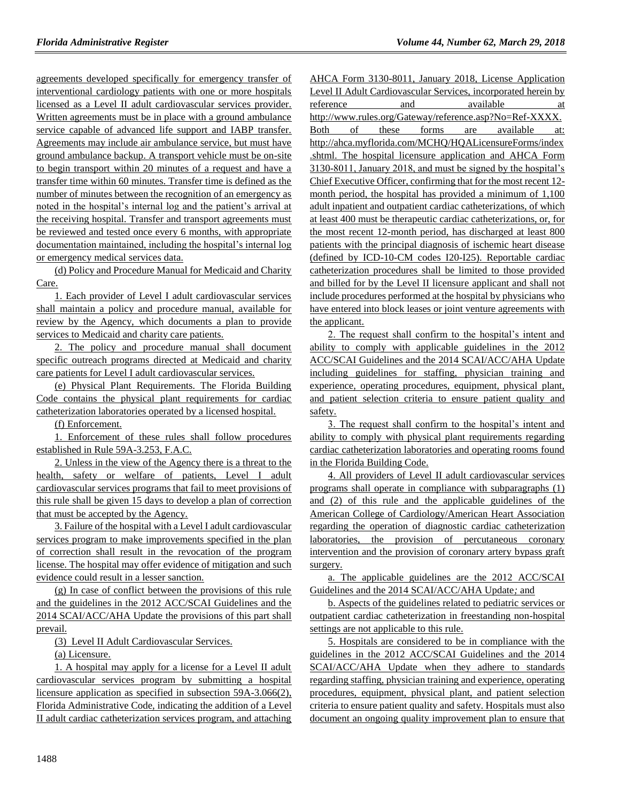agreements developed specifically for emergency transfer of interventional cardiology patients with one or more hospitals licensed as a Level II adult cardiovascular services provider. Written agreements must be in place with a ground ambulance service capable of advanced life support and IABP transfer. Agreements may include air ambulance service, but must have ground ambulance backup. A transport vehicle must be on-site to begin transport within 20 minutes of a request and have a transfer time within 60 minutes. Transfer time is defined as the number of minutes between the recognition of an emergency as noted in the hospital's internal log and the patient's arrival at the receiving hospital. Transfer and transport agreements must be reviewed and tested once every 6 months, with appropriate documentation maintained, including the hospital's internal log or emergency medical services data.

(d) Policy and Procedure Manual for Medicaid and Charity Care.

1. Each provider of Level I adult cardiovascular services shall maintain a policy and procedure manual, available for review by the Agency, which documents a plan to provide services to Medicaid and charity care patients.

2. The policy and procedure manual shall document specific outreach programs directed at Medicaid and charity care patients for Level I adult cardiovascular services.

(e) Physical Plant Requirements. The Florida Building Code contains the physical plant requirements for cardiac catheterization laboratories operated by a licensed hospital.

(f) Enforcement.

1. Enforcement of these rules shall follow procedures established in Rule 59A-3.253, F.A.C.

2. Unless in the view of the Agency there is a threat to the health, safety or welfare of patients, Level I adult cardiovascular services programs that fail to meet provisions of this rule shall be given 15 days to develop a plan of correction that must be accepted by the Agency.

3. Failure of the hospital with a Level I adult cardiovascular services program to make improvements specified in the plan of correction shall result in the revocation of the program license. The hospital may offer evidence of mitigation and such evidence could result in a lesser sanction.

(g) In case of conflict between the provisions of this rule and the guidelines in the 2012 ACC/SCAI Guidelines and the 2014 SCAI/ACC/AHA Update the provisions of this part shall prevail.

(3) Level II Adult Cardiovascular Services.

(a) Licensure.

1. A hospital may apply for a license for a Level II adult cardiovascular services program by submitting a hospital licensure application as specified in subsection 59A-3.066(2), Florida Administrative Code, indicating the addition of a Level II adult cardiac catheterization services program, and attaching

AHCA Form 3130-8011, January 2018, License Application Level II Adult Cardiovascular Services, incorporated herein by reference and available at http://www.rules.org/Gateway/reference.asp?No=Ref-XXXX. Both of these forms are available at: http://ahca.myflorida.com/MCHQ/HQALicensureForms/index .shtml. The hospital licensure application and AHCA Form 3130-8011, January 2018, and must be signed by the hospital's Chief Executive Officer, confirming that for the most recent 12 month period, the hospital has provided a minimum of 1,100 adult inpatient and outpatient cardiac catheterizations, of which at least 400 must be therapeutic cardiac catheterizations, or, for the most recent 12-month period, has discharged at least 800 patients with the principal diagnosis of ischemic heart disease (defined by ICD-10-CM codes I20-I25). Reportable cardiac catheterization procedures shall be limited to those provided and billed for by the Level II licensure applicant and shall not include procedures performed at the hospital by physicians who have entered into block leases or joint venture agreements with the applicant.

2. The request shall confirm to the hospital's intent and ability to comply with applicable guidelines in the 2012 ACC/SCAI Guidelines and the 2014 SCAI/ACC/AHA Update including guidelines for staffing, physician training and experience, operating procedures, equipment, physical plant, and patient selection criteria to ensure patient quality and safety.

3. The request shall confirm to the hospital's intent and ability to comply with physical plant requirements regarding cardiac catheterization laboratories and operating rooms found in the Florida Building Code.

4. All providers of Level II adult cardiovascular services programs shall operate in compliance with subparagraphs (1) and (2) of this rule and the applicable guidelines of the American College of Cardiology/American Heart Association regarding the operation of diagnostic cardiac catheterization laboratories, the provision of percutaneous coronary intervention and the provision of coronary artery bypass graft surgery.

a. The applicable guidelines are the 2012 ACC/SCAI Guidelines and the 2014 SCAI/ACC/AHA Update*;* and

b. Aspects of the guidelines related to pediatric services or outpatient cardiac catheterization in freestanding non-hospital settings are not applicable to this rule.

5. Hospitals are considered to be in compliance with the guidelines in the 2012 ACC/SCAI Guidelines and the 2014 SCAI/ACC/AHA Update when they adhere to standards regarding staffing, physician training and experience, operating procedures, equipment, physical plant, and patient selection criteria to ensure patient quality and safety. Hospitals must also document an ongoing quality improvement plan to ensure that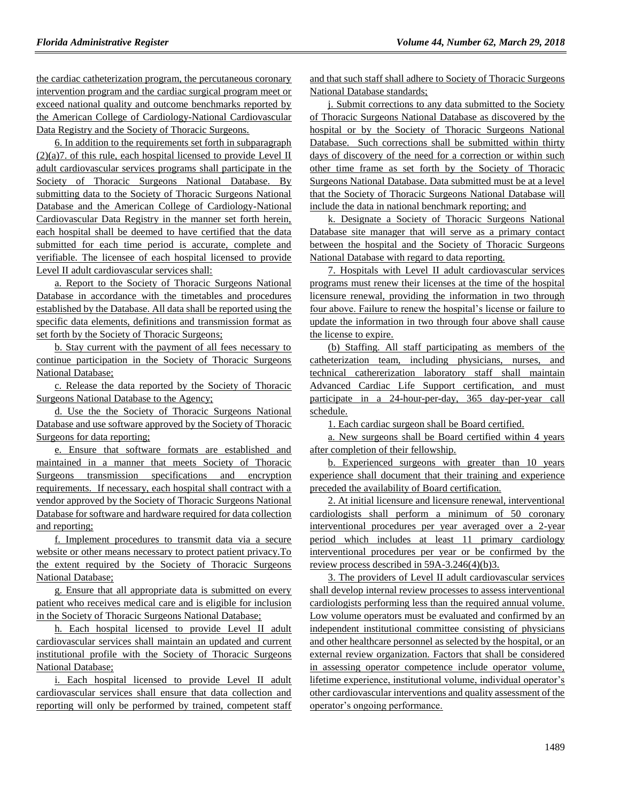the cardiac catheterization program, the percutaneous coronary intervention program and the cardiac surgical program meet or exceed national quality and outcome benchmarks reported by the American College of Cardiology-National Cardiovascular Data Registry and the Society of Thoracic Surgeons.

6. In addition to the requirements set forth in subparagraph  $(2)(a)7$ . of this rule, each hospital licensed to provide Level II adult cardiovascular services programs shall participate in the Society of Thoracic Surgeons National Database. By submitting data to the Society of Thoracic Surgeons National Database and the American College of Cardiology-National Cardiovascular Data Registry in the manner set forth herein, each hospital shall be deemed to have certified that the data submitted for each time period is accurate, complete and verifiable. The licensee of each hospital licensed to provide Level II adult cardiovascular services shall:

a. Report to the Society of Thoracic Surgeons National Database in accordance with the timetables and procedures established by the Database. All data shall be reported using the specific data elements, definitions and transmission format as set forth by the Society of Thoracic Surgeons;

b. Stay current with the payment of all fees necessary to continue participation in the Society of Thoracic Surgeons National Database;

c. Release the data reported by the Society of Thoracic Surgeons National Database to the Agency;

d. Use the the Society of Thoracic Surgeons National Database and use software approved by the Society of Thoracic Surgeons for data reporting;

e. Ensure that software formats are established and maintained in a manner that meets Society of Thoracic Surgeons transmission specifications and encryption requirements. If necessary, each hospital shall contract with a vendor approved by the Society of Thoracic Surgeons National Database for software and hardware required for data collection and reporting;

f. Implement procedures to transmit data via a secure website or other means necessary to protect patient privacy.To the extent required by the Society of Thoracic Surgeons National Database;

g. Ensure that all appropriate data is submitted on every patient who receives medical care and is eligible for inclusion in the Society of Thoracic Surgeons National Database;

h. Each hospital licensed to provide Level II adult cardiovascular services shall maintain an updated and current institutional profile with the Society of Thoracic Surgeons National Database;

i. Each hospital licensed to provide Level II adult cardiovascular services shall ensure that data collection and reporting will only be performed by trained, competent staff and that such staff shall adhere to Society of Thoracic Surgeons National Database standards;

j. Submit corrections to any data submitted to the Society of Thoracic Surgeons National Database as discovered by the hospital or by the Society of Thoracic Surgeons National Database. Such corrections shall be submitted within thirty days of discovery of the need for a correction or within such other time frame as set forth by the Society of Thoracic Surgeons National Database. Data submitted must be at a level that the Society of Thoracic Surgeons National Database will include the data in national benchmark reporting; and

k. Designate a Society of Thoracic Surgeons National Database site manager that will serve as a primary contact between the hospital and the Society of Thoracic Surgeons National Database with regard to data reporting.

7. Hospitals with Level II adult cardiovascular services programs must renew their licenses at the time of the hospital licensure renewal, providing the information in two through four above. Failure to renew the hospital's license or failure to update the information in two through four above shall cause the license to expire.

(b) Staffing. All staff participating as members of the catheterization team, including physicians, nurses, and technical cathererization laboratory staff shall maintain Advanced Cardiac Life Support certification, and must participate in a 24-hour-per-day, 365 day-per-year call schedule.

1. Each cardiac surgeon shall be Board certified.

a. New surgeons shall be Board certified within 4 years after completion of their fellowship.

b. Experienced surgeons with greater than 10 years experience shall document that their training and experience preceded the availability of Board certification.

2. At initial licensure and licensure renewal, interventional cardiologists shall perform a minimum of 50 coronary interventional procedures per year averaged over a 2-year period which includes at least 11 primary cardiology interventional procedures per year or be confirmed by the review process described in 59A-3.246(4)(b)3.

3. The providers of Level II adult cardiovascular services shall develop internal review processes to assess interventional cardiologists performing less than the required annual volume. Low volume operators must be evaluated and confirmed by an independent institutional committee consisting of physicians and other healthcare personnel as selected by the hospital, or an external review organization. Factors that shall be considered in assessing operator competence include operator volume, lifetime experience, institutional volume, individual operator's other cardiovascular interventions and quality assessment of the operator's ongoing performance.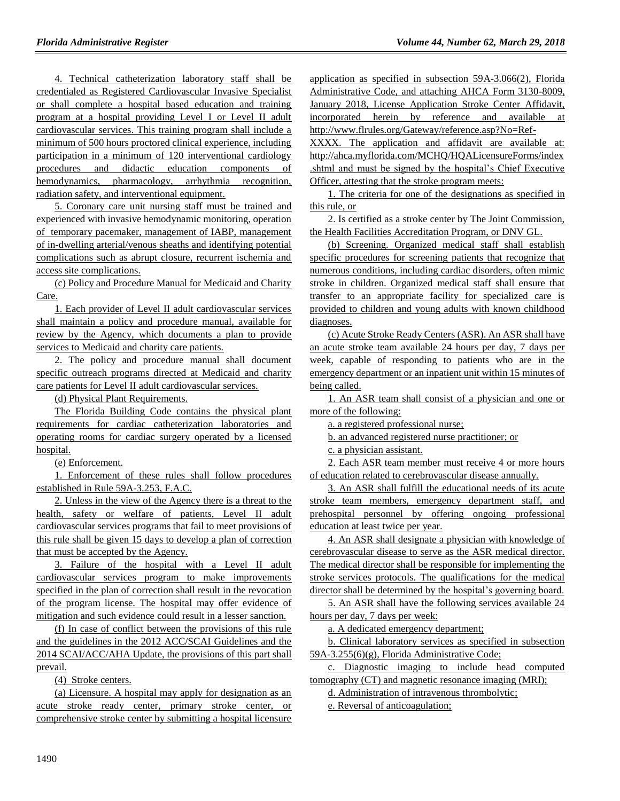4. Technical catheterization laboratory staff shall be credentialed as Registered Cardiovascular Invasive Specialist or shall complete a hospital based education and training program at a hospital providing Level I or Level II adult cardiovascular services. This training program shall include a minimum of 500 hours proctored clinical experience, including participation in a minimum of 120 interventional cardiology procedures and didactic education components of hemodynamics, pharmacology, arrhythmia recognition, radiation safety, and interventional equipment.

5. Coronary care unit nursing staff must be trained and experienced with invasive hemodynamic monitoring, operation of temporary pacemaker, management of IABP, management of in-dwelling arterial/venous sheaths and identifying potential complications such as abrupt closure, recurrent ischemia and access site complications.

(c) Policy and Procedure Manual for Medicaid and Charity Care.

1. Each provider of Level II adult cardiovascular services shall maintain a policy and procedure manual, available for review by the Agency, which documents a plan to provide services to Medicaid and charity care patients.

2. The policy and procedure manual shall document specific outreach programs directed at Medicaid and charity care patients for Level II adult cardiovascular services.

(d) Physical Plant Requirements.

The Florida Building Code contains the physical plant requirements for cardiac catheterization laboratories and operating rooms for cardiac surgery operated by a licensed hospital.

(e) Enforcement.

1. Enforcement of these rules shall follow procedures established in Rule 59A-3.253, F.A.C.

2. Unless in the view of the Agency there is a threat to the health, safety or welfare of patients, Level II adult cardiovascular services programs that fail to meet provisions of this rule shall be given 15 days to develop a plan of correction that must be accepted by the Agency.

3. Failure of the hospital with a Level II adult cardiovascular services program to make improvements specified in the plan of correction shall result in the revocation of the program license. The hospital may offer evidence of mitigation and such evidence could result in a lesser sanction.

(f) In case of conflict between the provisions of this rule and the guidelines in the 2012 ACC/SCAI Guidelines and the 2014 SCAI/ACC/AHA Update, the provisions of this part shall prevail.

(4) Stroke centers.

(a) Licensure. A hospital may apply for designation as an acute stroke ready center, primary stroke center, or comprehensive stroke center by submitting a hospital licensure

application as specified in subsection 59A-3.066(2), Florida Administrative Code, and attaching AHCA Form 3130-8009, January 2018, License Application Stroke Center Affidavit, incorporated herein by reference and available at http://www.flrules.org/Gateway/reference.asp?No=Ref-

XXXX. The application and affidavit are available at: http://ahca.myflorida.com/MCHQ/HQALicensureForms/index .shtml and must be signed by the hospital's Chief Executive Officer, attesting that the stroke program meets:

1. The criteria for one of the designations as specified in this rule, or

2. Is certified as a stroke center by The Joint Commission, the Health Facilities Accreditation Program, or DNV GL.

(b) Screening. Organized medical staff shall establish specific procedures for screening patients that recognize that numerous conditions, including cardiac disorders, often mimic stroke in children. Organized medical staff shall ensure that transfer to an appropriate facility for specialized care is provided to children and young adults with known childhood diagnoses.

(c) Acute Stroke Ready Centers (ASR). An ASR shall have an acute stroke team available 24 hours per day, 7 days per week, capable of responding to patients who are in the emergency department or an inpatient unit within 15 minutes of being called.

1. An ASR team shall consist of a physician and one or more of the following:

a. a registered professional nurse;

b. an advanced registered nurse practitioner; or

c. a physician assistant.

2. Each ASR team member must receive 4 or more hours of education related to cerebrovascular disease annually.

3. An ASR shall fulfill the educational needs of its acute stroke team members, emergency department staff, and prehospital personnel by offering ongoing professional education at least twice per year.

4. An ASR shall designate a physician with knowledge of cerebrovascular disease to serve as the ASR medical director. The medical director shall be responsible for implementing the stroke services protocols. The qualifications for the medical director shall be determined by the hospital's governing board.

5. An ASR shall have the following services available 24 hours per day, 7 days per week:

a. A dedicated emergency department;

b. Clinical laboratory services as specified in subsection 59A-3.255(6)(g), Florida Administrative Code;

c. Diagnostic imaging to include head computed tomography (CT) and magnetic resonance imaging (MRI);

d. Administration of intravenous thrombolytic;

e. Reversal of anticoagulation;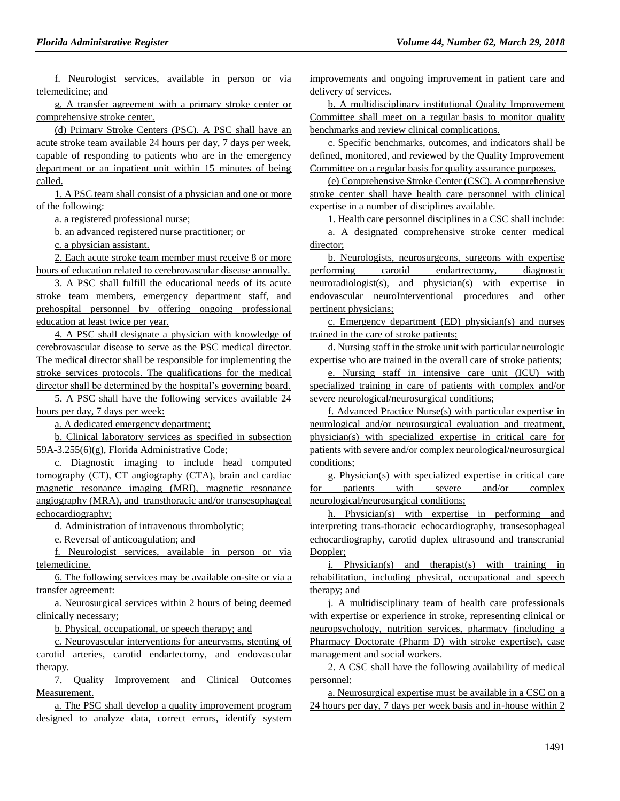f. Neurologist services, available in person or via telemedicine; and

g. A transfer agreement with a primary stroke center or comprehensive stroke center.

(d) Primary Stroke Centers (PSC). A PSC shall have an acute stroke team available 24 hours per day, 7 days per week, capable of responding to patients who are in the emergency department or an inpatient unit within 15 minutes of being called.

1. A PSC team shall consist of a physician and one or more of the following:

a. a registered professional nurse;

b. an advanced registered nurse practitioner; or

c. a physician assistant.

2. Each acute stroke team member must receive 8 or more hours of education related to cerebrovascular disease annually.

3. A PSC shall fulfill the educational needs of its acute stroke team members, emergency department staff, and prehospital personnel by offering ongoing professional education at least twice per year.

4. A PSC shall designate a physician with knowledge of cerebrovascular disease to serve as the PSC medical director. The medical director shall be responsible for implementing the stroke services protocols. The qualifications for the medical director shall be determined by the hospital's governing board.

5. A PSC shall have the following services available 24 hours per day, 7 days per week:

a. A dedicated emergency department;

b. Clinical laboratory services as specified in subsection 59A-3.255(6)(g), Florida Administrative Code;

c. Diagnostic imaging to include head computed tomography (CT), CT angiography (CTA), brain and cardiac magnetic resonance imaging (MRI), magnetic resonance angiography (MRA), and transthoracic and/or transesophageal echocardiography;

d. Administration of intravenous thrombolytic;

e. Reversal of anticoagulation; and

f. Neurologist services, available in person or via telemedicine.

6. The following services may be available on-site or via a transfer agreement:

a. Neurosurgical services within 2 hours of being deemed clinically necessary;

b. Physical, occupational, or speech therapy; and

c. Neurovascular interventions for aneurysms, stenting of carotid arteries, carotid endartectomy, and endovascular therapy.

7. Quality Improvement and Clinical Outcomes Measurement.

a. The PSC shall develop a quality improvement program designed to analyze data, correct errors, identify system improvements and ongoing improvement in patient care and delivery of services.

b. A multidisciplinary institutional Quality Improvement Committee shall meet on a regular basis to monitor quality benchmarks and review clinical complications.

c. Specific benchmarks, outcomes, and indicators shall be defined, monitored, and reviewed by the Quality Improvement Committee on a regular basis for quality assurance purposes.

(e) Comprehensive Stroke Center (CSC). A comprehensive stroke center shall have health care personnel with clinical expertise in a number of disciplines available.

1. Health care personnel disciplines in a CSC shall include:

a. A designated comprehensive stroke center medical director;

b. Neurologists, neurosurgeons, surgeons with expertise performing carotid endartrectomy, diagnostic neuroradiologist(s), and physician(s) with expertise in endovascular neuroInterventional procedures and other pertinent physicians;

c. Emergency department (ED) physician(s) and nurses trained in the care of stroke patients;

d. Nursing staff in the stroke unit with particular neurologic expertise who are trained in the overall care of stroke patients;

e. Nursing staff in intensive care unit (ICU) with specialized training in care of patients with complex and/or severe neurological/neurosurgical conditions;

f. Advanced Practice Nurse(s) with particular expertise in neurological and/or neurosurgical evaluation and treatment, physician(s) with specialized expertise in critical care for patients with severe and/or complex neurological/neurosurgical conditions;

g. Physician(s) with specialized expertise in critical care for patients with severe and/or complex neurological/neurosurgical conditions;

h. Physician(s) with expertise in performing and interpreting trans-thoracic echocardiography, transesophageal echocardiography, carotid duplex ultrasound and transcranial Doppler;

i. Physician(s) and therapist(s) with training in rehabilitation, including physical, occupational and speech therapy; and

j. A multidisciplinary team of health care professionals with expertise or experience in stroke, representing clinical or neuropsychology, nutrition services, pharmacy (including a Pharmacy Doctorate (Pharm D) with stroke expertise), case management and social workers.

2. A CSC shall have the following availability of medical personnel:

a. Neurosurgical expertise must be available in a CSC on a 24 hours per day, 7 days per week basis and in-house within 2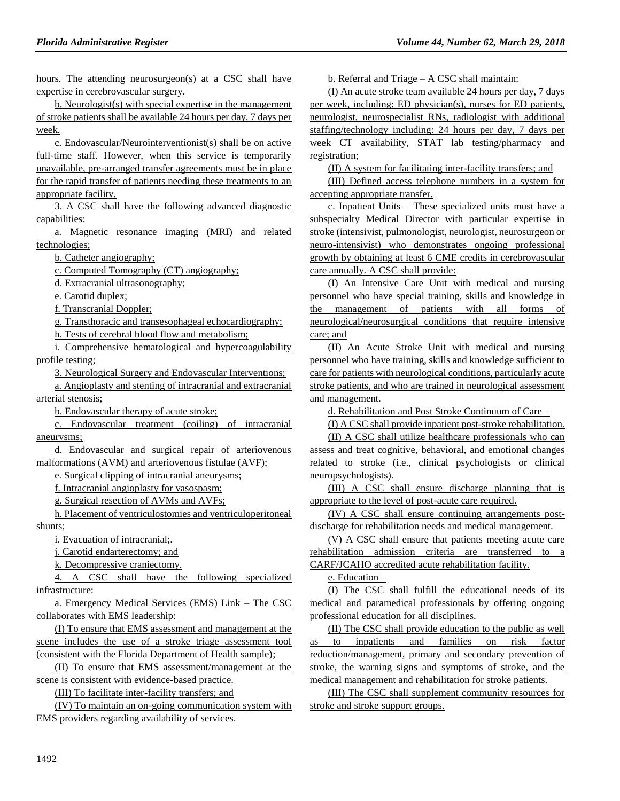hours. The attending neurosurgeon(s) at a CSC shall have expertise in cerebrovascular surgery.

b. Neurologist(s) with special expertise in the management of stroke patients shall be available 24 hours per day, 7 days per week.

c. Endovascular/Neurointerventionist(s) shall be on active full-time staff. However, when this service is temporarily unavailable, pre-arranged transfer agreements must be in place for the rapid transfer of patients needing these treatments to an appropriate facility.

3. A CSC shall have the following advanced diagnostic capabilities:

a. Magnetic resonance imaging (MRI) and related technologies;

b. Catheter angiography;

c. Computed Tomography (CT) angiography;

d. Extracranial ultrasonography;

e. Carotid duplex;

f. Transcranial Doppler;

g. Transthoracic and transesophageal echocardiography;

h. Tests of cerebral blood flow and metabolism;

i. Comprehensive hematological and hypercoagulability profile testing;

3. Neurological Surgery and Endovascular Interventions;

a. Angioplasty and stenting of intracranial and extracranial arterial stenosis;

b. Endovascular therapy of acute stroke;

c. Endovascular treatment (coiling) of intracranial aneurysms;

d. Endovascular and surgical repair of arteriovenous malformations (AVM) and arteriovenous fistulae (AVF);

e. Surgical clipping of intracranial aneurysms;

f. Intracranial angioplasty for vasospasm;

g. Surgical resection of AVMs and AVFs;

h. Placement of ventriculostomies and ventriculoperitoneal shunts;

i. Evacuation of intracranial;.

j. Carotid endarterectomy; and

k. Decompressive craniectomy.

4. A CSC shall have the following specialized infrastructure:

a. Emergency Medical Services (EMS) Link – The CSC collaborates with EMS leadership:

(I) To ensure that EMS assessment and management at the scene includes the use of a stroke triage assessment tool (consistent with the Florida Department of Health sample);

(II) To ensure that EMS assessment/management at the scene is consistent with evidence-based practice.

(III) To facilitate inter-facility transfers; and

(IV) To maintain an on-going communication system with EMS providers regarding availability of services.

b. Referral and Triage – A CSC shall maintain:

(I) An acute stroke team available 24 hours per day, 7 days per week, including: ED physician(s), nurses for ED patients, neurologist, neurospecialist RNs, radiologist with additional staffing/technology including: 24 hours per day, 7 days per week CT availability, STAT lab testing/pharmacy and registration;

(II) A system for facilitating inter-facility transfers; and

(III) Defined access telephone numbers in a system for accepting appropriate transfer.

c. Inpatient Units – These specialized units must have a subspecialty Medical Director with particular expertise in stroke (intensivist, pulmonologist, neurologist, neurosurgeon or neuro-intensivist) who demonstrates ongoing professional growth by obtaining at least 6 CME credits in cerebrovascular care annually. A CSC shall provide:

(I) An Intensive Care Unit with medical and nursing personnel who have special training, skills and knowledge in the management of patients with all forms of neurological/neurosurgical conditions that require intensive care; and

(II) An Acute Stroke Unit with medical and nursing personnel who have training, skills and knowledge sufficient to care for patients with neurological conditions, particularly acute stroke patients, and who are trained in neurological assessment and management.

d. Rehabilitation and Post Stroke Continuum of Care –

(I) A CSC shall provide inpatient post-stroke rehabilitation.

(II) A CSC shall utilize healthcare professionals who can assess and treat cognitive, behavioral, and emotional changes related to stroke (i.e., clinical psychologists or clinical neuropsychologists).

(III) A CSC shall ensure discharge planning that is appropriate to the level of post-acute care required.

(IV) A CSC shall ensure continuing arrangements postdischarge for rehabilitation needs and medical management.

(V) A CSC shall ensure that patients meeting acute care rehabilitation admission criteria are transferred to a

CARF/JCAHO accredited acute rehabilitation facility.

e. Education –

(I) The CSC shall fulfill the educational needs of its medical and paramedical professionals by offering ongoing professional education for all disciplines.

(II) The CSC shall provide education to the public as well as to inpatients and families on risk factor reduction/management, primary and secondary prevention of stroke, the warning signs and symptoms of stroke, and the medical management and rehabilitation for stroke patients.

(III) The CSC shall supplement community resources for stroke and stroke support groups.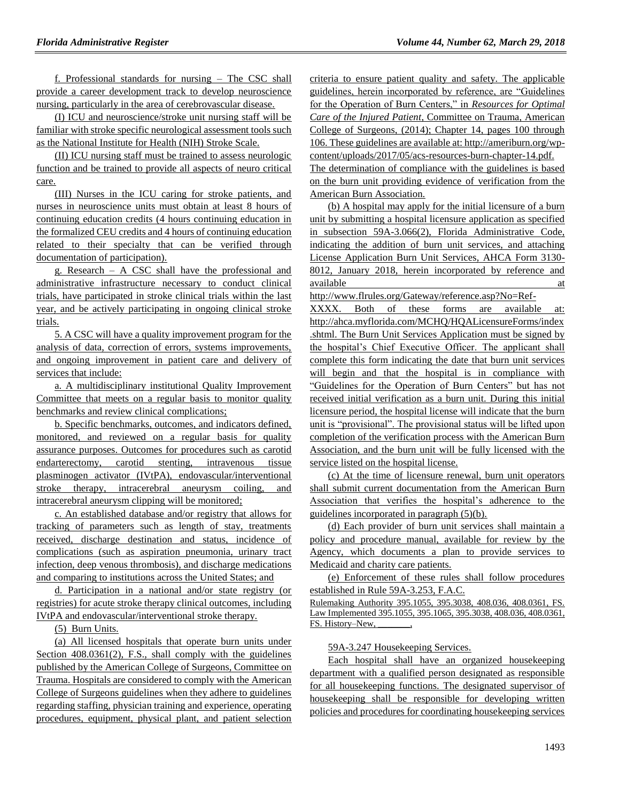f. Professional standards for nursing – The CSC shall provide a career development track to develop neuroscience nursing, particularly in the area of cerebrovascular disease.

(I) ICU and neuroscience/stroke unit nursing staff will be familiar with stroke specific neurological assessment tools such as the National Institute for Health (NIH) Stroke Scale.

(II) ICU nursing staff must be trained to assess neurologic function and be trained to provide all aspects of neuro critical care.

(III) Nurses in the ICU caring for stroke patients, and nurses in neuroscience units must obtain at least 8 hours of continuing education credits (4 hours continuing education in the formalized CEU credits and 4 hours of continuing education related to their specialty that can be verified through documentation of participation).

g. Research – A CSC shall have the professional and administrative infrastructure necessary to conduct clinical trials, have participated in stroke clinical trials within the last year, and be actively participating in ongoing clinical stroke trials.

5. A CSC will have a quality improvement program for the analysis of data, correction of errors, systems improvements, and ongoing improvement in patient care and delivery of services that include:

a. A multidisciplinary institutional Quality Improvement Committee that meets on a regular basis to monitor quality benchmarks and review clinical complications;

b. Specific benchmarks, outcomes, and indicators defined, monitored, and reviewed on a regular basis for quality assurance purposes. Outcomes for procedures such as carotid endarterectomy, carotid stenting, intravenous tissue plasminogen activator (IVtPA), endovascular/interventional stroke therapy, intracerebral aneurysm coiling, and intracerebral aneurysm clipping will be monitored;

c. An established database and/or registry that allows for tracking of parameters such as length of stay, treatments received, discharge destination and status, incidence of complications (such as aspiration pneumonia, urinary tract infection, deep venous thrombosis), and discharge medications and comparing to institutions across the United States; and

d. Participation in a national and/or state registry (or registries) for acute stroke therapy clinical outcomes, including IVtPA and endovascular/interventional stroke therapy.

(5) Burn Units.

(a) All licensed hospitals that operate burn units under Section  $408.0361(2)$ , F.S., shall comply with the guidelines published by the American College of Surgeons, Committee on Trauma. Hospitals are considered to comply with the American College of Surgeons guidelines when they adhere to guidelines regarding staffing, physician training and experience, operating procedures, equipment, physical plant, and patient selection criteria to ensure patient quality and safety. The applicable guidelines, herein incorporated by reference, are "Guidelines for the Operation of Burn Centers," in *Resources for Optimal Care of the Injured Patient*, Committee on Trauma, American College of Surgeons, (2014); Chapter 14, pages 100 through 106. These guidelines are available at: http://ameriburn.org/wpcontent/uploads/2017/05/acs-resources-burn-chapter-14.pdf. The determination of compliance with the guidelines is based on the burn unit providing evidence of verification from the American Burn Association.

(b) A hospital may apply for the initial licensure of a burn unit by submitting a hospital licensure application as specified in subsection 59A-3.066(2), Florida Administrative Code, indicating the addition of burn unit services, and attaching License Application Burn Unit Services, AHCA Form 3130- 8012, January 2018, herein incorporated by reference and available at a state of  $\alpha$  at a state of  $\alpha$  at a state of  $\alpha$  at a state of  $\alpha$  at a state of  $\alpha$  at a state of  $\alpha$  at a state of  $\alpha$  at a state of  $\alpha$  at a state of  $\alpha$  at a state of  $\alpha$  at a state of  $\alpha$  at

http://www.flrules.org/Gateway/reference.asp?No=Ref-

XXXX. Both of these forms are available at: http://ahca.myflorida.com/MCHQ/HQALicensureForms/index .shtml. The Burn Unit Services Application must be signed by the hospital's Chief Executive Officer. The applicant shall complete this form indicating the date that burn unit services will begin and that the hospital is in compliance with "Guidelines for the Operation of Burn Centers" but has not received initial verification as a burn unit. During this initial licensure period, the hospital license will indicate that the burn unit is "provisional". The provisional status will be lifted upon completion of the verification process with the American Burn Association, and the burn unit will be fully licensed with the service listed on the hospital license.

(c) At the time of licensure renewal, burn unit operators shall submit current documentation from the American Burn Association that verifies the hospital's adherence to the guidelines incorporated in paragraph (5)(b).

(d) Each provider of burn unit services shall maintain a policy and procedure manual, available for review by the Agency, which documents a plan to provide services to Medicaid and charity care patients.

(e) Enforcement of these rules shall follow procedures established in Rule 59A-3.253, F.A.C.

Rulemaking Authority 395.1055, 395.3038, 408.036, 408.0361, FS. Law Implemented 395.1055, 395.1065, 395.3038, 408.036, 408.0361, FS. History–New,

59A-3.247 Housekeeping Services.

Each hospital shall have an organized housekeeping department with a qualified person designated as responsible for all housekeeping functions. The designated supervisor of housekeeping shall be responsible for developing written policies and procedures for coordinating housekeeping services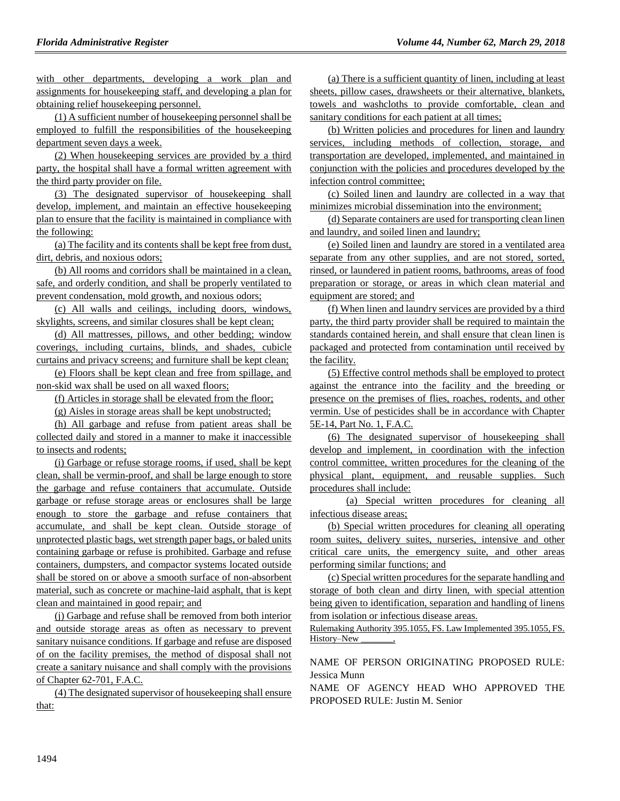with other departments, developing a work plan and assignments for housekeeping staff, and developing a plan for obtaining relief housekeeping personnel.

(1) A sufficient number of housekeeping personnel shall be employed to fulfill the responsibilities of the housekeeping department seven days a week.

(2) When housekeeping services are provided by a third party, the hospital shall have a formal written agreement with the third party provider on file.

(3) The designated supervisor of housekeeping shall develop, implement, and maintain an effective housekeeping plan to ensure that the facility is maintained in compliance with the following:

(a) The facility and its contents shall be kept free from dust, dirt, debris, and noxious odors;

(b) All rooms and corridors shall be maintained in a clean, safe, and orderly condition, and shall be properly ventilated to prevent condensation, mold growth, and noxious odors;

(c) All walls and ceilings, including doors, windows, skylights, screens, and similar closures shall be kept clean;

(d) All mattresses, pillows, and other bedding; window coverings, including curtains, blinds, and shades, cubicle curtains and privacy screens; and furniture shall be kept clean;

(e) Floors shall be kept clean and free from spillage, and non-skid wax shall be used on all waxed floors;

(f) Articles in storage shall be elevated from the floor;

(g) Aisles in storage areas shall be kept unobstructed;

(h) All garbage and refuse from patient areas shall be collected daily and stored in a manner to make it inaccessible to insects and rodents;

(i) Garbage or refuse storage rooms, if used, shall be kept clean, shall be vermin-proof, and shall be large enough to store the garbage and refuse containers that accumulate. Outside garbage or refuse storage areas or enclosures shall be large enough to store the garbage and refuse containers that accumulate, and shall be kept clean. Outside storage of unprotected plastic bags, wet strength paper bags, or baled units containing garbage or refuse is prohibited. Garbage and refuse containers, dumpsters, and compactor systems located outside shall be stored on or above a smooth surface of non-absorbent material, such as concrete or machine-laid asphalt, that is kept clean and maintained in good repair; and

(j) Garbage and refuse shall be removed from both interior and outside storage areas as often as necessary to prevent sanitary nuisance conditions. If garbage and refuse are disposed of on the facility premises, the method of disposal shall not create a sanitary nuisance and shall comply with the provisions of Chapter 62-701, F.A.C.

(4) The designated supervisor of housekeeping shall ensure that:

(a) There is a sufficient quantity of linen, including at least sheets, pillow cases, drawsheets or their alternative, blankets, towels and washcloths to provide comfortable, clean and sanitary conditions for each patient at all times;

(b) Written policies and procedures for linen and laundry services, including methods of collection, storage, and transportation are developed, implemented, and maintained in conjunction with the policies and procedures developed by the infection control committee;

(c) Soiled linen and laundry are collected in a way that minimizes microbial dissemination into the environment;

(d) Separate containers are used for transporting clean linen and laundry, and soiled linen and laundry;

(e) Soiled linen and laundry are stored in a ventilated area separate from any other supplies, and are not stored, sorted, rinsed, or laundered in patient rooms, bathrooms, areas of food preparation or storage, or areas in which clean material and equipment are stored; and

(f) When linen and laundry services are provided by a third party, the third party provider shall be required to maintain the standards contained herein, and shall ensure that clean linen is packaged and protected from contamination until received by the facility.

(5) Effective control methods shall be employed to protect against the entrance into the facility and the breeding or presence on the premises of flies, roaches, rodents, and other vermin. Use of pesticides shall be in accordance with Chapter 5E-14, Part No. 1, F.A.C.

(6) The designated supervisor of housekeeping shall develop and implement, in coordination with the infection control committee, written procedures for the cleaning of the physical plant, equipment, and reusable supplies. Such procedures shall include:

(a) Special written procedures for cleaning all infectious disease areas;

(b) Special written procedures for cleaning all operating room suites, delivery suites, nurseries, intensive and other critical care units, the emergency suite, and other areas performing similar functions; and

(c) Special written procedures for the separate handling and storage of both clean and dirty linen, with special attention being given to identification, separation and handling of linens from isolation or infectious disease areas.

Rulemaking Authority 395.1055, FS. Law Implemented 395.1055, FS. History–New

NAME OF PERSON ORIGINATING PROPOSED RULE: Jessica Munn

NAME OF AGENCY HEAD WHO APPROVED THE PROPOSED RULE: Justin M. Senior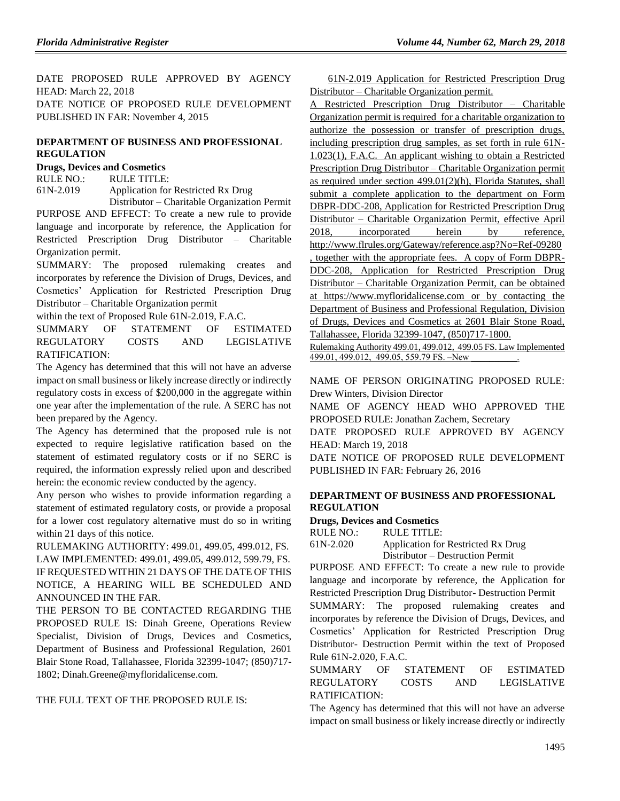DATE PROPOSED RULE APPROVED BY AGENCY HEAD: March 22, 2018 DATE NOTICE OF PROPOSED RULE DEVELOPMENT PUBLISHED IN FAR: November 4, 2015

## **[DEPARTMENT OF BUSINESS AND PROFESSIONAL](https://www.flrules.org/gateway/department.asp?id=61)  [REGULATION](https://www.flrules.org/gateway/department.asp?id=61)**

## **[Drugs, Devices and Cosmetics](https://www.flrules.org/gateway/organization.asp?id=1057)**

RULE NO.: RULE TITLE: [61N-2.019](https://www.flrules.org/gateway/ruleNo.asp?id=61N-2.019) Application for Restricted Rx Drug Distributor – Charitable Organization Permit

PURPOSE AND EFFECT: To create a new rule to provide language and incorporate by reference, the Application for Restricted Prescription Drug Distributor – Charitable Organization permit.

SUMMARY: The proposed rulemaking creates and incorporates by reference the Division of Drugs, Devices, and Cosmetics' Application for Restricted Prescription Drug Distributor – Charitable Organization permit

within the text of Proposed Rule 61N-2.019, F.A.C.

SUMMARY OF STATEMENT OF ESTIMATED REGULATORY COSTS AND LEGISLATIVE RATIFICATION:

The Agency has determined that this will not have an adverse impact on small business or likely increase directly or indirectly regulatory costs in excess of \$200,000 in the aggregate within one year after the implementation of the rule. A SERC has not been prepared by the Agency.

The Agency has determined that the proposed rule is not expected to require legislative ratification based on the statement of estimated regulatory costs or if no SERC is required, the information expressly relied upon and described herein: the economic review conducted by the agency.

Any person who wishes to provide information regarding a statement of estimated regulatory costs, or provide a proposal for a lower cost regulatory alternative must do so in writing within 21 days of this notice.

RULEMAKING AUTHORITY: [499.01,](https://www.flrules.org/gateway/statute.asp?id=499.01) [499.05,](https://www.flrules.org/gateway/statute.asp?id=%20499.05) [499.012,](https://www.flrules.org/gateway/statute.asp?id=%20499.012) FS. LAW IMPLEMENTED: [499.01,](https://www.flrules.org/gateway/statute.asp?id=499.01) [499.05,](https://www.flrules.org/gateway/statute.asp?id=%20499.05) [499.012,](https://www.flrules.org/gateway/statute.asp?id=%20499.012) [599.79,](https://www.flrules.org/gateway/statute.asp?id=%20599.79) FS. IF REQUESTED WITHIN 21 DAYS OF THE DATE OF THIS NOTICE, A HEARING WILL BE SCHEDULED AND ANNOUNCED IN THE FAR.

THE PERSON TO BE CONTACTED REGARDING THE PROPOSED RULE IS: Dinah Greene, Operations Review Specialist, Division of Drugs, Devices and Cosmetics, Department of Business and Professional Regulation, 2601 Blair Stone Road, Tallahassee, Florida 32399-1047; (850)717- 1802; Dinah.Greene@myfloridalicense.com.

THE FULL TEXT OF THE PROPOSED RULE IS:

61N-2.019 Application for Restricted Prescription Drug Distributor – Charitable Organization permit.

A Restricted Prescription Drug Distributor – Charitable Organization permit is required for a charitable organization to authorize the possession or transfer of prescription drugs, including prescription drug samples, as set forth in rule 61N-1.023(1), F.A.C. An applicant wishing to obtain a Restricted Prescription Drug Distributor – Charitable Organization permit as required under section 499.01(2)(h), Florida Statutes, shall submit a complete application to the department on Form DBPR-DDC-208, Application for Restricted Prescription Drug Distributor – Charitable Organization Permit, effective April 2018, incorporated herein by reference, [http://www.flrules.org/Gateway/reference.asp?No=Ref-09280](https://www.flrules.org/Gateway/reference.asp?No=Ref-09280) , together with the appropriate fees. A copy of Form DBPR-DDC-208, Application for Restricted Prescription Drug Distributor – Charitable Organization Permit, can be obtained at [https://www.myfloridalicense.com](https://www.myfloridalicense.com/) or by contacting the Department of Business and Professional Regulation, Division of Drugs, Devices and Cosmetics at 2601 Blair Stone Road, Tallahassee, Florida 32399-1047, (850)717-1800.

Rulemaking Authority 499.01, 499.012, 499.05 FS. Law Implemented 499.01, 499.012, 499.05, 559.79 FS. –New

NAME OF PERSON ORIGINATING PROPOSED RULE: Drew Winters, Division Director

NAME OF AGENCY HEAD WHO APPROVED THE PROPOSED RULE: Jonathan Zachem, Secretary

DATE PROPOSED RULE APPROVED BY AGENCY HEAD: March 19, 2018

DATE NOTICE OF PROPOSED RULE DEVELOPMENT PUBLISHED IN FAR: February 26, 2016

### **[DEPARTMENT OF BUSINESS AND PROFESSIONAL](https://www.flrules.org/gateway/department.asp?id=61)  [REGULATION](https://www.flrules.org/gateway/department.asp?id=61)**

#### **[Drugs, Devices and Cosmetics](https://www.flrules.org/gateway/organization.asp?id=1057)**

 $RULE NO \cdot RULE TITLE \cdot$ 

| 61N-2.020 | Application for Restricted Rx Drug |
|-----------|------------------------------------|
|           | Distributor – Destruction Permit   |

PURPOSE AND EFFECT: To create a new rule to provide language and incorporate by reference, the Application for Restricted Prescription Drug Distributor- Destruction Permit

SUMMARY: The proposed rulemaking creates and incorporates by reference the Division of Drugs, Devices, and Cosmetics' Application for Restricted Prescription Drug Distributor- Destruction Permit within the text of Proposed Rule 61N-2.020, F.A.C.

SUMMARY OF STATEMENT OF ESTIMATED REGULATORY COSTS AND LEGISLATIVE RATIFICATION:

The Agency has determined that this will not have an adverse impact on small business or likely increase directly or indirectly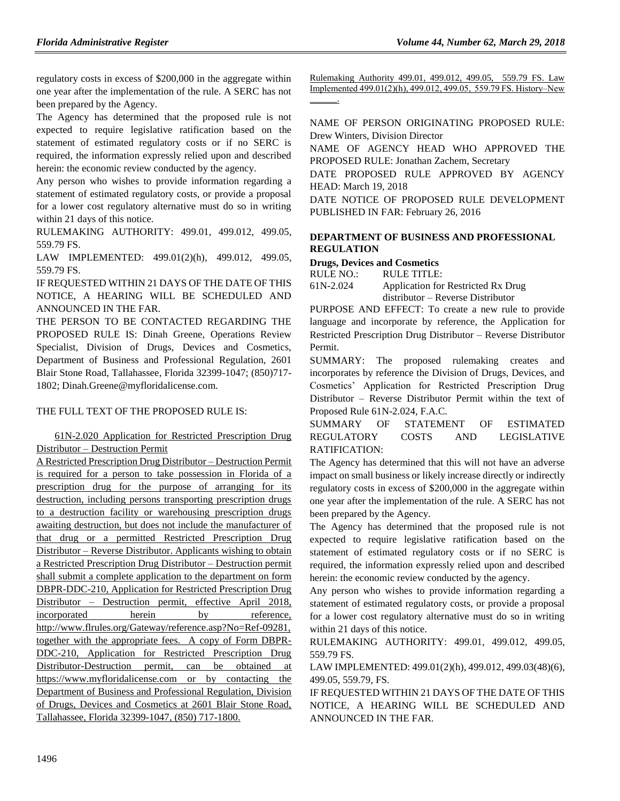regulatory costs in excess of \$200,000 in the aggregate within one year after the implementation of the rule. A SERC has not been prepared by the Agency.

The Agency has determined that the proposed rule is not expected to require legislative ratification based on the statement of estimated regulatory costs or if no SERC is required, the information expressly relied upon and described herein: the economic review conducted by the agency.

Any person who wishes to provide information regarding a statement of estimated regulatory costs, or provide a proposal for a lower cost regulatory alternative must do so in writing within 21 days of this notice.

RULEMAKING AUTHORITY: [499.01,](https://www.flrules.org/gateway/statute.asp?id=499.01) [499.012,](https://www.flrules.org/gateway/statute.asp?id=%20499.012) [499.05,](https://www.flrules.org/gateway/statute.asp?id=%20499.05) [559.79 FS.](https://www.flrules.org/gateway/statute.asp?id=%20%20559.79%20F.S.)

LAW IMPLEMENTED: [499.01\(2\)\(h\),](https://www.flrules.org/gateway/statute.asp?id=499.01(2)(h)) [499.012,](https://www.flrules.org/gateway/statute.asp?id=%20499.012) [499.05,](https://www.flrules.org/gateway/statute.asp?id=%20499.05) [559.79 FS.](https://www.flrules.org/gateway/statute.asp?id=%20%20559.79%20F.S.)

IF REQUESTED WITHIN 21 DAYS OF THE DATE OF THIS NOTICE, A HEARING WILL BE SCHEDULED AND ANNOUNCED IN THE FAR.

THE PERSON TO BE CONTACTED REGARDING THE PROPOSED RULE IS: Dinah Greene, Operations Review Specialist, Division of Drugs, Devices and Cosmetics, Department of Business and Professional Regulation, 2601 Blair Stone Road, Tallahassee, Florida 32399-1047; (850)717- 1802; Dinah.Greene@myfloridalicense.com.

#### THE FULL TEXT OF THE PROPOSED RULE IS:

## 61N-2.020 Application for Restricted Prescription Drug Distributor – Destruction Permit

A Restricted Prescription Drug Distributor – Destruction Permit is required for a person to take possession in Florida of a prescription drug for the purpose of arranging for its destruction, including persons transporting prescription drugs to a destruction facility or warehousing prescription drugs awaiting destruction, but does not include the manufacturer of that drug or a permitted Restricted Prescription Drug Distributor – Reverse Distributor. Applicants wishing to obtain a Restricted Prescription Drug Distributor – Destruction permit shall submit a complete application to the department on form DBPR-DDC-210, Application for Restricted Prescription Drug Distributor – Destruction permit, effective April 2018, incorporated herein by reference, [http://www.flrules.org/Gateway/reference.asp?No=Ref-09281,](https://www.flrules.org/Gateway/reference.asp?No=Ref-09281) together with the appropriate fees. A copy of Form DBPR-DDC-210, Application for Restricted Prescription Drug Distributor-Destruction permit, can be obtained at [https://www.myfloridalicense.com](https://www.myfloridalicense.com/) or by contacting the Department of Business and Professional Regulation, Division of Drugs, Devices and Cosmetics at 2601 Blair Stone Road, Tallahassee, Florida 32399-1047, (850) 717-1800.

Rulemaking Authority 499.01, 499.012, 499.05, 559.79 FS. Law Implemented 499.01(2)(h), 499.012, 499.05, 559.79 FS. History–New  $\overline{\phantom{a}}$ 

NAME OF PERSON ORIGINATING PROPOSED RULE: Drew Winters, Division Director

NAME OF AGENCY HEAD WHO APPROVED THE PROPOSED RULE: Jonathan Zachem, Secretary

DATE PROPOSED RULE APPROVED BY AGENCY HEAD: March 19, 2018

DATE NOTICE OF PROPOSED RULE DEVELOPMENT PUBLISHED IN FAR: February 26, 2016

### **[DEPARTMENT OF BUSINESS AND PROFESSIONAL](https://www.flrules.org/gateway/department.asp?id=61)  [REGULATION](https://www.flrules.org/gateway/department.asp?id=61)**

#### **[Drugs, Devices and Cosmetics](https://www.flrules.org/gateway/organization.asp?id=1057)**

RULE NO.: RULE TITLE:

[61N-2.024](https://www.flrules.org/gateway/ruleNo.asp?id=61N-2.024) Application for Restricted Rx Drug distributor – Reverse Distributor

PURPOSE AND EFFECT: To create a new rule to provide language and incorporate by reference, the Application for Restricted Prescription Drug Distributor – Reverse Distributor Permit.

SUMMARY: The proposed rulemaking creates and incorporates by reference the Division of Drugs, Devices, and Cosmetics' Application for Restricted Prescription Drug Distributor – Reverse Distributor Permit within the text of Proposed Rule 61N-2.024, F.A.C.

SUMMARY OF STATEMENT OF ESTIMATED REGULATORY COSTS AND LEGISLATIVE RATIFICATION:

The Agency has determined that this will not have an adverse impact on small business or likely increase directly or indirectly regulatory costs in excess of \$200,000 in the aggregate within one year after the implementation of the rule. A SERC has not been prepared by the Agency.

The Agency has determined that the proposed rule is not expected to require legislative ratification based on the statement of estimated regulatory costs or if no SERC is required, the information expressly relied upon and described herein: the economic review conducted by the agency.

Any person who wishes to provide information regarding a statement of estimated regulatory costs, or provide a proposal for a lower cost regulatory alternative must do so in writing within 21 days of this notice.

RULEMAKING AUTHORITY: [499.01,](https://www.flrules.org/gateway/statute.asp?id=499.01) [499.012,](https://www.flrules.org/gateway/statute.asp?id=%20499.012) [499.05,](https://www.flrules.org/gateway/statute.asp?id=%20499.05) [559.79 FS.](https://www.flrules.org/gateway/statute.asp?id=%20559.79%20F.S.)

LAW IMPLEMENTED[: 499.01\(2\)\(h\),](https://www.flrules.org/gateway/statute.asp?id=499.01(2)(h)) [499.012,](https://www.flrules.org/gateway/statute.asp?id=%20499.012) [499.03\(48\)\(6\),](https://www.flrules.org/gateway/statute.asp?id=%20499.03(48)(6)) [499.05,](https://www.flrules.org/gateway/statute.asp?id=%20499.05) [559.79,](https://www.flrules.org/gateway/statute.asp?id=%20559.79) FS.

IF REQUESTED WITHIN 21 DAYS OF THE DATE OF THIS NOTICE, A HEARING WILL BE SCHEDULED AND ANNOUNCED IN THE FAR.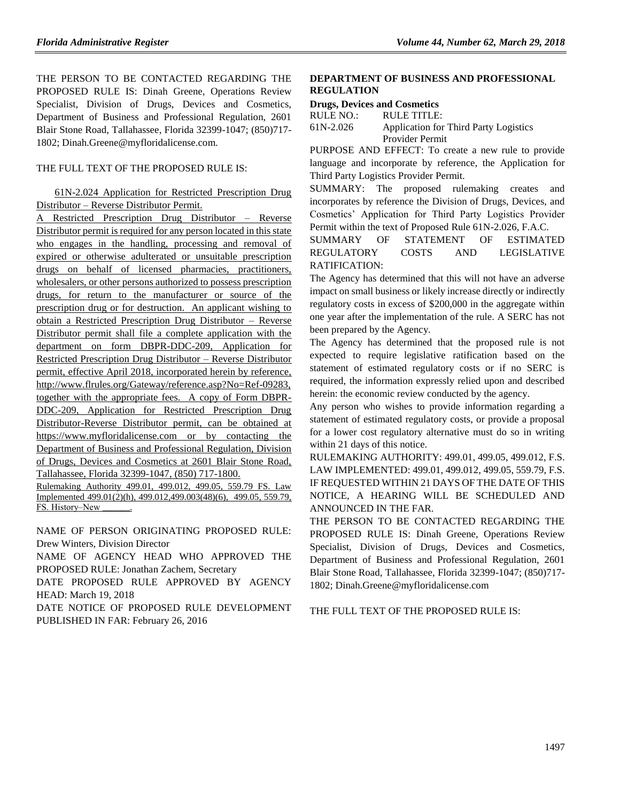THE PERSON TO BE CONTACTED REGARDING THE PROPOSED RULE IS: Dinah Greene, Operations Review Specialist, Division of Drugs, Devices and Cosmetics, Department of Business and Professional Regulation, 2601 Blair Stone Road, Tallahassee, Florida 32399-1047; (850)717- 1802; Dinah.Greene@myfloridalicense.com.

#### THE FULL TEXT OF THE PROPOSED RULE IS:

#### 61N-2.024 Application for Restricted Prescription Drug Distributor – Reverse Distributor Permit.

A Restricted Prescription Drug Distributor – Reverse Distributor permit is required for any person located in this state who engages in the handling, processing and removal of expired or otherwise adulterated or unsuitable prescription drugs on behalf of licensed pharmacies, practitioners, wholesalers, or other persons authorized to possess prescription drugs, for return to the manufacturer or source of the prescription drug or for destruction. An applicant wishing to obtain a Restricted Prescription Drug Distributor – Reverse Distributor permit shall file a complete application with the department on form DBPR-DDC-209, Application for Restricted Prescription Drug Distributor – Reverse Distributor permit, effective April 2018, incorporated herein by reference, [http://www.flrules.org/Gateway/reference.asp?No=Ref-09283,](https://www.flrules.org/Gateway/reference.asp?No=Ref-09283) together with the appropriate fees. A copy of Form DBPR-DDC-209, Application for Restricted Prescription Drug Distributor-Reverse Distributor permit, can be obtained at [https://www.myfloridalicense.com](https://www.myfloridalicense.com/) or by contacting the Department of Business and Professional Regulation, Division of Drugs, Devices and Cosmetics at 2601 Blair Stone Road, Tallahassee, Florida 32399-1047, (850) 717-1800.

Rulemaking Authority 499.01, 499.012, 499.05, 559.79 FS. Law Implemented 499.01(2)(h), 499.012,499.003(48)(6), 499.05, 559.79, FS. History-New

NAME OF PERSON ORIGINATING PROPOSED RULE: Drew Winters, Division Director

NAME OF AGENCY HEAD WHO APPROVED THE PROPOSED RULE: Jonathan Zachem, Secretary

DATE PROPOSED RULE APPROVED BY AGENCY HEAD: March 19, 2018

DATE NOTICE OF PROPOSED RULE DEVELOPMENT PUBLISHED IN FAR: February 26, 2016

## **[DEPARTMENT OF BUSINESS AND PROFESSIONAL](https://www.flrules.org/gateway/department.asp?id=61)  [REGULATION](https://www.flrules.org/gateway/department.asp?id=61)**

#### **[Drugs, Devices and Cosmetics](https://www.flrules.org/gateway/organization.asp?id=1057)**

| RULE NO.: | RULE TITLE:                           |
|-----------|---------------------------------------|
| 61N-2.026 | Application for Third Party Logistics |
|           | Provider Permit                       |

PURPOSE AND EFFECT: To create a new rule to provide language and incorporate by reference, the Application for Third Party Logistics Provider Permit.

SUMMARY: The proposed rulemaking creates and incorporates by reference the Division of Drugs, Devices, and Cosmetics' Application for Third Party Logistics Provider Permit within the text of Proposed Rule 61N-2.026, F.A.C.

SUMMARY OF STATEMENT OF ESTIMATED REGULATORY COSTS AND LEGISLATIVE RATIFICATION:

The Agency has determined that this will not have an adverse impact on small business or likely increase directly or indirectly regulatory costs in excess of \$200,000 in the aggregate within one year after the implementation of the rule. A SERC has not been prepared by the Agency.

The Agency has determined that the proposed rule is not expected to require legislative ratification based on the statement of estimated regulatory costs or if no SERC is required, the information expressly relied upon and described herein: the economic review conducted by the agency.

Any person who wishes to provide information regarding a statement of estimated regulatory costs, or provide a proposal for a lower cost regulatory alternative must do so in writing within 21 days of this notice.

RULEMAKING AUTHORITY: [499.01,](https://www.flrules.org/gateway/statute.asp?id=499.01) [499.05,](https://www.flrules.org/gateway/statute.asp?id=%20499.05) [499.012,](https://www.flrules.org/gateway/statute.asp?id=%20499.012) F.S. LAW IMPLEMENTED: [499.01,](https://www.flrules.org/gateway/statute.asp?id=499.01) [499.012,](https://www.flrules.org/gateway/statute.asp?id=%20499.012) [499.05,](https://www.flrules.org/gateway/statute.asp?id=%20499.05) [559.79,](https://www.flrules.org/gateway/statute.asp?id=%20559.79) F.S. IF REQUESTED WITHIN 21 DAYS OF THE DATE OF THIS NOTICE, A HEARING WILL BE SCHEDULED AND ANNOUNCED IN THE FAR.

THE PERSON TO BE CONTACTED REGARDING THE PROPOSED RULE IS: Dinah Greene, Operations Review Specialist, Division of Drugs, Devices and Cosmetics, Department of Business and Professional Regulation, 2601 Blair Stone Road, Tallahassee, Florida 32399-1047; (850)717- 1802; Dinah.Greene@myfloridalicense.com

THE FULL TEXT OF THE PROPOSED RULE IS: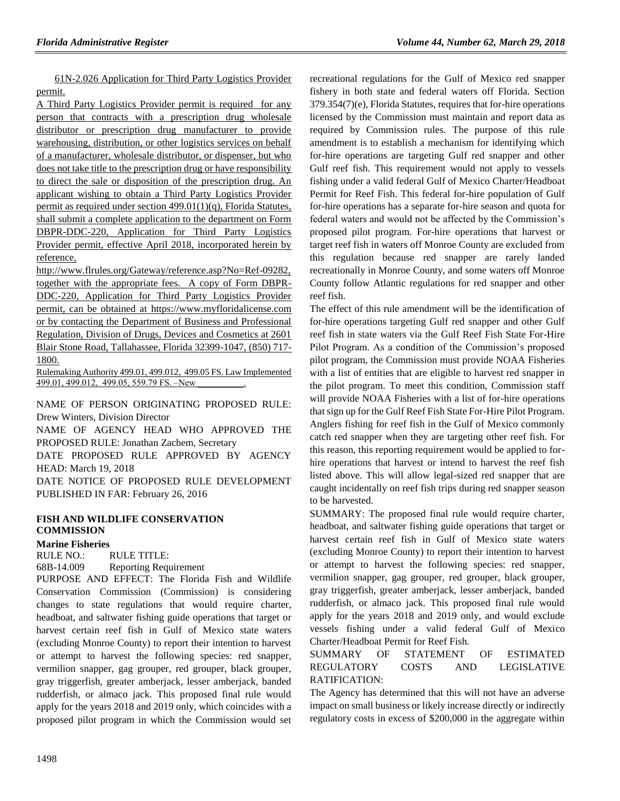61N-2.026 Application for Third Party Logistics Provider permit.

A Third Party Logistics Provider permit is required for any person that contracts with a prescription drug wholesale distributor or prescription drug manufacturer to provide warehousing, distribution, or other logistics services on behalf of a manufacturer, wholesale distributor, or dispenser, but who does not take title to the prescription drug or have responsibility to direct the sale or disposition of the prescription drug. An applicant wishing to obtain a Third Party Logistics Provider permit as required under section 499.01(1)(q), Florida Statutes, shall submit a complete application to the department on Form DBPR-DDC-220, Application for Third Party Logistics Provider permit, effective April 2018, incorporated herein by reference,

[http://www.flrules.org/Gateway/reference.asp?No=Ref-09282,](https://www.flrules.org/Gateway/reference.asp?No=Ref-09282) together with the appropriate fees. A copy of Form DBPR-DDC-220, Application for Third Party Logistics Provider permit, can be obtained at [https://www.myfloridalicense.com](https://www.myfloridalicense.com/) or by contacting the Department of Business and Professional Regulation, Division of Drugs, Devices and Cosmetics at 2601 Blair Stone Road, Tallahassee, Florida 32399-1047, (850) 717- 1800.

Rulemaking Authority 499.01, 499.012, 499.05 FS. Law Implemented 499.01, 499.012, 499.05, 559.79 FS. -New

NAME OF PERSON ORIGINATING PROPOSED RULE: Drew Winters, Division Director

NAME OF AGENCY HEAD WHO APPROVED THE PROPOSED RULE: Jonathan Zachem, Secretary

DATE PROPOSED RULE APPROVED BY AGENCY HEAD: March 19, 2018

DATE NOTICE OF PROPOSED RULE DEVELOPMENT PUBLISHED IN FAR: February 26, 2016

## **[FISH AND WILDLIFE CONSERVATION](https://www.flrules.org/gateway/department.asp?id=68)  [COMMISSION](https://www.flrules.org/gateway/department.asp?id=68)**

#### **[Marine Fisheries](https://www.flrules.org/gateway/organization.asp?id=348)**

RULE NO.: RULE TITLE:

[68B-14.009](https://www.flrules.org/gateway/ruleNo.asp?id=68B-14.009) Reporting Requirement

PURPOSE AND EFFECT: The Florida Fish and Wildlife Conservation Commission (Commission) is considering changes to state regulations that would require charter, headboat, and saltwater fishing guide operations that target or harvest certain reef fish in Gulf of Mexico state waters (excluding Monroe County) to report their intention to harvest or attempt to harvest the following species: red snapper, vermilion snapper, gag grouper, red grouper, black grouper, gray triggerfish, greater amberjack, lesser amberjack, banded rudderfish, or almaco jack. This proposed final rule would apply for the years 2018 and 2019 only, which coincides with a proposed pilot program in which the Commission would set recreational regulations for the Gulf of Mexico red snapper fishery in both state and federal waters off Florida. Section 379.354(7)(e), Florida Statutes, requires that for-hire operations licensed by the Commission must maintain and report data as required by Commission rules. The purpose of this rule amendment is to establish a mechanism for identifying which for-hire operations are targeting Gulf red snapper and other Gulf reef fish. This requirement would not apply to vessels fishing under a valid federal Gulf of Mexico Charter/Headboat Permit for Reef Fish. This federal for-hire population of Gulf for-hire operations has a separate for-hire season and quota for federal waters and would not be affected by the Commission's proposed pilot program. For-hire operations that harvest or target reef fish in waters off Monroe County are excluded from this regulation because red snapper are rarely landed recreationally in Monroe County, and some waters off Monroe County follow Atlantic regulations for red snapper and other reef fish.

The effect of this rule amendment will be the identification of for-hire operations targeting Gulf red snapper and other Gulf reef fish in state waters via the Gulf Reef Fish State For-Hire Pilot Program. As a condition of the Commission's proposed pilot program, the Commission must provide NOAA Fisheries with a list of entities that are eligible to harvest red snapper in the pilot program. To meet this condition, Commission staff will provide NOAA Fisheries with a list of for-hire operations that sign up for the Gulf Reef Fish State For-Hire Pilot Program. Anglers fishing for reef fish in the Gulf of Mexico commonly catch red snapper when they are targeting other reef fish. For this reason, this reporting requirement would be applied to forhire operations that harvest or intend to harvest the reef fish listed above. This will allow legal-sized red snapper that are caught incidentally on reef fish trips during red snapper season to be harvested.

SUMMARY: The proposed final rule would require charter, headboat, and saltwater fishing guide operations that target or harvest certain reef fish in Gulf of Mexico state waters (excluding Monroe County) to report their intention to harvest or attempt to harvest the following species: red snapper, vermilion snapper, gag grouper, red grouper, black grouper, gray triggerfish, greater amberjack, lesser amberjack, banded rudderfish, or almaco jack. This proposed final rule would apply for the years 2018 and 2019 only, and would exclude vessels fishing under a valid federal Gulf of Mexico Charter/Headboat Permit for Reef Fish.

### SUMMARY OF STATEMENT OF ESTIMATED REGULATORY COSTS AND LEGISLATIVE RATIFICATION:

The Agency has determined that this will not have an adverse impact on small business or likely increase directly or indirectly regulatory costs in excess of \$200,000 in the aggregate within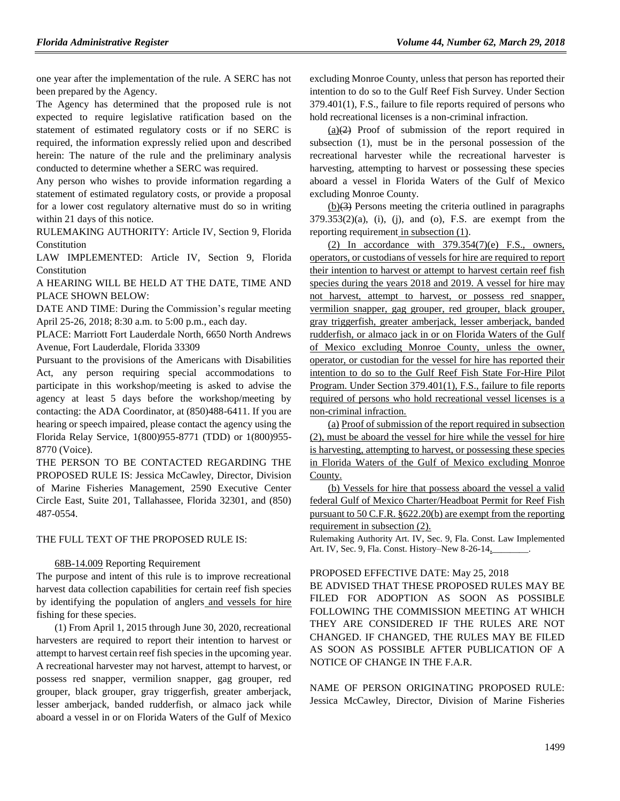one year after the implementation of the rule. A SERC has not been prepared by the Agency.

The Agency has determined that the proposed rule is not expected to require legislative ratification based on the statement of estimated regulatory costs or if no SERC is required, the information expressly relied upon and described herein: The nature of the rule and the preliminary analysis conducted to determine whether a SERC was required.

Any person who wishes to provide information regarding a statement of estimated regulatory costs, or provide a proposal for a lower cost regulatory alternative must do so in writing within 21 days of this notice.

RULEMAKING AUTHORITY: [Article IV, Section 9, Florida](https://www.flrules.org/gateway/flconstitution.asp?id=Article%20IV,%20Section%209,%20Florida%20Constitution)  [Constitution](https://www.flrules.org/gateway/flconstitution.asp?id=Article%20IV,%20Section%209,%20Florida%20Constitution)

LAW IMPLEMENTED: [Article IV, Section 9, Florida](https://www.flrules.org/gateway/flconstitution.asp?id=Article%20IV,%20Section%209,%20Florida%20Constitution)  [Constitution](https://www.flrules.org/gateway/flconstitution.asp?id=Article%20IV,%20Section%209,%20Florida%20Constitution)

A HEARING WILL BE HELD AT THE DATE, TIME AND PLACE SHOWN BELOW:

DATE AND TIME: During the Commission's regular meeting April 25-26, 2018; 8:30 a.m. to 5:00 p.m., each day.

PLACE: Marriott Fort Lauderdale North, 6650 North Andrews Avenue, Fort Lauderdale, Florida 33309

Pursuant to the provisions of the Americans with Disabilities Act, any person requiring special accommodations to participate in this workshop/meeting is asked to advise the agency at least 5 days before the workshop/meeting by contacting: the ADA Coordinator, at (850)488-6411. If you are hearing or speech impaired, please contact the agency using the Florida Relay Service, 1(800)955-8771 (TDD) or 1(800)955- 8770 (Voice).

THE PERSON TO BE CONTACTED REGARDING THE PROPOSED RULE IS: Jessica McCawley, Director, Division of Marine Fisheries Management, 2590 Executive Center Circle East, Suite 201, Tallahassee, Florida 32301, and (850) 487-0554.

#### THE FULL TEXT OF THE PROPOSED RULE IS:

#### [68B-14.009](https://www.flrules.org/gateway/ruleNo.asp?id=68B-14.009) Reporting Requirement

The purpose and intent of this rule is to improve recreational harvest data collection capabilities for certain reef fish species by identifying the population of anglers and vessels for hire fishing for these species.

(1) From April 1, 2015 through June 30, 2020, recreational harvesters are required to report their intention to harvest or attempt to harvest certain reef fish species in the upcoming year. A recreational harvester may not harvest, attempt to harvest, or possess red snapper, vermilion snapper, gag grouper, red grouper, black grouper, gray triggerfish, greater amberjack, lesser amberjack, banded rudderfish, or almaco jack while aboard a vessel in or on Florida Waters of the Gulf of Mexico

excluding Monroe County, unless that person has reported their intention to do so to the Gulf Reef Fish Survey. Under Section 379.401(1), F.S., failure to file reports required of persons who hold recreational licenses is a non-criminal infraction.

 $(a)(2)$  Proof of submission of the report required in subsection (1), must be in the personal possession of the recreational harvester while the recreational harvester is harvesting, attempting to harvest or possessing these species aboard a vessel in Florida Waters of the Gulf of Mexico excluding Monroe County.

(b)(3) Persons meeting the criteria outlined in paragraphs  $379.353(2)(a)$ , (i), (j), and (o), F.S. are exempt from the reporting requirement in subsection (1).

(2) In accordance with  $379.354(7)$ (e) F.S., owners, operators, or custodians of vessels for hire are required to report their intention to harvest or attempt to harvest certain reef fish species during the years 2018 and 2019. A vessel for hire may not harvest, attempt to harvest, or possess red snapper, vermilion snapper, gag grouper, red grouper, black grouper, gray triggerfish, greater amberjack, lesser amberjack, banded rudderfish, or almaco jack in or on Florida Waters of the Gulf of Mexico excluding Monroe County, unless the owner, operator, or custodian for the vessel for hire has reported their intention to do so to the Gulf Reef Fish State For-Hire Pilot Program. Under Section 379.401(1), F.S., failure to file reports required of persons who hold recreational vessel licenses is a non-criminal infraction.

(a) Proof of submission of the report required in subsection (2), must be aboard the vessel for hire while the vessel for hire is harvesting, attempting to harvest, or possessing these species in Florida Waters of the Gulf of Mexico excluding Monroe County.

(b) Vessels for hire that possess aboard the vessel a valid federal Gulf of Mexico Charter/Headboat Permit for Reef Fish pursuant to 50 C.F.R. §622.20(b) are exempt from the reporting requirement in subsection (2).

Rulemaking Authority Art. IV, Sec. 9, Fla. Const. Law Implemented Art. IV, Sec. 9, Fla. Const. History–New 8-26-14,

#### PROPOSED EFFECTIVE DATE: May 25, 2018

BE ADVISED THAT THESE PROPOSED RULES MAY BE FILED FOR ADOPTION AS SOON AS POSSIBLE FOLLOWING THE COMMISSION MEETING AT WHICH THEY ARE CONSIDERED IF THE RULES ARE NOT CHANGED. IF CHANGED, THE RULES MAY BE FILED AS SOON AS POSSIBLE AFTER PUBLICATION OF A NOTICE OF CHANGE IN THE F.A.R.

NAME OF PERSON ORIGINATING PROPOSED RULE: Jessica McCawley, Director, Division of Marine Fisheries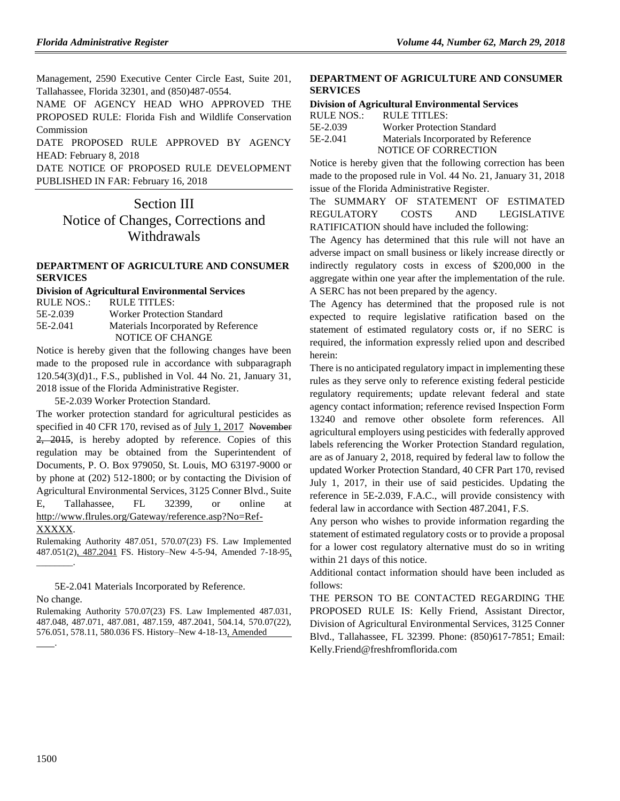Management, 2590 Executive Center Circle East, Suite 201, Tallahassee, Florida 32301, and (850)487-0554.

NAME OF AGENCY HEAD WHO APPROVED THE PROPOSED RULE: Florida Fish and Wildlife Conservation Commission

DATE PROPOSED RULE APPROVED BY AGENCY HEAD: February 8, 2018

DATE NOTICE OF PROPOSED RULE DEVELOPMENT PUBLISHED IN FAR: February 16, 2018

Section III Notice of Changes, Corrections and Withdrawals

#### **[DEPARTMENT OF AGRICULTURE AND CONSUMER](https://www.flrules.org/gateway/department.asp?id=5)  [SERVICES](https://www.flrules.org/gateway/department.asp?id=5)**

#### **[Division of Agricultural Environmental Services](https://www.flrules.org/gateway/organization.asp?id=165)**

| RULE NOS.: | RULE TITLES:                        |
|------------|-------------------------------------|
| 5E-2.039   | <b>Worker Protection Standard</b>   |
| 5E-2.041   | Materials Incorporated by Reference |
|            | NOTICE OF CHANGE                    |

Notice is hereby given that the following changes have been made to the proposed rule in accordance with subparagraph 120.54(3)(d)1., F.S., published in Vol. 44 No. 21, January 31, 2018 issue of the Florida Administrative Register.

5E-2.039 Worker Protection Standard.

The worker protection standard for agricultural pesticides as specified in 40 CFR 170, revised as of July 1, 2017 November 2, 2015, is hereby adopted by reference. Copies of this regulation may be obtained from the Superintendent of Documents, P. O. Box 979050, St. Louis, MO 63197-9000 or by phone at (202) 512-1800; or by contacting the Division of Agricultural Environmental Services, 3125 Conner Blvd., Suite E, Tallahassee, FL 32399, or online http://www.flrules.org/Gateway/reference.asp?No=Ref-

#### XXXXX.

\_\_\_\_\_\_\_\_.

Rulemaking Authority 487.051, 570.07(23) FS. Law Implemented 487.051(2), 487.2041 FS. History–New 4-5-94, Amended 7-18-95,

5E-2.041 Materials Incorporated by Reference. No change.

Rulemaking Authority 570.07(23) FS. Law Implemented 487.031, 487.048, 487.071, 487.081, 487.159, 487.2041, 504.14, 570.07(22), 576.051, 578.11, 580.036 FS. History–New 4-18-13, Amended .

#### **[DEPARTMENT OF AGRICULTURE AND CONSUMER](https://www.flrules.org/gateway/department.asp?id=5)  [SERVICES](https://www.flrules.org/gateway/department.asp?id=5)**

## **[Division of Agricultural Environmental Services](https://www.flrules.org/gateway/organization.asp?id=165)**

| <b>RULE NOS.:</b> | RULE TITLES:                        |
|-------------------|-------------------------------------|
| 5E-2.039          | <b>Worker Protection Standard</b>   |
| 5E-2.041          | Materials Incorporated by Reference |
|                   | NOTICE OF CORRECTION                |

Notice is hereby given that the following correction has been made to the proposed rule in Vol. 44 No. 21, January 31, 2018 issue of the Florida Administrative Register.

The SUMMARY OF STATEMENT OF ESTIMATED REGULATORY COSTS AND LEGISLATIVE RATIFICATION should have included the following:

The Agency has determined that this rule will not have an adverse impact on small business or likely increase directly or indirectly regulatory costs in excess of \$200,000 in the aggregate within one year after the implementation of the rule. A SERC has not been prepared by the agency.

The Agency has determined that the proposed rule is not expected to require legislative ratification based on the statement of estimated regulatory costs or, if no SERC is required, the information expressly relied upon and described herein:

There is no anticipated regulatory impact in implementing these rules as they serve only to reference existing federal pesticide regulatory requirements; update relevant federal and state agency contact information; reference revised Inspection Form 13240 and remove other obsolete form references. All agricultural employers using pesticides with federally approved labels referencing the Worker Protection Standard regulation, are as of January 2, 2018, required by federal law to follow the updated Worker Protection Standard, 40 CFR Part 170, revised July 1, 2017, in their use of said pesticides. Updating the reference in 5E-2.039, F.A.C., will provide consistency with federal law in accordance with Section 487.2041, F.S.

Any person who wishes to provide information regarding the statement of estimated regulatory costs or to provide a proposal for a lower cost regulatory alternative must do so in writing within 21 days of this notice.

Additional contact information should have been included as follows:

THE PERSON TO BE CONTACTED REGARDING THE PROPOSED RULE IS: Kelly Friend, Assistant Director, Division of Agricultural Environmental Services, 3125 Conner Blvd., Tallahassee, FL 32399. Phone: (850)617-7851; Email: [Kelly.Friend@freshfromflorida.com](mailto:Kelly.Friend@freshfromflorida.com)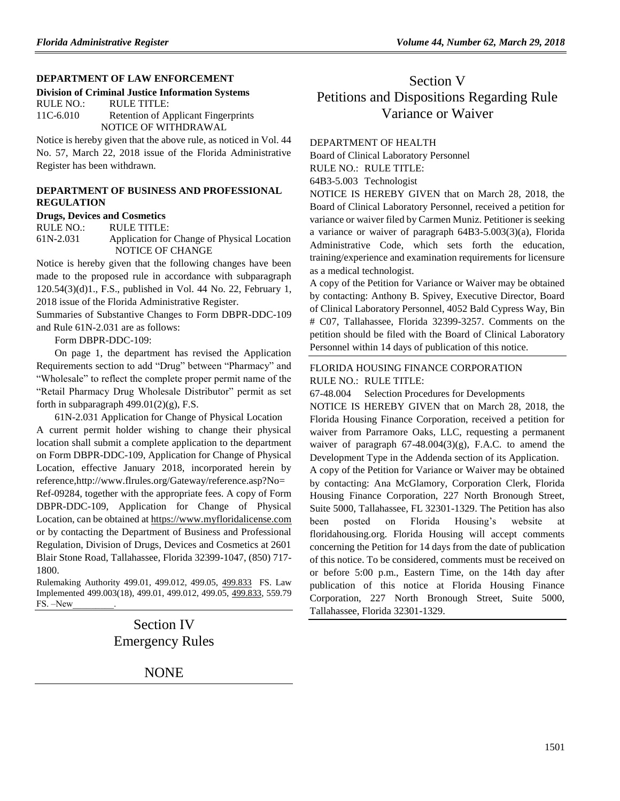#### **[DEPARTMENT OF LAW ENFORCEMENT](https://www.flrules.org/gateway/department.asp?id=11)**

**[Division of Criminal Justice Information Systems](https://www.flrules.org/gateway/organization.asp?id=21)**

| RULE NO.: | RULE TITLE:                                |
|-----------|--------------------------------------------|
| 11C-6.010 | <b>Retention of Applicant Fingerprints</b> |
|           | NOTICE OF WITHDRAWAL                       |

Notice is hereby given that the above rule, as noticed in Vol. 44 No. 57, March 22, 2018 issue of the Florida Administrative Register has been withdrawn.

#### **[DEPARTMENT OF BUSINESS AND PROFESSIONAL](https://www.flrules.org/gateway/department.asp?id=61)  [REGULATION](https://www.flrules.org/gateway/department.asp?id=61)**

**[Drugs, Devices and Cosmetics](https://www.flrules.org/gateway/organization.asp?id=1057)**

RULE NO.: RULE TITLE:

[61N-2.031](https://www.flrules.org/gateway/ruleNo.asp?id=61N-2.031) Application for Change of Physical Location NOTICE OF CHANGE

Notice is hereby given that the following changes have been made to the proposed rule in accordance with subparagraph 120.54(3)(d)1., F.S., published in Vol. 44 No. 22, February 1, 2018 issue of the Florida Administrative Register.

Summaries of Substantive Changes to Form DBPR-DDC-109 and Rule 61N-2.031 are as follows:

Form DBPR-DDC-109:

On page 1, the department has revised the Application Requirements section to add "Drug" between "Pharmacy" and "Wholesale" to reflect the complete proper permit name of the "Retail Pharmacy Drug Wholesale Distributor" permit as set forth in subparagraph  $499.01(2)(g)$ , F.S.

61N-2.031 Application for Change of Physical Location A current permit holder wishing to change their physical location shall submit a complete application to the department on Form DBPR-DDC-109, Application for Change of Physical Location, effective January 2018, incorporated herein by reference,http://www.flrules.org/Gateway/reference.asp?No= Ref-09284, together with the appropriate fees. A copy of Form DBPR-DDC-109, Application for Change of Physical Location, can be obtained a[t https://www.myfloridalicense.com](https://www.myfloridalicense.com/) or by contacting the Department of Business and Professional Regulation, Division of Drugs, Devices and Cosmetics at 2601 Blair Stone Road, Tallahassee, Florida 32399-1047, (850) 717- 1800.

Rulemaking Authority 499.01, 499.012, 499.05, 499.833 FS. Law Implemented 499.003(18), 499.01, 499.012, 499.05, 499.833, 559.79 FS. -New

> Section IV Emergency Rules

> > NONE

# Section V Petitions and Dispositions Regarding Rule Variance or Waiver

#### [DEPARTMENT OF HEALTH](https://www.flrules.org/gateway/department.asp?id=64)

[Board of Clinical Laboratory Personnel](https://www.flrules.org/gateway/organization.asp?id=322)

RULE NO.: RULE TITLE:

[64B3-5.003](https://www.flrules.org/gateway/ruleNo.asp?id=64B3-5.003) Technologist

NOTICE IS HEREBY GIVEN that on March 28, 2018, the Board of Clinical Laboratory Personnel, received a petition for variance or waiver filed by Carmen Muniz. Petitioner is seeking a variance or waiver of paragraph 64B3-5.003(3)(a), Florida Administrative Code, which sets forth the education, training/experience and examination requirements for licensure as a medical technologist.

A copy of the Petition for Variance or Waiver may be obtained by contacting: Anthony B. Spivey, Executive Director, Board of Clinical Laboratory Personnel, 4052 Bald Cypress Way, Bin # C07, Tallahassee, Florida 32399-3257. Comments on the petition should be filed with the Board of Clinical Laboratory Personnel within 14 days of publication of this notice.

#### [FLORIDA HOUSING FINANCE CORPORATION](https://www.flrules.org/gateway/department.asp?id=67) RULE NO.: RULE TITLE:

[67-48.004](https://www.flrules.org/gateway/ruleNo.asp?id=67-48.004) Selection Procedures for Developments

NOTICE IS HEREBY GIVEN that on March 28, 2018, the Florida Housing Finance Corporation, received a petition for waiver from Parramore Oaks, LLC, requesting a permanent waiver of paragraph  $67-48.004(3)(g)$ , F.A.C. to amend the Development Type in the Addenda section of its Application. A copy of the Petition for Variance or Waiver may be obtained by contacting: Ana McGlamory, Corporation Clerk, Florida Housing Finance Corporation, 227 North Bronough Street, Suite 5000, Tallahassee, FL 32301-1329. The Petition has also been posted on Florida Housing's website at floridahousing.org. Florida Housing will accept comments concerning the Petition for 14 days from the date of publication of this notice. To be considered, comments must be received on or before 5:00 p.m., Eastern Time, on the 14th day after publication of this notice at Florida Housing Finance Corporation, 227 North Bronough Street, Suite 5000, Tallahassee, Florida 32301-1329.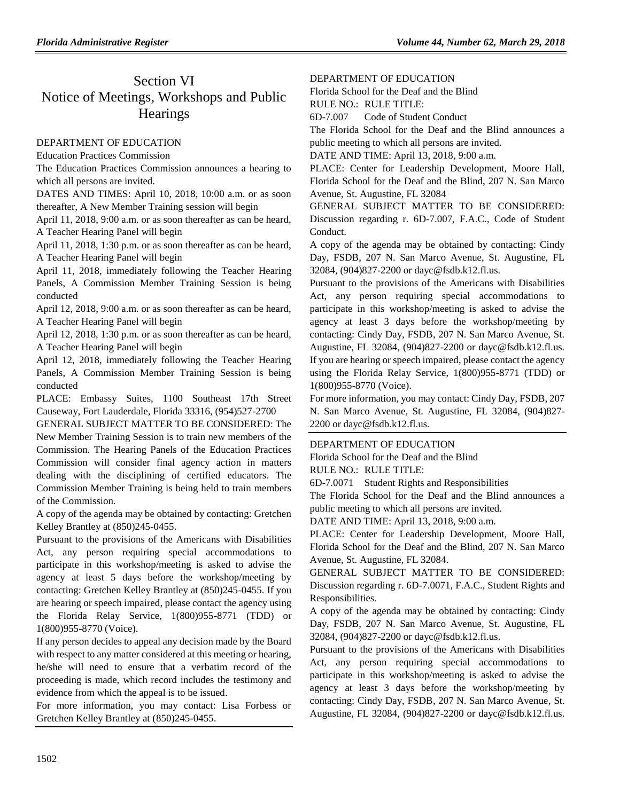# Section VI Notice of Meetings, Workshops and Public **Hearings**

## [DEPARTMENT OF EDUCATION](https://www.flrules.org/gateway/department.asp?id=6)

[Education Practices Commission](https://www.flrules.org/gateway/organization.asp?id=196)

The Education Practices Commission announces a hearing to which all persons are invited.

DATES AND TIMES: April 10, 2018, 10:00 a.m. or as soon thereafter, A New Member Training session will begin

April 11, 2018, 9:00 a.m. or as soon thereafter as can be heard, A Teacher Hearing Panel will begin

April 11, 2018, 1:30 p.m. or as soon thereafter as can be heard, A Teacher Hearing Panel will begin

April 11, 2018, immediately following the Teacher Hearing Panels, A Commission Member Training Session is being conducted

April 12, 2018, 9:00 a.m. or as soon thereafter as can be heard, A Teacher Hearing Panel will begin

April 12, 2018, 1:30 p.m. or as soon thereafter as can be heard, A Teacher Hearing Panel will begin

April 12, 2018, immediately following the Teacher Hearing Panels, A Commission Member Training Session is being conducted

PLACE: Embassy Suites, 1100 Southeast 17th Street Causeway, Fort Lauderdale, Florida 33316, (954)527-2700

GENERAL SUBJECT MATTER TO BE CONSIDERED: The New Member Training Session is to train new members of the Commission. The Hearing Panels of the Education Practices Commission will consider final agency action in matters dealing with the disciplining of certified educators. The Commission Member Training is being held to train members of the Commission.

A copy of the agenda may be obtained by contacting: Gretchen Kelley Brantley at (850)245-0455.

Pursuant to the provisions of the Americans with Disabilities Act, any person requiring special accommodations to participate in this workshop/meeting is asked to advise the agency at least 5 days before the workshop/meeting by contacting: Gretchen Kelley Brantley at (850)245-0455. If you are hearing or speech impaired, please contact the agency using the Florida Relay Service, 1(800)955-8771 (TDD) or 1(800)955-8770 (Voice).

If any person decides to appeal any decision made by the Board with respect to any matter considered at this meeting or hearing, he/she will need to ensure that a verbatim record of the proceeding is made, which record includes the testimony and evidence from which the appeal is to be issued.

For more information, you may contact: Lisa Forbess or Gretchen Kelley Brantley at (850)245-0455.

## [DEPARTMENT OF EDUCATION](https://www.flrules.org/gateway/department.asp?id=6)

[Florida School for the Deaf and the Blind](https://www.flrules.org/gateway/organization.asp?id=208)

RULE NO.: RULE TITLE:

[6D-7.007](https://www.flrules.org/gateway/ruleNo.asp?id=6D-7.007) Code of Student Conduct

The Florida School for the Deaf and the Blind announces a public meeting to which all persons are invited.

DATE AND TIME: April 13, 2018, 9:00 a.m.

PLACE: Center for Leadership Development, Moore Hall, Florida School for the Deaf and the Blind, 207 N. San Marco Avenue, St. Augustine, FL 32084

GENERAL SUBJECT MATTER TO BE CONSIDERED: Discussion regarding r. 6D-7.007, F.A.C., Code of Student Conduct.

A copy of the agenda may be obtained by contacting: Cindy Day, FSDB, 207 N. San Marco Avenue, St. Augustine, FL 32084, (904)827-2200 or dayc@fsdb.k12.fl.us.

Pursuant to the provisions of the Americans with Disabilities Act, any person requiring special accommodations to participate in this workshop/meeting is asked to advise the agency at least 3 days before the workshop/meeting by contacting: Cindy Day, FSDB, 207 N. San Marco Avenue, St. Augustine, FL 32084, (904)827-2200 or dayc@fsdb.k12.fl.us. If you are hearing or speech impaired, please contact the agency using the Florida Relay Service, 1(800)955-8771 (TDD) or 1(800)955-8770 (Voice).

For more information, you may contact: Cindy Day, FSDB, 207 N. San Marco Avenue, St. Augustine, FL 32084, (904)827- 2200 or dayc@fsdb.k12.fl.us.

## [DEPARTMENT OF EDUCATION](https://www.flrules.org/gateway/department.asp?id=6)

[Florida School for the Deaf and the Blind](https://www.flrules.org/gateway/organization.asp?id=208)

RULE NO.: RULE TITLE:

[6D-7.0071](https://www.flrules.org/gateway/ruleNo.asp?id=6D-7.0071) Student Rights and Responsibilities

The Florida School for the Deaf and the Blind announces a public meeting to which all persons are invited.

DATE AND TIME: April 13, 2018, 9:00 a.m.

PLACE: Center for Leadership Development, Moore Hall, Florida School for the Deaf and the Blind, 207 N. San Marco Avenue, St. Augustine, FL 32084.

GENERAL SUBJECT MATTER TO BE CONSIDERED: Discussion regarding r. 6D-7.0071, F.A.C., Student Rights and Responsibilities.

A copy of the agenda may be obtained by contacting: Cindy Day, FSDB, 207 N. San Marco Avenue, St. Augustine, FL 32084, (904)827-2200 or dayc@fsdb.k12.fl.us.

Pursuant to the provisions of the Americans with Disabilities Act, any person requiring special accommodations to participate in this workshop/meeting is asked to advise the agency at least 3 days before the workshop/meeting by contacting: Cindy Day, FSDB, 207 N. San Marco Avenue, St. Augustine, FL 32084, (904)827-2200 or dayc@fsdb.k12.fl.us.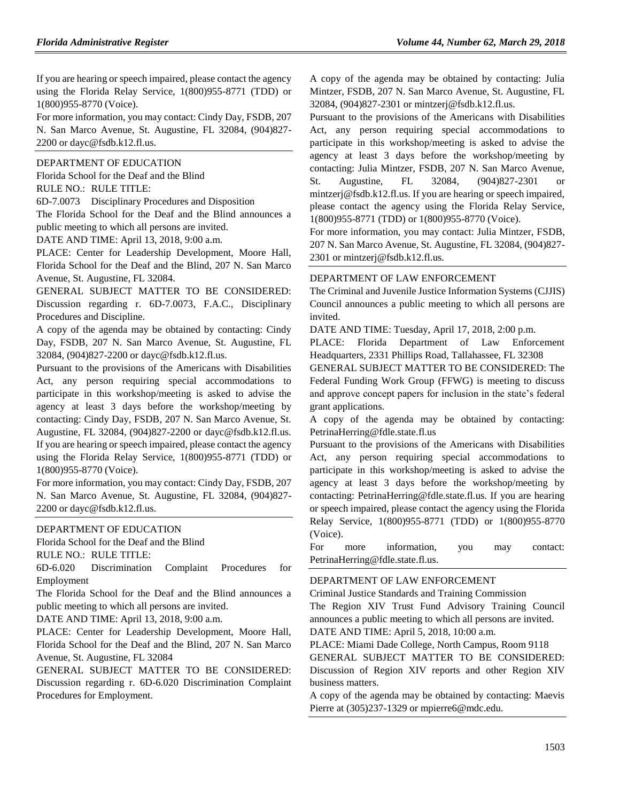If you are hearing or speech impaired, please contact the agency using the Florida Relay Service, 1(800)955-8771 (TDD) or 1(800)955-8770 (Voice).

For more information, you may contact: Cindy Day, FSDB, 207 N. San Marco Avenue, St. Augustine, FL 32084, (904)827- 2200 or dayc@fsdb.k12.fl.us.

#### [DEPARTMENT OF EDUCATION](https://www.flrules.org/gateway/department.asp?id=6)

[Florida School for the Deaf and the Blind](https://www.flrules.org/gateway/organization.asp?id=208) RULE NO.: RULE TITLE:

[6D-7.0073](https://www.flrules.org/gateway/ruleNo.asp?id=6D-7.0073) Disciplinary Procedures and Disposition

The Florida School for the Deaf and the Blind announces a public meeting to which all persons are invited.

DATE AND TIME: April 13, 2018, 9:00 a.m.

PLACE: Center for Leadership Development, Moore Hall, Florida School for the Deaf and the Blind, 207 N. San Marco Avenue, St. Augustine, FL 32084.

GENERAL SUBJECT MATTER TO BE CONSIDERED: Discussion regarding r. 6D-7.0073, F.A.C., Disciplinary Procedures and Discipline.

A copy of the agenda may be obtained by contacting: Cindy Day, FSDB, 207 N. San Marco Avenue, St. Augustine, FL 32084, (904)827-2200 or dayc@fsdb.k12.fl.us.

Pursuant to the provisions of the Americans with Disabilities Act, any person requiring special accommodations to participate in this workshop/meeting is asked to advise the agency at least 3 days before the workshop/meeting by contacting: Cindy Day, FSDB, 207 N. San Marco Avenue, St. Augustine, FL 32084, (904)827-2200 or dayc@fsdb.k12.fl.us. If you are hearing or speech impaired, please contact the agency using the Florida Relay Service, 1(800)955-8771 (TDD) or 1(800)955-8770 (Voice).

For more information, you may contact: Cindy Day, FSDB, 207 N. San Marco Avenue, St. Augustine, FL 32084, (904)827- 2200 or dayc@fsdb.k12.fl.us.

#### [DEPARTMENT OF EDUCATION](https://www.flrules.org/gateway/department.asp?id=6)

[Florida School for the Deaf and the Blind](https://www.flrules.org/gateway/organization.asp?id=208)

RULE NO.: RULE TITLE:

[6D-6.020](https://www.flrules.org/gateway/ruleNo.asp?id=6D-6.020) Discrimination Complaint Procedures for Employment

The Florida School for the Deaf and the Blind announces a public meeting to which all persons are invited.

DATE AND TIME: April 13, 2018, 9:00 a.m.

PLACE: Center for Leadership Development, Moore Hall, Florida School for the Deaf and the Blind, 207 N. San Marco Avenue, St. Augustine, FL 32084

GENERAL SUBJECT MATTER TO BE CONSIDERED: Discussion regarding r. 6D-6.020 Discrimination Complaint Procedures for Employment.

A copy of the agenda may be obtained by contacting: Julia Mintzer, FSDB, 207 N. San Marco Avenue, St. Augustine, FL 32084, (904)827-2301 or mintzerj@fsdb.k12.fl.us.

Pursuant to the provisions of the Americans with Disabilities Act, any person requiring special accommodations to participate in this workshop/meeting is asked to advise the agency at least 3 days before the workshop/meeting by contacting: Julia Mintzer, FSDB, 207 N. San Marco Avenue, St. Augustine, FL 32084, (904)827-2301 or mintzerj@fsdb.k12.fl.us. If you are hearing or speech impaired, please contact the agency using the Florida Relay Service, 1(800)955-8771 (TDD) or 1(800)955-8770 (Voice).

For more information, you may contact: Julia Mintzer, FSDB, 207 N. San Marco Avenue, St. Augustine, FL 32084, (904)827- 2301 or mintzerj@fsdb.k12.fl.us.

#### [DEPARTMENT OF LAW ENFORCEMENT](https://www.flrules.org/gateway/department.asp?id=11)

The Criminal and Juvenile Justice Information Systems (CJJIS) Council announces a public meeting to which all persons are invited.

DATE AND TIME: Tuesday, April 17, 2018, 2:00 p.m.

PLACE: Florida Department of Law Enforcement Headquarters, 2331 Phillips Road, Tallahassee, FL 32308

GENERAL SUBJECT MATTER TO BE CONSIDERED: The Federal Funding Work Group (FFWG) is meeting to discuss and approve concept papers for inclusion in the state's federal grant applications.

A copy of the agenda may be obtained by contacting: PetrinaHerring@fdle.state.fl.us

Pursuant to the provisions of the Americans with Disabilities Act, any person requiring special accommodations to participate in this workshop/meeting is asked to advise the agency at least 3 days before the workshop/meeting by contacting: PetrinaHerring@fdle.state.fl.us. If you are hearing or speech impaired, please contact the agency using the Florida Relay Service, 1(800)955-8771 (TDD) or 1(800)955-8770 (Voice).

For more information, you may contact: PetrinaHerring@fdle.state.fl.us.

#### [DEPARTMENT OF LAW ENFORCEMENT](https://www.flrules.org/gateway/department.asp?id=11)

[Criminal Justice Standards and Training Commission](https://www.flrules.org/gateway/organization.asp?id=20)

The Region XIV Trust Fund Advisory Training Council announces a public meeting to which all persons are invited. DATE AND TIME: April 5, 2018, 10:00 a.m.

PLACE: Miami Dade College, North Campus, Room 9118 GENERAL SUBJECT MATTER TO BE CONSIDERED: Discussion of Region XIV reports and other Region XIV business matters.

A copy of the agenda may be obtained by contacting: Maevis Pierre at (305)237-1329 or mpierre6@mdc.edu.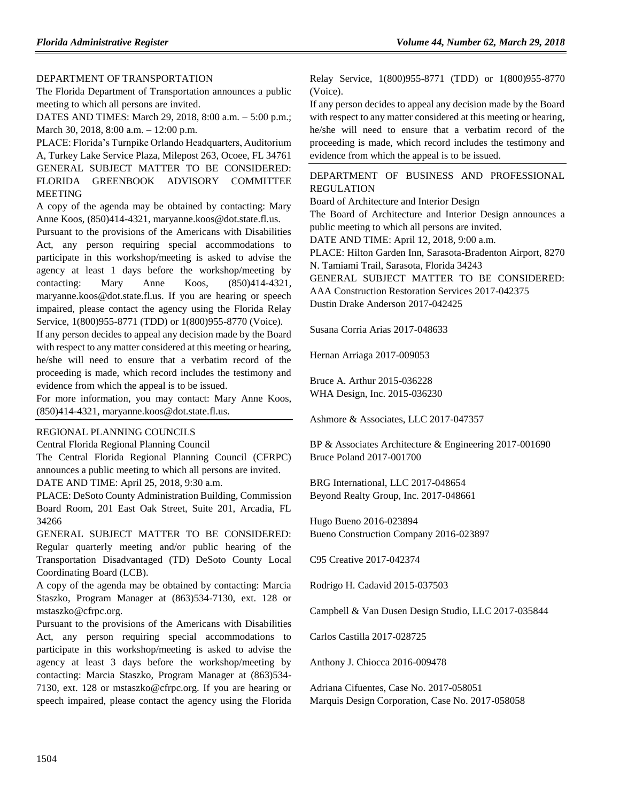#### [DEPARTMENT OF TRANSPORTATION](https://www.flrules.org/gateway/department.asp?id=14)

The Florida Department of Transportation announces a public meeting to which all persons are invited.

DATES AND TIMES: March 29, 2018, 8:00 a.m. – 5:00 p.m.; March 30, 2018, 8:00 a.m. – 12:00 p.m.

PLACE: Florida's Turnpike Orlando Headquarters, Auditorium A, Turkey Lake Service Plaza, Milepost 263, Ocoee, FL 34761 GENERAL SUBJECT MATTER TO BE CONSIDERED: FLORIDA GREENBOOK ADVISORY COMMITTEE MEETING

A copy of the agenda may be obtained by contacting: Mary Anne Koos, (850)414-4321, maryanne.koos@dot.state.fl.us.

Pursuant to the provisions of the Americans with Disabilities Act, any person requiring special accommodations to participate in this workshop/meeting is asked to advise the agency at least 1 days before the workshop/meeting by contacting: Mary Anne Koos, (850)414-4321, maryanne.koos@dot.state.fl.us. If you are hearing or speech impaired, please contact the agency using the Florida Relay Service, 1(800)955-8771 (TDD) or 1(800)955-8770 (Voice).

If any person decides to appeal any decision made by the Board with respect to any matter considered at this meeting or hearing, he/she will need to ensure that a verbatim record of the proceeding is made, which record includes the testimony and evidence from which the appeal is to be issued.

For more information, you may contact: Mary Anne Koos, (850)414-4321, maryanne.koos@dot.state.fl.us.

#### [REGIONAL PLANNING COUNCILS](https://www.flrules.org/gateway/department.asp?id=29)

[Central Florida Regional Planning Council](https://www.flrules.org/gateway/organization.asp?id=63)

The Central Florida Regional Planning Council (CFRPC) announces a public meeting to which all persons are invited. DATE AND TIME: April 25, 2018, 9:30 a.m.

PLACE: DeSoto County Administration Building, Commission Board Room, 201 East Oak Street, Suite 201, Arcadia, FL 34266

GENERAL SUBJECT MATTER TO BE CONSIDERED: Regular quarterly meeting and/or public hearing of the Transportation Disadvantaged (TD) DeSoto County Local Coordinating Board (LCB).

A copy of the agenda may be obtained by contacting: Marcia Staszko, Program Manager at (863)534-7130, ext. 128 or mstaszko@cfrpc.org.

Pursuant to the provisions of the Americans with Disabilities Act, any person requiring special accommodations to participate in this workshop/meeting is asked to advise the agency at least 3 days before the workshop/meeting by contacting: Marcia Staszko, Program Manager at (863)534- 7130, ext. 128 or mstaszko@cfrpc.org. If you are hearing or speech impaired, please contact the agency using the Florida Relay Service, 1(800)955-8771 (TDD) or 1(800)955-8770 (Voice).

If any person decides to appeal any decision made by the Board with respect to any matter considered at this meeting or hearing, he/she will need to ensure that a verbatim record of the proceeding is made, which record includes the testimony and evidence from which the appeal is to be issued.

### [DEPARTMENT OF BUSINESS AND PROFESSIONAL](https://www.flrules.org/gateway/department.asp?id=61)  [REGULATION](https://www.flrules.org/gateway/department.asp?id=61)

[Board of Architecture and Interior Design](https://www.flrules.org/gateway/organization.asp?id=263)

The Board of Architecture and Interior Design announces a public meeting to which all persons are invited.

DATE AND TIME: April 12, 2018, 9:00 a.m.

PLACE: Hilton Garden Inn, Sarasota-Bradenton Airport, 8270 N. Tamiami Trail, Sarasota, Florida 34243

GENERAL SUBJECT MATTER TO BE CONSIDERED:

AAA Construction Restoration Services 2017-042375

Dustin Drake Anderson 2017-042425

Susana Corria Arias 2017-048633

Hernan Arriaga 2017-009053

Bruce A. Arthur 2015-036228 WHA Design, Inc. 2015-036230

Ashmore & Associates, LLC 2017-047357

BP & Associates Architecture & Engineering 2017-001690 Bruce Poland 2017-001700

BRG International, LLC 2017-048654 Beyond Realty Group, Inc. 2017-048661

Hugo Bueno 2016-023894 Bueno Construction Company 2016-023897

C95 Creative 2017-042374

Rodrigo H. Cadavid 2015-037503

Campbell & Van Dusen Design Studio, LLC 2017-035844

Carlos Castilla 2017-028725

Anthony J. Chiocca 2016-009478

Adriana Cifuentes, Case No. 2017-058051 Marquis Design Corporation, Case No. 2017-058058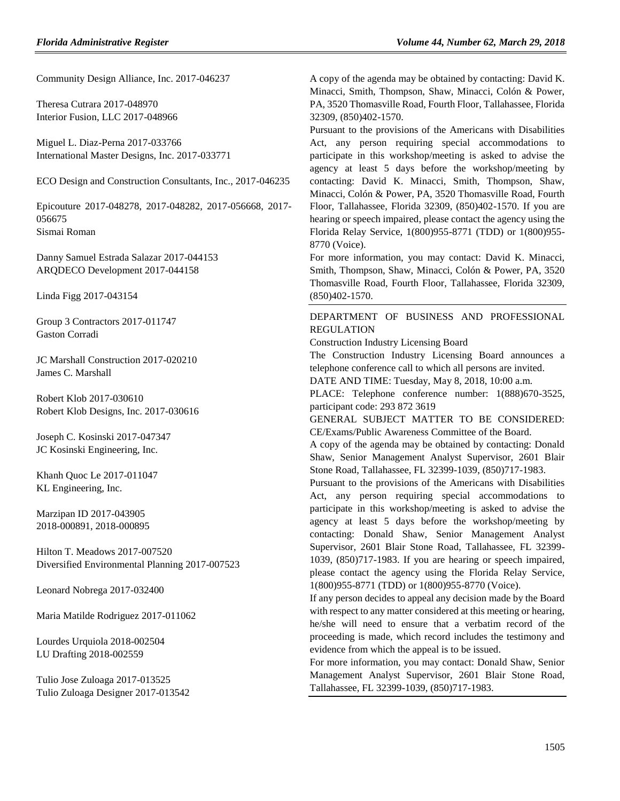Community Design Alliance, Inc. 2017-046237

Theresa Cutrara 2017-048970 Interior Fusion, LLC 2017-048966

Miguel L. Diaz-Perna 2017-033766 International Master Designs, Inc. 2017-033771

ECO Design and Construction Consultants, Inc., 2017-046235

Epicouture 2017-048278, 2017-048282, 2017-056668, 2017- 056675 Sismai Roman

Danny Samuel Estrada Salazar 2017-044153 ARQDECO Development 2017-044158

Linda Figg 2017-043154

Group 3 Contractors 2017-011747 Gaston Corradi

JC Marshall Construction 2017-020210 James C. Marshall

Robert Klob 2017-030610 Robert Klob Designs, Inc. 2017-030616

Joseph C. Kosinski 2017-047347 JC Kosinski Engineering, Inc.

Khanh Quoc Le 2017-011047 KL Engineering, Inc.

Marzipan ID 2017-043905 2018-000891, 2018-000895

Hilton T. Meadows 2017-007520 Diversified Environmental Planning 2017-007523

Leonard Nobrega 2017-032400

Maria Matilde Rodriguez 2017-011062

Lourdes Urquiola 2018-002504 LU Drafting 2018-002559

Tulio Jose Zuloaga 2017-013525 Tulio Zuloaga Designer 2017-013542 A copy of the agenda may be obtained by contacting: David K. Minacci, Smith, Thompson, Shaw, Minacci, Colón & Power, PA, 3520 Thomasville Road, Fourth Floor, Tallahassee, Florida 32309, (850)402-1570.

Pursuant to the provisions of the Americans with Disabilities Act, any person requiring special accommodations to participate in this workshop/meeting is asked to advise the agency at least 5 days before the workshop/meeting by contacting: David K. Minacci, Smith, Thompson, Shaw, Minacci, Colón & Power, PA, 3520 Thomasville Road, Fourth Floor, Tallahassee, Florida 32309, (850)402-1570. If you are hearing or speech impaired, please contact the agency using the Florida Relay Service, 1(800)955-8771 (TDD) or 1(800)955- 8770 (Voice).

For more information, you may contact: David K. Minacci, Smith, Thompson, Shaw, Minacci, Colón & Power, PA, 3520 Thomasville Road, Fourth Floor, Tallahassee, Florida 32309, (850)402-1570.

## [DEPARTMENT OF BUSINESS AND PROFESSIONAL](https://www.flrules.org/gateway/department.asp?id=61)  [REGULATION](https://www.flrules.org/gateway/department.asp?id=61)

[Construction Industry Licensing Board](https://www.flrules.org/gateway/organization.asp?id=274)

The Construction Industry Licensing Board announces a telephone conference call to which all persons are invited.

DATE AND TIME: Tuesday, May 8, 2018, 10:00 a.m.

PLACE: Telephone conference number: 1(888)670-3525, participant code: 293 872 3619

GENERAL SUBJECT MATTER TO BE CONSIDERED: CE/Exams/Public Awareness Committee of the Board.

A copy of the agenda may be obtained by contacting: Donald Shaw, Senior Management Analyst Supervisor, 2601 Blair Stone Road, Tallahassee, FL 32399-1039, (850)717-1983.

Pursuant to the provisions of the Americans with Disabilities Act, any person requiring special accommodations to participate in this workshop/meeting is asked to advise the agency at least 5 days before the workshop/meeting by contacting: Donald Shaw, Senior Management Analyst Supervisor, 2601 Blair Stone Road, Tallahassee, FL 32399- 1039, (850)717-1983. If you are hearing or speech impaired, please contact the agency using the Florida Relay Service, 1(800)955-8771 (TDD) or 1(800)955-8770 (Voice).

If any person decides to appeal any decision made by the Board with respect to any matter considered at this meeting or hearing, he/she will need to ensure that a verbatim record of the proceeding is made, which record includes the testimony and evidence from which the appeal is to be issued.

For more information, you may contact: Donald Shaw, Senior Management Analyst Supervisor, 2601 Blair Stone Road, Tallahassee, FL 32399-1039, (850)717-1983.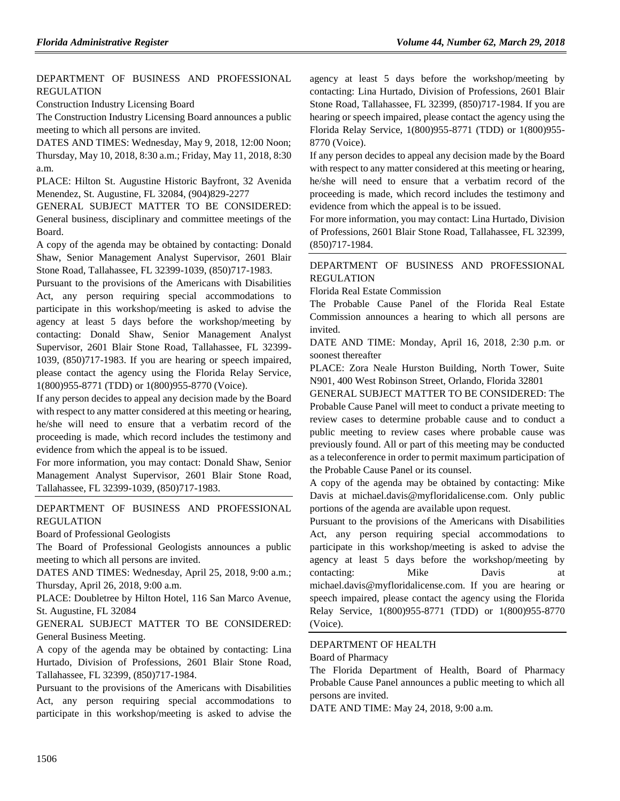## [DEPARTMENT OF BUSINESS AND PROFESSIONAL](https://www.flrules.org/gateway/department.asp?id=61)  [REGULATION](https://www.flrules.org/gateway/department.asp?id=61)

[Construction Industry Licensing Board](https://www.flrules.org/gateway/organization.asp?id=274)

The Construction Industry Licensing Board announces a public meeting to which all persons are invited.

DATES AND TIMES: Wednesday, May 9, 2018, 12:00 Noon; Thursday, May 10, 2018, 8:30 a.m.; Friday, May 11, 2018, 8:30 a.m.

PLACE: Hilton St. Augustine Historic Bayfront, 32 Avenida Menendez, St. Augustine, FL 32084, (904)829-2277

GENERAL SUBJECT MATTER TO BE CONSIDERED: General business, disciplinary and committee meetings of the Board.

A copy of the agenda may be obtained by contacting: Donald Shaw, Senior Management Analyst Supervisor, 2601 Blair Stone Road, Tallahassee, FL 32399-1039, (850)717-1983.

Pursuant to the provisions of the Americans with Disabilities Act, any person requiring special accommodations to participate in this workshop/meeting is asked to advise the agency at least 5 days before the workshop/meeting by contacting: Donald Shaw, Senior Management Analyst Supervisor, 2601 Blair Stone Road, Tallahassee, FL 32399- 1039, (850)717-1983. If you are hearing or speech impaired, please contact the agency using the Florida Relay Service, 1(800)955-8771 (TDD) or 1(800)955-8770 (Voice).

If any person decides to appeal any decision made by the Board with respect to any matter considered at this meeting or hearing, he/she will need to ensure that a verbatim record of the proceeding is made, which record includes the testimony and evidence from which the appeal is to be issued.

For more information, you may contact: Donald Shaw, Senior Management Analyst Supervisor, 2601 Blair Stone Road, Tallahassee, FL 32399-1039, (850)717-1983.

## [DEPARTMENT OF BUSINESS AND PROFESSIONAL](https://www.flrules.org/gateway/department.asp?id=61)  [REGULATION](https://www.flrules.org/gateway/department.asp?id=61)

[Board of Professional Geologists](https://www.flrules.org/gateway/organization.asp?id=268)

The Board of Professional Geologists announces a public meeting to which all persons are invited.

DATES AND TIMES: Wednesday, April 25, 2018, 9:00 a.m.; Thursday, April 26, 2018, 9:00 a.m.

PLACE: Doubletree by Hilton Hotel, 116 San Marco Avenue, St. Augustine, FL 32084

GENERAL SUBJECT MATTER TO BE CONSIDERED: General Business Meeting.

A copy of the agenda may be obtained by contacting: Lina Hurtado, Division of Professions, 2601 Blair Stone Road, Tallahassee, FL 32399, (850)717-1984.

Pursuant to the provisions of the Americans with Disabilities Act, any person requiring special accommodations to participate in this workshop/meeting is asked to advise the agency at least 5 days before the workshop/meeting by contacting: Lina Hurtado, Division of Professions, 2601 Blair Stone Road, Tallahassee, FL 32399, (850)717-1984. If you are hearing or speech impaired, please contact the agency using the Florida Relay Service, 1(800)955-8771 (TDD) or 1(800)955- 8770 (Voice).

If any person decides to appeal any decision made by the Board with respect to any matter considered at this meeting or hearing, he/she will need to ensure that a verbatim record of the proceeding is made, which record includes the testimony and evidence from which the appeal is to be issued.

For more information, you may contact: Lina Hurtado, Division of Professions, 2601 Blair Stone Road, Tallahassee, FL 32399, (850)717-1984.

## [DEPARTMENT OF BUSINESS AND PROFESSIONAL](https://www.flrules.org/gateway/department.asp?id=61)  [REGULATION](https://www.flrules.org/gateway/department.asp?id=61)

[Florida Real Estate Commission](https://www.flrules.org/gateway/organization.asp?id=283)

The Probable Cause Panel of the Florida Real Estate Commission announces a hearing to which all persons are invited.

DATE AND TIME: Monday, April 16, 2018, 2:30 p.m. or soonest thereafter

PLACE: Zora Neale Hurston Building, North Tower, Suite N901, 400 West Robinson Street, Orlando, Florida 32801

GENERAL SUBJECT MATTER TO BE CONSIDERED: The Probable Cause Panel will meet to conduct a private meeting to review cases to determine probable cause and to conduct a public meeting to review cases where probable cause was previously found. All or part of this meeting may be conducted as a teleconference in order to permit maximum participation of the Probable Cause Panel or its counsel.

A copy of the agenda may be obtained by contacting: Mike Davis at michael.davis@myfloridalicense.com. Only public portions of the agenda are available upon request.

Pursuant to the provisions of the Americans with Disabilities Act, any person requiring special accommodations to participate in this workshop/meeting is asked to advise the agency at least 5 days before the workshop/meeting by contacting: Mike Davis at michael.davis@myfloridalicense.com. If you are hearing or speech impaired, please contact the agency using the Florida Relay Service, 1(800)955-8771 (TDD) or 1(800)955-8770 (Voice).

## [DEPARTMENT OF HEALTH](https://www.flrules.org/gateway/department.asp?id=64)

[Board of Pharmacy](https://www.flrules.org/gateway/organization.asp?id=307)

The Florida Department of Health, Board of Pharmacy Probable Cause Panel announces a public meeting to which all persons are invited.

DATE AND TIME: May 24, 2018, 9:00 a.m.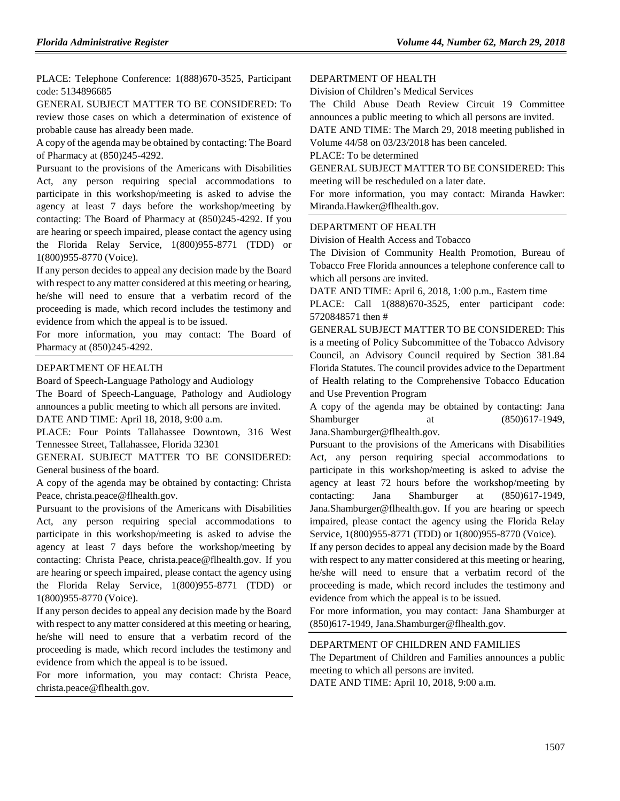PLACE: Telephone Conference: 1(888)670-3525, Participant code: 5134896685

GENERAL SUBJECT MATTER TO BE CONSIDERED: To review those cases on which a determination of existence of probable cause has already been made.

A copy of the agenda may be obtained by contacting: The Board of Pharmacy at (850)245-4292.

Pursuant to the provisions of the Americans with Disabilities Act, any person requiring special accommodations to participate in this workshop/meeting is asked to advise the agency at least 7 days before the workshop/meeting by contacting: The Board of Pharmacy at (850)245-4292. If you are hearing or speech impaired, please contact the agency using the Florida Relay Service, 1(800)955-8771 (TDD) or 1(800)955-8770 (Voice).

If any person decides to appeal any decision made by the Board with respect to any matter considered at this meeting or hearing, he/she will need to ensure that a verbatim record of the proceeding is made, which record includes the testimony and evidence from which the appeal is to be issued.

For more information, you may contact: The Board of Pharmacy at (850)245-4292.

## [DEPARTMENT OF HEALTH](https://www.flrules.org/gateway/department.asp?id=64)

[Board of Speech-Language Pathology and Audiology](https://www.flrules.org/gateway/organization.asp?id=312)

The Board of Speech-Language, Pathology and Audiology announces a public meeting to which all persons are invited. DATE AND TIME: April 18, 2018, 9:00 a.m.

PLACE: Four Points Tallahassee Downtown, 316 West Tennessee Street, Tallahassee, Florida 32301

GENERAL SUBJECT MATTER TO BE CONSIDERED: General business of the board.

A copy of the agenda may be obtained by contacting: Christa Peace, christa.peace@flhealth.gov.

Pursuant to the provisions of the Americans with Disabilities Act, any person requiring special accommodations to participate in this workshop/meeting is asked to advise the agency at least 7 days before the workshop/meeting by contacting: Christa Peace, christa.peace@flhealth.gov. If you are hearing or speech impaired, please contact the agency using the Florida Relay Service, 1(800)955-8771 (TDD) or 1(800)955-8770 (Voice).

If any person decides to appeal any decision made by the Board with respect to any matter considered at this meeting or hearing, he/she will need to ensure that a verbatim record of the proceeding is made, which record includes the testimony and evidence from which the appeal is to be issued.

For more information, you may contact: Christa Peace, christa.peace@flhealth.gov.

## [DEPARTMENT OF HEALTH](https://www.flrules.org/gateway/department.asp?id=64)

[Division of Children's Medical Services](https://www.flrules.org/gateway/organization.asp?id=333)

The Child Abuse Death Review Circuit 19 Committee announces a public meeting to which all persons are invited.

DATE AND TIME: The March 29, 2018 meeting published in Volume 44/58 on 03/23/2018 has been canceled.

#### PLACE: To be determined

GENERAL SUBJECT MATTER TO BE CONSIDERED: This meeting will be rescheduled on a later date.

For more information, you may contact: Miranda Hawker: Miranda.Hawker@flhealth.gov.

#### [DEPARTMENT OF HEALTH](https://www.flrules.org/gateway/department.asp?id=64)

[Division of Health Access and Tobacco](https://www.flrules.org/gateway/organization.asp?id=506)

The Division of Community Health Promotion, Bureau of Tobacco Free Florida announces a telephone conference call to which all persons are invited.

DATE AND TIME: April 6, 2018, 1:00 p.m., Eastern time

PLACE: Call 1(888)670-3525, enter participant code: 5720848571 then #

GENERAL SUBJECT MATTER TO BE CONSIDERED: This is a meeting of Policy Subcommittee of the Tobacco Advisory Council, an Advisory Council required by Section 381.84 Florida Statutes. The council provides advice to the Department of Health relating to the Comprehensive Tobacco Education and Use Prevention Program

A copy of the agenda may be obtained by contacting: Jana Shamburger at (850)617-1949.

Jana.Shamburger@flhealth.gov.

Pursuant to the provisions of the Americans with Disabilities Act, any person requiring special accommodations to participate in this workshop/meeting is asked to advise the agency at least 72 hours before the workshop/meeting by contacting: Jana Shamburger at (850)617-1949, Jana.Shamburger@flhealth.gov. If you are hearing or speech impaired, please contact the agency using the Florida Relay Service, 1(800)955-8771 (TDD) or 1(800)955-8770 (Voice).

If any person decides to appeal any decision made by the Board with respect to any matter considered at this meeting or hearing, he/she will need to ensure that a verbatim record of the proceeding is made, which record includes the testimony and evidence from which the appeal is to be issued.

For more information, you may contact: Jana Shamburger at (850)617-1949, Jana.Shamburger@flhealth.gov.

### [DEPARTMENT OF CHILDREN AND FAMILIES](https://www.flrules.org/gateway/department.asp?id=65)

The Department of Children and Families announces a public meeting to which all persons are invited.

DATE AND TIME: April 10, 2018, 9:00 a.m.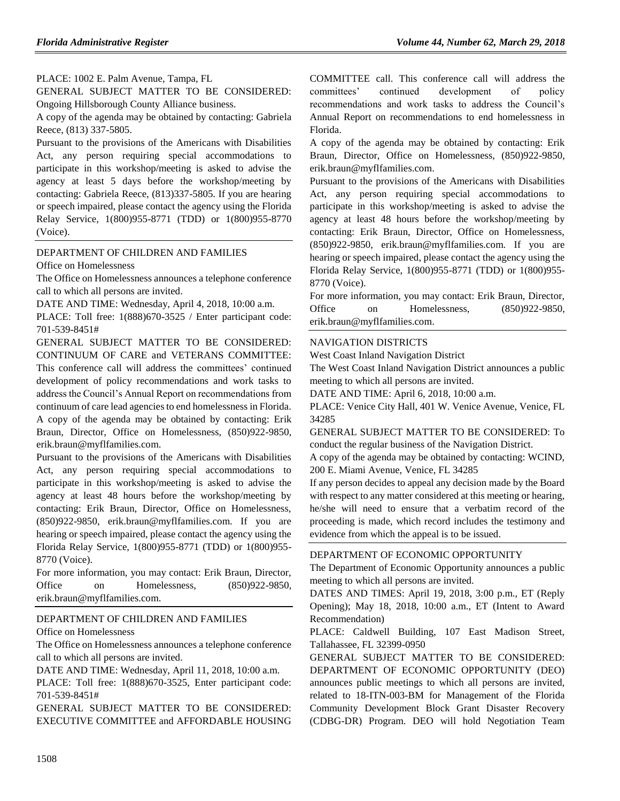PLACE: 1002 E. Palm Avenue, Tampa, FL

GENERAL SUBJECT MATTER TO BE CONSIDERED: Ongoing Hillsborough County Alliance business.

A copy of the agenda may be obtained by contacting: Gabriela Reece, (813) 337-5805.

Pursuant to the provisions of the Americans with Disabilities Act, any person requiring special accommodations to participate in this workshop/meeting is asked to advise the agency at least 5 days before the workshop/meeting by contacting: Gabriela Reece, (813)337-5805. If you are hearing or speech impaired, please contact the agency using the Florida Relay Service, 1(800)955-8771 (TDD) or 1(800)955-8770 (Voice).

## [DEPARTMENT OF CHILDREN AND FAMILIES](https://www.flrules.org/gateway/department.asp?id=65)

[Office on Homelessness](https://www.flrules.org/gateway/organization.asp?id=934)

The Office on Homelessness announces a telephone conference call to which all persons are invited.

DATE AND TIME: Wednesday, April 4, 2018, 10:00 a.m.

PLACE: Toll free: 1(888)670-3525 / Enter participant code: 701-539-8451#

GENERAL SUBJECT MATTER TO BE CONSIDERED: CONTINUUM OF CARE and VETERANS COMMITTEE: This conference call will address the committees' continued development of policy recommendations and work tasks to address the Council's Annual Report on recommendations from continuum of care lead agencies to end homelessness in Florida. A copy of the agenda may be obtained by contacting: Erik Braun, Director, Office on Homelessness, (850)922-9850, erik.braun@myflfamilies.com.

Pursuant to the provisions of the Americans with Disabilities Act, any person requiring special accommodations to participate in this workshop/meeting is asked to advise the agency at least 48 hours before the workshop/meeting by contacting: Erik Braun, Director, Office on Homelessness, (850)922-9850, erik.braun@myflfamilies.com. If you are hearing or speech impaired, please contact the agency using the Florida Relay Service, 1(800)955-8771 (TDD) or 1(800)955- 8770 (Voice).

For more information, you may contact: Erik Braun, Director, Office on Homelessness,  $(850)922-9850$ , erik.braun@myflfamilies.com.

#### [DEPARTMENT OF CHILDREN AND FAMILIES](https://www.flrules.org/gateway/department.asp?id=65)

[Office on Homelessness](https://www.flrules.org/gateway/organization.asp?id=934)

The Office on Homelessness announces a telephone conference call to which all persons are invited.

DATE AND TIME: Wednesday, April 11, 2018, 10:00 a.m.

PLACE: Toll free: 1(888)670-3525, Enter participant code: 701-539-8451#

GENERAL SUBJECT MATTER TO BE CONSIDERED: EXECUTIVE COMMITTEE and AFFORDABLE HOUSING COMMITTEE call. This conference call will address the committees' continued development of policy recommendations and work tasks to address the Council's Annual Report on recommendations to end homelessness in Florida.

A copy of the agenda may be obtained by contacting: Erik Braun, Director, Office on Homelessness, (850)922-9850, erik.braun@myflfamilies.com.

Pursuant to the provisions of the Americans with Disabilities Act, any person requiring special accommodations to participate in this workshop/meeting is asked to advise the agency at least 48 hours before the workshop/meeting by contacting: Erik Braun, Director, Office on Homelessness, (850)922-9850, erik.braun@myflfamilies.com. If you are hearing or speech impaired, please contact the agency using the Florida Relay Service, 1(800)955-8771 (TDD) or 1(800)955- 8770 (Voice).

For more information, you may contact: Erik Braun, Director, Office on Homelessness,  $(850)922-9850$ , erik.braun@myflfamilies.com.

#### [NAVIGATION DISTRICTS](https://www.flrules.org/gateway/department.asp?id=66)

[West Coast Inland Navigation District](https://www.flrules.org/gateway/organization.asp?id=345)

The West Coast Inland Navigation District announces a public meeting to which all persons are invited.

DATE AND TIME: April 6, 2018, 10:00 a.m.

PLACE: Venice City Hall, 401 W. Venice Avenue, Venice, FL 34285

GENERAL SUBJECT MATTER TO BE CONSIDERED: To conduct the regular business of the Navigation District.

A copy of the agenda may be obtained by contacting: WCIND, 200 E. Miami Avenue, Venice, FL 34285

If any person decides to appeal any decision made by the Board with respect to any matter considered at this meeting or hearing, he/she will need to ensure that a verbatim record of the proceeding is made, which record includes the testimony and evidence from which the appeal is to be issued.

#### [DEPARTMENT OF ECONOMIC OPPORTUNITY](https://www.flrules.org/gateway/department.asp?id=73)

The Department of Economic Opportunity announces a public meeting to which all persons are invited.

DATES AND TIMES: April 19, 2018, 3:00 p.m., ET (Reply Opening); May 18, 2018, 10:00 a.m., ET (Intent to Award Recommendation)

PLACE: Caldwell Building, 107 East Madison Street, Tallahassee, FL 32399-0950

GENERAL SUBJECT MATTER TO BE CONSIDERED: DEPARTMENT OF ECONOMIC OPPORTUNITY (DEO) announces public meetings to which all persons are invited, related to 18-ITN-003-BM for Management of the Florida Community Development Block Grant Disaster Recovery (CDBG-DR) Program. DEO will hold Negotiation Team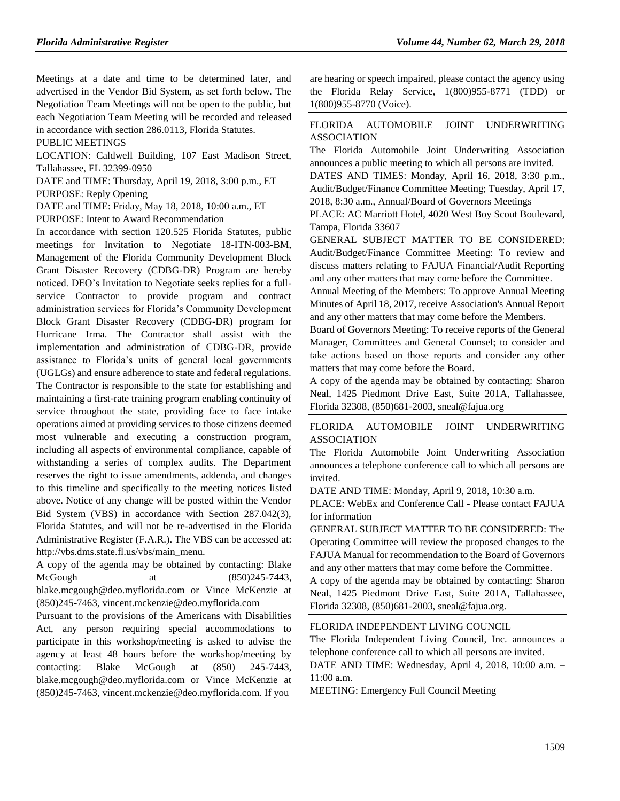Meetings at a date and time to be determined later, and advertised in the Vendor Bid System, as set forth below. The Negotiation Team Meetings will not be open to the public, but each Negotiation Team Meeting will be recorded and released in accordance with section 286.0113, Florida Statutes.

PUBLIC MEETINGS

LOCATION: Caldwell Building, 107 East Madison Street, Tallahassee, FL 32399-0950

DATE and TIME: Thursday, April 19, 2018, 3:00 p.m., ET PURPOSE: Reply Opening

DATE and TIME: Friday, May 18, 2018, 10:00 a.m., ET

PURPOSE: Intent to Award Recommendation

In accordance with section 120.525 Florida Statutes, public meetings for Invitation to Negotiate 18-ITN-003-BM, Management of the Florida Community Development Block Grant Disaster Recovery (CDBG-DR) Program are hereby noticed. DEO's Invitation to Negotiate seeks replies for a fullservice Contractor to provide program and contract administration services for Florida's Community Development Block Grant Disaster Recovery (CDBG-DR) program for Hurricane Irma. The Contractor shall assist with the implementation and administration of CDBG-DR, provide assistance to Florida's units of general local governments (UGLGs) and ensure adherence to state and federal regulations. The Contractor is responsible to the state for establishing and maintaining a first-rate training program enabling continuity of service throughout the state, providing face to face intake operations aimed at providing services to those citizens deemed most vulnerable and executing a construction program, including all aspects of environmental compliance, capable of withstanding a series of complex audits. The Department reserves the right to issue amendments, addenda, and changes to this timeline and specifically to the meeting notices listed above. Notice of any change will be posted within the Vendor Bid System (VBS) in accordance with Section 287.042(3), Florida Statutes, and will not be re-advertised in the Florida Administrative Register (F.A.R.). The VBS can be accessed at: http://vbs.dms.state.fl.us/vbs/main\_menu.

A copy of the agenda may be obtained by contacting: Blake McGough at  $(850)245-7443$ , blake.mcgough@deo.myflorida.com or Vince McKenzie at (850)245-7463, vincent.mckenzie@deo.myflorida.com

Pursuant to the provisions of the Americans with Disabilities Act, any person requiring special accommodations to participate in this workshop/meeting is asked to advise the agency at least 48 hours before the workshop/meeting by contacting: Blake McGough at (850) 245-7443, blake.mcgough@deo.myflorida.com or Vince McKenzie at (850)245-7463, vincent.mckenzie@deo.myflorida.com. If you

are hearing or speech impaired, please contact the agency using the Florida Relay Service, 1(800)955-8771 (TDD) or 1(800)955-8770 (Voice).

## [FLORIDA AUTOMOBILE JOINT UNDERWRITING](https://www.flrules.org/gateway/organization.asp?id=570)  [ASSOCIATION](https://www.flrules.org/gateway/organization.asp?id=570)

The Florida Automobile Joint Underwriting Association announces a public meeting to which all persons are invited.

DATES AND TIMES: Monday, April 16, 2018, 3:30 p.m., Audit/Budget/Finance Committee Meeting; Tuesday, April 17, 2018, 8:30 a.m., Annual/Board of Governors Meetings

PLACE: AC Marriott Hotel, 4020 West Boy Scout Boulevard, Tampa, Florida 33607

GENERAL SUBJECT MATTER TO BE CONSIDERED: Audit/Budget/Finance Committee Meeting: To review and discuss matters relating to FAJUA Financial/Audit Reporting and any other matters that may come before the Committee.

Annual Meeting of the Members: To approve Annual Meeting Minutes of April 18, 2017, receive Association's Annual Report and any other matters that may come before the Members.

Board of Governors Meeting: To receive reports of the General Manager, Committees and General Counsel; to consider and take actions based on those reports and consider any other matters that may come before the Board.

A copy of the agenda may be obtained by contacting: Sharon Neal, 1425 Piedmont Drive East, Suite 201A, Tallahassee, Florida 32308, (850)681-2003, sneal@fajua.org

## [FLORIDA AUTOMOBILE JOINT UNDERWRITING](https://www.flrules.org/gateway/organization.asp?id=570)  [ASSOCIATION](https://www.flrules.org/gateway/organization.asp?id=570)

The Florida Automobile Joint Underwriting Association announces a telephone conference call to which all persons are invited.

DATE AND TIME: Monday, April 9, 2018, 10:30 a.m.

PLACE: WebEx and Conference Call - Please contact FAJUA for information

GENERAL SUBJECT MATTER TO BE CONSIDERED: The Operating Committee will review the proposed changes to the FAJUA Manual for recommendation to the Board of Governors and any other matters that may come before the Committee.

A copy of the agenda may be obtained by contacting: Sharon Neal, 1425 Piedmont Drive East, Suite 201A, Tallahassee, Florida 32308, (850)681-2003, sneal@fajua.org.

#### [FLORIDA INDEPENDENT LIVING COUNCIL](https://www.flrules.org/gateway/organization.asp?id=616)

The Florida Independent Living Council, Inc. announces a telephone conference call to which all persons are invited.

DATE AND TIME: Wednesday, April 4, 2018, 10:00 a.m. – 11:00 a.m.

MEETING: Emergency Full Council Meeting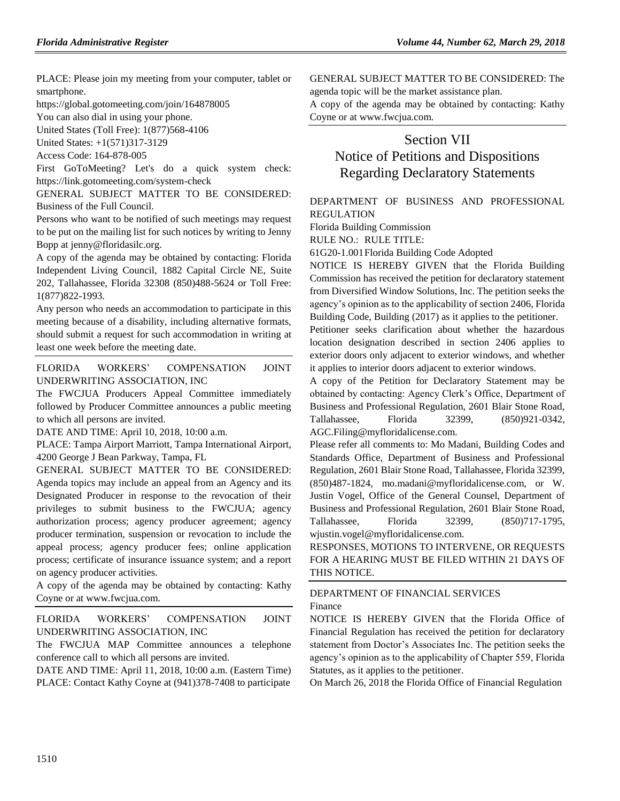PLACE: Please join my meeting from your computer, tablet or smartphone.

https://global.gotomeeting.com/join/164878005

You can also dial in using your phone.

United States (Toll Free): 1(877)568-4106

United States: +1(571)317-3129

Access Code: 164-878-005

First GoToMeeting? Let's do a quick system check: https://link.gotomeeting.com/system-check

GENERAL SUBJECT MATTER TO BE CONSIDERED: Business of the Full Council.

Persons who want to be notified of such meetings may request to be put on the mailing list for such notices by writing to Jenny Bopp at jenny@floridasilc.org.

A copy of the agenda may be obtained by contacting: Florida Independent Living Council, 1882 Capital Circle NE, Suite 202, Tallahassee, Florida 32308 (850)488-5624 or Toll Free: 1(877)822-1993.

Any person who needs an accommodation to participate in this meeting because of a disability, including alternative formats, should submit a request for such accommodation in writing at least one week before the meeting date.

[FLORIDA WORKERS' COMPENSATION JOINT](https://www.flrules.org/gateway/organization.asp?id=757)  [UNDERWRITING ASSOCIATION, INC](https://www.flrules.org/gateway/organization.asp?id=757)

The FWCJUA Producers Appeal Committee immediately followed by Producer Committee announces a public meeting to which all persons are invited.

DATE AND TIME: April 10, 2018, 10:00 a.m.

PLACE: Tampa Airport Marriott, Tampa International Airport, 4200 George J Bean Parkway, Tampa, FL

GENERAL SUBJECT MATTER TO BE CONSIDERED: Agenda topics may include an appeal from an Agency and its Designated Producer in response to the revocation of their privileges to submit business to the FWCJUA; agency authorization process; agency producer agreement; agency producer termination, suspension or revocation to include the appeal process; agency producer fees; online application process; certificate of insurance issuance system; and a report on agency producer activities.

A copy of the agenda may be obtained by contacting: Kathy Coyne or at www.fwcjua.com.

[FLORIDA WORKERS' COMPENSATION JOINT](https://www.flrules.org/gateway/organization.asp?id=757)  [UNDERWRITING ASSOCIATION, INC](https://www.flrules.org/gateway/organization.asp?id=757)

The FWCJUA MAP Committee announces a telephone conference call to which all persons are invited.

DATE AND TIME: April 11, 2018, 10:00 a.m. (Eastern Time) PLACE: Contact Kathy Coyne at (941)378-7408 to participate

GENERAL SUBJECT MATTER TO BE CONSIDERED: The agenda topic will be the market assistance plan.

A copy of the agenda may be obtained by contacting: Kathy Coyne or at www.fwcjua.com.

# Section VII Notice of Petitions and Dispositions Regarding Declaratory Statements

[DEPARTMENT OF BUSINESS AND PROFESSIONAL](https://www.flrules.org/gateway/department.asp?id=61)  [REGULATION](https://www.flrules.org/gateway/department.asp?id=61)

[Florida Building Commission](https://www.flrules.org/gateway/organization.asp?id=1071)

RULE NO.: RULE TITLE:

[61G20-1.001F](https://www.flrules.org/gateway/ruleNo.asp?id=61G20-1.001)lorida Building Code Adopted

NOTICE IS HEREBY GIVEN that the Florida Building Commission has received the petition for declaratory statement from Diversified Window Solutions, Inc. The petition seeks the agency's opinion as to the applicability of section 2406, Florida Building Code, Building (2017) as it applies to the petitioner.

Petitioner seeks clarification about whether the hazardous location designation described in section 2406 applies to exterior doors only adjacent to exterior windows, and whether it applies to interior doors adjacent to exterior windows.

A copy of the Petition for Declaratory Statement may be obtained by contacting: Agency Clerk's Office, Department of Business and Professional Regulation, 2601 Blair Stone Road, Tallahassee, Florida 32399, (850)921-0342, AGC.Filing@myfloridalicense.com.

Please refer all comments to: Mo Madani, Building Codes and Standards Office, Department of Business and Professional Regulation, 2601 Blair Stone Road, Tallahassee, Florida 32399, (850)487-1824, mo.madani@myfloridalicense.com, or W. Justin Vogel, Office of the General Counsel, Department of Business and Professional Regulation, 2601 Blair Stone Road, Tallahassee, Florida 32399, (850)717-1795, wjustin.vogel@myfloridalicense.com.

RESPONSES, MOTIONS TO INTERVENE, OR REQUESTS FOR A HEARING MUST BE FILED WITHIN 21 DAYS OF THIS NOTICE.

## [DEPARTMENT OF FINANCIAL SERVICES](https://www.flrules.org/gateway/department.asp?id=69)

[Finance](https://www.flrules.org/gateway/organization.asp?id=524)

NOTICE IS HEREBY GIVEN that the Florida Office of Financial Regulation has received the petition for declaratory statement from Doctor's Associates Inc. The petition seeks the agency's opinion as to the applicability of Chapter 559, Florida Statutes, as it applies to the petitioner.

On March 26, 2018 the Florida Office of Financial Regulation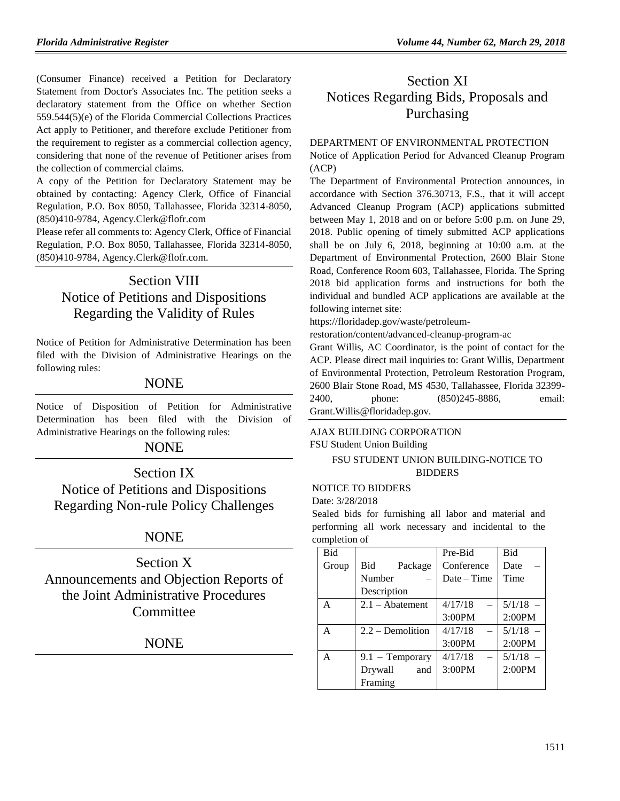(Consumer Finance) received a Petition for Declaratory Statement from Doctor's Associates Inc. The petition seeks a declaratory statement from the Office on whether Section 559.544(5)(e) of the Florida Commercial Collections Practices Act apply to Petitioner, and therefore exclude Petitioner from the requirement to register as a commercial collection agency, considering that none of the revenue of Petitioner arises from the collection of commercial claims.

A copy of the Petition for Declaratory Statement may be obtained by contacting: Agency Clerk, Office of Financial Regulation, P.O. Box 8050, Tallahassee, Florida 32314-8050, (850)410-9784, Agency.Clerk@flofr.com

Please refer all comments to: Agency Clerk, Office of Financial Regulation, P.O. Box 8050, Tallahassee, Florida 32314-8050, (850)410-9784, Agency.Clerk@flofr.com.

# Section VIII Notice of Petitions and Dispositions Regarding the Validity of Rules

Notice of Petition for Administrative Determination has been filed with the Division of Administrative Hearings on the following rules:

## **NONE**

Notice of Disposition of Petition for Administrative Determination has been filed with the Division of Administrative Hearings on the following rules:

## **NONE**

Section IX Notice of Petitions and Dispositions Regarding Non-rule Policy Challenges

## **NONE**

Section X Announcements and Objection Reports of the Joint Administrative Procedures Committee

## NONE

# Section XI Notices Regarding Bids, Proposals and Purchasing

## [DEPARTMENT OF ENVIRONMENTAL PROTECTION](https://www.flrules.org/gateway/department.asp?id=62)

Notice of Application Period for Advanced Cleanup Program (ACP)

The Department of Environmental Protection announces, in accordance with Section 376.30713, F.S., that it will accept Advanced Cleanup Program (ACP) applications submitted between May 1, 2018 and on or before 5:00 p.m. on June 29, 2018. Public opening of timely submitted ACP applications shall be on July 6, 2018, beginning at 10:00 a.m. at the Department of Environmental Protection, 2600 Blair Stone Road, Conference Room 603, Tallahassee, Florida. The Spring 2018 bid application forms and instructions for both the individual and bundled ACP applications are available at the following internet site:

[https://floridadep.gov/waste/petroleum-](https://floridadep.gov/waste/petroleum-restoration/content/advanced-cleanup-program-ac)

[restoration/content/advanced-cleanup-program-ac](https://floridadep.gov/waste/petroleum-restoration/content/advanced-cleanup-program-ac)

Grant Willis, AC Coordinator, is the point of contact for the ACP. Please direct mail inquiries to: Grant Willis, Department of Environmental Protection, Petroleum Restoration Program, 2600 Blair Stone Road, MS 4530, Tallahassee, Florida 32399- 2400, phone: (850)245-8886, email: Grant.Willis@floridadep.gov.

#### [AJAX BUILDING CORPORATION](https://www.flrules.org/gateway/organization.asp?id=1257)

FSU Student Union Building

## FSU STUDENT UNION BUILDING-NOTICE TO **BIDDERS**

#### NOTICE TO BIDDERS

Date: 3/28/2018

Sealed bids for furnishing all labor and material and performing all work necessary and incidental to the completion of

| <b>Bid</b> |                    | Pre-Bid       | <b>Bid</b> |
|------------|--------------------|---------------|------------|
| Group      | Bid<br>Package     | Conference    | Date       |
|            | Number             | $Date - Time$ | Time       |
|            | Description        |               |            |
| A          | $2.1 -$ Abatement  | 4/17/18       | $5/1/18 -$ |
|            |                    | 3:00PM        | 2:00PM     |
| A          | $2.2 -$ Demolition | 4/17/18       | $5/1/18 -$ |
|            |                    | 3:00PM        | 2:00PM     |
| A          | $9.1 - Temporary$  | 4/17/18       | $5/1/18 -$ |
|            | Drywall<br>and     | 3:00PM        | 2:00PM     |
|            | Framing            |               |            |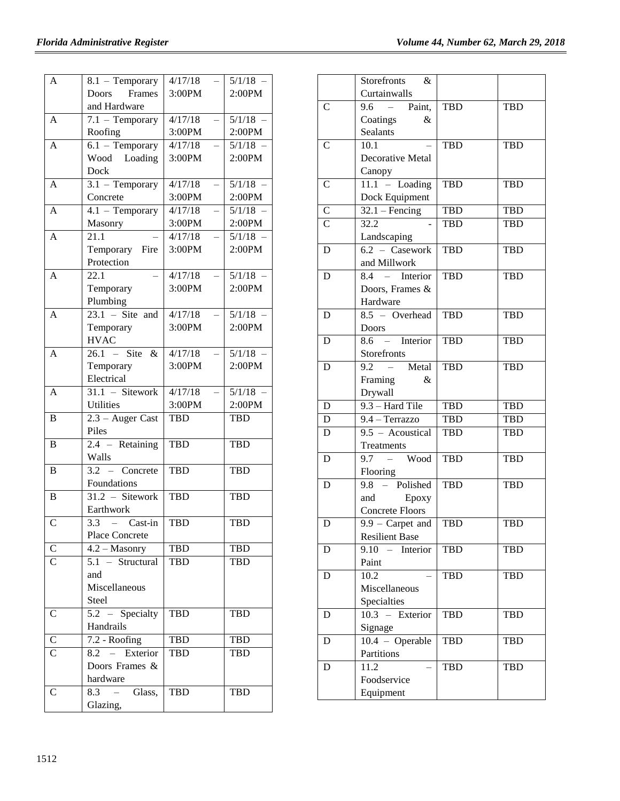| $\mathbf{A}$       | 8.1 - Temporary              | 4/17/18           | $5/1/18$ - |
|--------------------|------------------------------|-------------------|------------|
|                    | Frames<br>Doors              | 3:00PM            | 2:00PM     |
|                    | and Hardware                 |                   |            |
| A                  | $7.1$ - Temporary            | 4/17/18           | 5/1/18     |
|                    | Roofing                      | 3:00PM            | 2:00PM     |
| $\mathbf{A}$       | $6.1 - Temporary$            | 4/17/18           | 5/1/18     |
|                    | Wood Loading                 | 3:00PM            | 2:00PM     |
|                    | Dock                         |                   |            |
| A                  | $3.1$ – Temporary            | 4/17/18           | 5/1/18     |
|                    | Concrete                     | 3:00PM            | 2:00PM     |
| $\mathbf{A}$       | $4.1 - Temporary$            | 4/17/18           | 5/1/18     |
|                    | Masonry                      | 3:00PM            | 2:00PM     |
| $\mathbf{A}$       | 21.1                         | 4/17/18           | 5/1/18     |
|                    | Temporary Fire               | 3:00PM            | 2:00PM     |
|                    | Protection                   |                   |            |
| A                  | 22.1                         | 4/17/18           | 5/1/18     |
|                    | Temporary                    | 3:00PM            | 2:00PM     |
|                    | Plumbing                     |                   |            |
| $\mathbf{A}$       | $\overline{23.1}$ – Site and | 4/17/18           | 5/1/18     |
|                    | Temporary                    | 3:00PM            | 2:00PM     |
|                    | <b>HVAC</b>                  |                   |            |
| $\mathbf{A}$       | $26.1 - Site &$              | $\frac{4}{17/18}$ | 5/1/18     |
|                    | Temporary                    | 3:00PM            | 2:00PM     |
|                    | Electrical                   |                   |            |
| A                  | $\overline{31.1}$ – Sitework | 4/17/18           | 5/1/18     |
|                    | <b>Utilities</b>             | 3:00PM            | 2:00PM     |
| B                  | 2.3 - Auger Cast             | <b>TBD</b>        | <b>TBD</b> |
|                    | Piles                        |                   |            |
| $\overline{B}$     | $2.4$ – Retaining            | <b>TBD</b>        | <b>TBD</b> |
|                    | Walls                        |                   |            |
| $\overline{B}$     | $3.2 -$ Concrete             | TBD               | <b>TBD</b> |
|                    | Foundations                  |                   |            |
| $\, {\bf B}$       | $\overline{31.2}$ – Sitework | <b>TBD</b>        | <b>TBD</b> |
|                    | Earthwork                    |                   |            |
| $\mathcal{C}$      | $3.3 -$ Cast-in              | <b>TBD</b>        | <b>TBD</b> |
|                    | Place Concrete               |                   |            |
| $\overline{C}$     | $4.2 - Masonry$              | TBD               | <b>TBD</b> |
| $\mathcal{C}$      | 5.1 - Structural             | <b>TBD</b>        | TBD        |
|                    | and                          |                   |            |
|                    | Miscellaneous                |                   |            |
|                    | Steel                        |                   |            |
| $\mathsf{C}$       | $5.2 -$ Specialty            | <b>TBD</b>        | <b>TBD</b> |
|                    | Handrails                    |                   |            |
| $\mathbf C$        | 7.2 - Roofing                | <b>TBD</b>        | <b>TBD</b> |
| $\overline{\rm C}$ | Exterior<br>$8.2 =$          | TBD               | <b>TBD</b> |
|                    | Doors Frames &               |                   |            |
|                    | hardware                     |                   |            |
| $\mathbf C$        | 8.3<br>Glass,                | <b>TBD</b>        | <b>TBD</b> |
|                    | Glazing,                     |                   |            |
|                    |                              |                   |            |

|                         | Storefronts<br>$\&$                                                   |            |            |
|-------------------------|-----------------------------------------------------------------------|------------|------------|
|                         | Curtainwalls                                                          |            |            |
| $\mathsf{C}$            | $\overline{9.6}$ – Paint,                                             | <b>TBD</b> | <b>TBD</b> |
|                         | Coatings<br>&                                                         |            |            |
|                         | <b>Sealants</b>                                                       |            |            |
| $\overline{C}$          | 10.1                                                                  | TBD        | <b>TBD</b> |
|                         | Decorative Metal                                                      |            |            |
|                         | Canopy                                                                |            |            |
| $\mathsf{C}$            | $11.1 -$ Loading                                                      | <b>TBD</b> | <b>TBD</b> |
|                         | Dock Equipment                                                        |            |            |
| $\mathsf{C}$            | $32.1 - Fencing$                                                      | TBD        | TBD        |
| $\overline{C}$          | 32.2                                                                  | <b>TBD</b> | TBD        |
|                         | Landscaping                                                           |            |            |
| D                       | $\overline{6.2}$ – Casework                                           | <b>TBD</b> | <b>TBD</b> |
|                         | and Millwork                                                          |            |            |
| $\mathbf D$             | $\overline{8.4}$ – Interior                                           | <b>TBD</b> | <b>TBD</b> |
|                         | Doors, Frames &                                                       |            |            |
|                         | Hardware                                                              |            |            |
| D                       | $8.5 - Overhead$                                                      | <b>TBD</b> | <b>TBD</b> |
|                         | Doors                                                                 |            |            |
| D                       | 8.6 - Interior                                                        | <b>TBD</b> | <b>TBD</b> |
|                         | Storefronts                                                           |            |            |
| D                       | $9.2 \frac{1}{1}$<br>Metal                                            | <b>TBD</b> | TBD        |
|                         | Framing<br>&                                                          |            |            |
|                         | Drywall                                                               |            |            |
| D                       | 9.3 - Hard Tile                                                       | <b>TBD</b> | <b>TBD</b> |
| $\overline{\mathbf{D}}$ | 9.4 - Terrazzo                                                        | <b>TBD</b> | TBD        |
| $\mathbf D$             | 9.5 - Acoustical                                                      | <b>TBD</b> | TBD        |
|                         | Treatments                                                            |            |            |
| D                       | $9.7 - Wood$                                                          | <b>TBD</b> | <b>TBD</b> |
|                         | Flooring<br>$9.8 -$ Polished                                          |            |            |
| D                       |                                                                       | TBD        | <b>TBD</b> |
|                         | and<br>Epoxy<br><b>Concrete Floors</b>                                |            |            |
|                         |                                                                       |            | <b>TBD</b> |
| D                       | $9.9 - \text{Carpet and } \vert \text{ TBD}$<br><b>Resilient Base</b> |            |            |
| D                       | 9.10<br>$\sim$<br>Interior                                            | <b>TBD</b> | <b>TBD</b> |
|                         | Paint                                                                 |            |            |
| D                       | 10.2                                                                  | TBD        | <b>TBD</b> |
|                         | Miscellaneous                                                         |            |            |
|                         | Specialties                                                           |            |            |
| D                       | 10.3 - Exterior                                                       | <b>TBD</b> | <b>TBD</b> |
|                         | Signage                                                               |            |            |
| D                       | $10.4 - Operable$                                                     | <b>TBD</b> | TBD        |
|                         | Partitions                                                            |            |            |
| D                       | 11.2                                                                  | TBD        | <b>TBD</b> |
|                         | Foodservice                                                           |            |            |
|                         | Equipment                                                             |            |            |
|                         |                                                                       |            |            |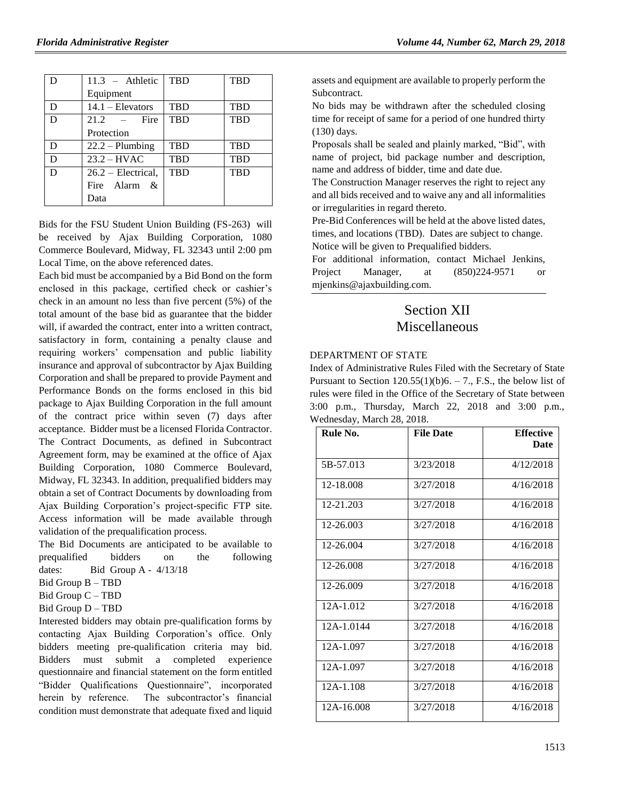|   | $11.3$ – Athletic    | <b>TBD</b> | <b>TBD</b> |
|---|----------------------|------------|------------|
|   | Equipment            |            |            |
| D | $14.1 - Elevators$   | <b>TBD</b> | <b>TBD</b> |
| D | $21.2 -$ Fire        | <b>TBD</b> | <b>TBD</b> |
|   | Protection           |            |            |
| D | $22.2 - Plumbing$    | <b>TBD</b> | <b>TBD</b> |
| D | $23.2 - HVAC$        | <b>TBD</b> | <b>TBD</b> |
| D | $26.2$ – Electrical, | <b>TBD</b> | <b>TBD</b> |
|   | Fire Alarm &         |            |            |
|   | Data                 |            |            |

Bids for the FSU Student Union Building (FS-263) will be received by Ajax Building Corporation, 1080 Commerce Boulevard, Midway, FL 32343 until 2:00 pm Local Time, on the above referenced dates.

Each bid must be accompanied by a Bid Bond on the form enclosed in this package, certified check or cashier's check in an amount no less than five percent (5%) of the total amount of the base bid as guarantee that the bidder will, if awarded the contract, enter into a written contract, satisfactory in form, containing a penalty clause and requiring workers' compensation and public liability insurance and approval of subcontractor by Ajax Building Corporation and shall be prepared to provide Payment and Performance Bonds on the forms enclosed in this bid package to Ajax Building Corporation in the full amount of the contract price within seven (7) days after acceptance. Bidder must be a licensed Florida Contractor. The Contract Documents, as defined in Subcontract Agreement form, may be examined at the office of Ajax Building Corporation, 1080 Commerce Boulevard, Midway, FL 32343. In addition, prequalified bidders may obtain a set of Contract Documents by downloading from Ajax Building Corporation's project-specific FTP site. Access information will be made available through validation of the prequalification process.

The Bid Documents are anticipated to be available to prequalified bidders on the following dates: Bid Group A -  $4/13/18$ 

Bid Group B – TBD

Bid Group C – TBD

Bid Group D – TBD

Interested bidders may obtain pre-qualification forms by contacting Ajax Building Corporation's office. Only bidders meeting pre-qualification criteria may bid. Bidders must submit a completed experience questionnaire and financial statement on the form entitled "Bidder Qualifications Questionnaire", incorporated herein by reference. The subcontractor's financial condition must demonstrate that adequate fixed and liquid

assets and equipment are available to properly perform the Subcontract.

No bids may be withdrawn after the scheduled closing time for receipt of same for a period of one hundred thirty (130) days.

Proposals shall be sealed and plainly marked, "Bid", with name of project, bid package number and description, name and address of bidder, time and date due.

The Construction Manager reserves the right to reject any and all bids received and to waive any and all informalities or irregularities in regard thereto.

Pre-Bid Conferences will be held at the above listed dates, times, and locations (TBD). Dates are subject to change. Notice will be given to Prequalified bidders.

For additional information, contact Michael Jenkins, Project Manager, at (850)224-9571 or [mjenkins@ajaxbuilding.com.](mailto:mjenkins@ajaxbuilding.com)

# Section XII Miscellaneous

#### [DEPARTMENT OF STATE](https://www.flrules.org/gateway/department.asp?id=1)

Index of Administrative Rules Filed with the Secretary of State Pursuant to Section  $120.55(1)(b)6. - 7$ ., F.S., the below list of rules were filed in the Office of the Secretary of State between 3:00 p.m., Thursday, March 22, 2018 and 3:00 p.m., Wednesday, March 28, 2018.

| Rule No.    | <b>File Date</b> | <b>Effective</b> |
|-------------|------------------|------------------|
|             |                  | <b>Date</b>      |
| 5B-57.013   | 3/23/2018        | 4/12/2018        |
| 12-18.008   | 3/27/2018        | 4/16/2018        |
| 12-21.203   | 3/27/2018        | 4/16/2018        |
| 12-26.003   | 3/27/2018        | 4/16/2018        |
| 12-26.004   | 3/27/2018        | 4/16/2018        |
| 12-26.008   | 3/27/2018        | 4/16/2018        |
| 12-26.009   | 3/27/2018        | 4/16/2018        |
| $12A-1.012$ | 3/27/2018        | 4/16/2018        |
| 12A-1.0144  | 3/27/2018        | 4/16/2018        |
| 12A-1.097   | 3/27/2018        | 4/16/2018        |
| 12A-1.097   | 3/27/2018        | 4/16/2018        |
| 12A-1.108   | 3/27/2018        | 4/16/2018        |
| 12A-16.008  | 3/27/2018        | 4/16/2018        |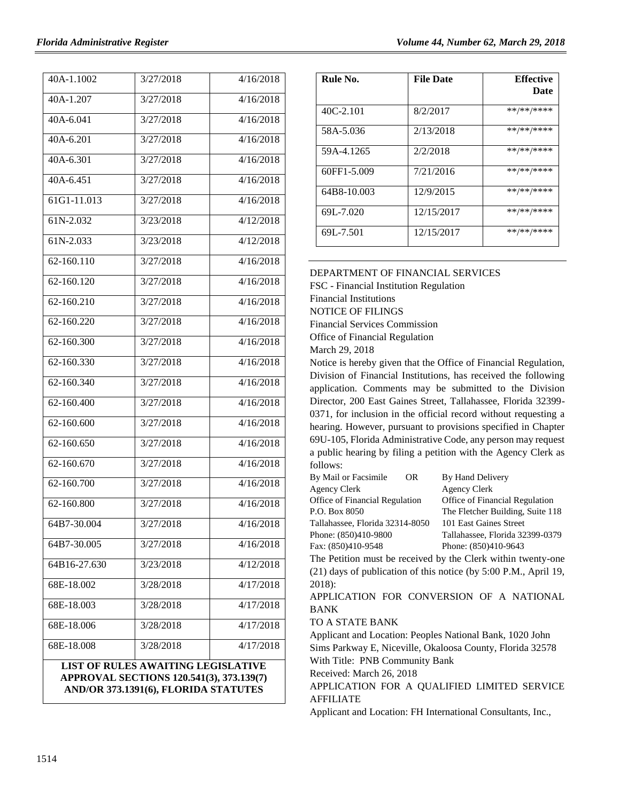| 40A-1.1002                                                                                                                    | 3/27/2018 | 4/16/2018 |
|-------------------------------------------------------------------------------------------------------------------------------|-----------|-----------|
| 40A-1.207                                                                                                                     | 3/27/2018 | 4/16/2018 |
| 40A-6.041                                                                                                                     | 3/27/2018 | 4/16/2018 |
| 40A-6.201                                                                                                                     | 3/27/2018 | 4/16/2018 |
| 40A-6.301                                                                                                                     | 3/27/2018 | 4/16/2018 |
| 40A-6.451                                                                                                                     | 3/27/2018 | 4/16/2018 |
| 61G1-11.013                                                                                                                   | 3/27/2018 | 4/16/2018 |
| 61N-2.032                                                                                                                     | 3/23/2018 | 4/12/2018 |
| 61N-2.033                                                                                                                     | 3/23/2018 | 4/12/2018 |
| 62-160.110                                                                                                                    | 3/27/2018 | 4/16/2018 |
| 62-160.120                                                                                                                    | 3/27/2018 | 4/16/2018 |
| 62-160.210                                                                                                                    | 3/27/2018 | 4/16/2018 |
| 62-160.220                                                                                                                    | 3/27/2018 | 4/16/2018 |
| 62-160.300                                                                                                                    | 3/27/2018 | 4/16/2018 |
| 62-160.330                                                                                                                    | 3/27/2018 | 4/16/2018 |
| 62-160.340                                                                                                                    | 3/27/2018 | 4/16/2018 |
| 62-160.400                                                                                                                    | 3/27/2018 | 4/16/2018 |
| 62-160.600                                                                                                                    | 3/27/2018 | 4/16/2018 |
| 62-160.650                                                                                                                    | 3/27/2018 | 4/16/2018 |
| 62-160.670                                                                                                                    | 3/27/2018 | 4/16/2018 |
| 62-160.700                                                                                                                    | 3/27/2018 | 4/16/2018 |
| 62-160.800                                                                                                                    | 3/27/2018 | 4/16/2018 |
| 64B7-30.004                                                                                                                   | 3/27/2018 | 4/16/2018 |
| 64B7-30.005                                                                                                                   | 3/27/2018 | 4/16/2018 |
| 64B16-27.630                                                                                                                  | 3/23/2018 | 4/12/2018 |
| 68E-18.002                                                                                                                    | 3/28/2018 | 4/17/2018 |
| 68E-18.003                                                                                                                    | 3/28/2018 | 4/17/2018 |
| 68E-18.006                                                                                                                    | 3/28/2018 | 4/17/2018 |
| 68E-18.008                                                                                                                    | 3/28/2018 | 4/17/2018 |
| <b>LIST OF RULES AWAITING LEGISLATIVE</b><br>APPROVAL SECTIONS 120.541(3), 373.139(7)<br>AND/OR 373.1391(6), FLORIDA STATUTES |           |           |

| Rule No.    | <b>File Date</b> | <b>Effective</b><br>Date |
|-------------|------------------|--------------------------|
| $40C-2.101$ | 8/2/2017         | **/**/****               |
| 58A-5.036   | 2/13/2018        | **/**/****               |
| 59A-4.1265  | 2/2/2018         | **/**/****               |
| 60FF1-5.009 | 7/21/2016        | **/**/****               |
| 64B8-10.003 | 12/9/2015        | **/**/****               |
| 69L-7.020   | 12/15/2017       | **/**/****               |
| 69L-7.501   | 12/15/2017       | **/**/****               |

[DEPARTMENT OF FINANCIAL SERVICES](https://www.flrules.org/gateway/department.asp?id=69)

FSC - [Financial Institution Regulation](https://www.flrules.org/gateway/organization.asp?id=523) Financial Institutions NOTICE OF FILINGS

Financial Services Commission

Office of Financial Regulation

March 29, 2018

Notice is hereby given that the Office of Financial Regulation, Division of Financial Institutions, has received the following application. Comments may be submitted to the Division Director, 200 East Gaines Street, Tallahassee, Florida 32399- 0371, for inclusion in the official record without requesting a hearing. However, pursuant to provisions specified in Chapter 69U-105, Florida Administrative Code, any person may request a public hearing by filing a petition with the Agency Clerk as follows:

| By Mail or Facsimile            | OR. | By Hand Delivery                                             |
|---------------------------------|-----|--------------------------------------------------------------|
| Agency Clerk                    |     | <b>Agency Clerk</b>                                          |
| Office of Financial Regulation  |     | Office of Financial Regulation                               |
| P.O. Box 8050                   |     | The Fletcher Building, Suite 118                             |
| Tallahassee, Florida 32314-8050 |     | 101 East Gaines Street                                       |
| Phone: (850)410-9800            |     | Tallahassee, Florida 32399-0379                              |
| Fax: (850)410-9548              |     | Phone: (850)410-9643                                         |
|                                 |     | The Detition must be received by the Clerk within twenty and |

The Petition must be received by the Clerk within twenty-one (21) days of publication of this notice (by 5:00 P.M., April 19, 2018):

APPLICATION FOR CONVERSION OF A NATIONAL BANK

TO A STATE BANK

Applicant and Location: Peoples National Bank, 1020 John Sims Parkway E, Niceville, Okaloosa County, Florida 32578 With Title: PNB Community Bank

Received: March 26, 2018

APPLICATION FOR A QUALIFIED LIMITED SERVICE AFFILIATE

Applicant and Location: FH International Consultants, Inc.,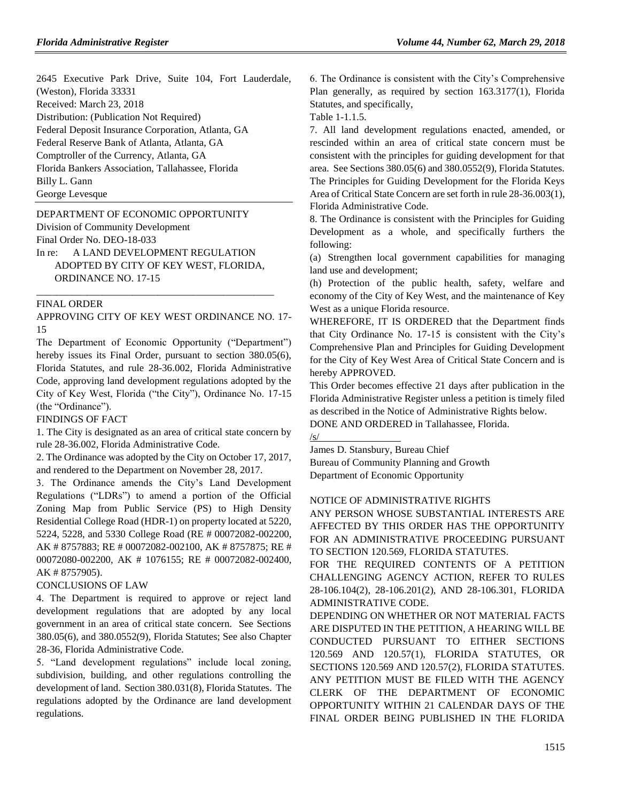2645 Executive Park Drive, Suite 104, Fort Lauderdale, (Weston), Florida 33331 Received: March 23, 2018 Distribution: (Publication Not Required) Federal Deposit Insurance Corporation, Atlanta, GA Federal Reserve Bank of Atlanta, Atlanta, GA Comptroller of the Currency, Atlanta, GA Florida Bankers Association, Tallahassee, Florida Billy L. Gann

George Levesque

#### [DEPARTMENT OF ECONOMIC OPPORTUNITY](https://www.flrules.org/gateway/department.asp?id=73)

[Division of Community Development](https://www.flrules.org/gateway/organization.asp?id=1066)

Final Order No. DEO-18-033

In re: A LAND DEVELOPMENT REGULATION ADOPTED BY CITY OF KEY WEST, FLORIDA, ORDINANCE NO. 17-15

\_\_\_\_\_\_\_\_\_\_\_\_\_\_\_\_\_\_\_\_\_\_\_\_\_\_\_\_\_\_\_\_\_\_\_\_\_\_\_\_\_\_\_\_\_\_\_

#### FINAL ORDER

APPROVING CITY OF KEY WEST ORDINANCE NO. 17- 15

The Department of Economic Opportunity ("Department") hereby issues its Final Order, pursuant to section 380.05(6), Florida Statutes, and rule 28-36.002, Florida Administrative Code, approving land development regulations adopted by the City of Key West, Florida ("the City"), Ordinance No. 17-15 (the "Ordinance").

FINDINGS OF FACT

1. The City is designated as an area of critical state concern by rule 28-36.002, Florida Administrative Code.

2. The Ordinance was adopted by the City on October 17, 2017, and rendered to the Department on November 28, 2017.

3. The Ordinance amends the City's Land Development Regulations ("LDRs") to amend a portion of the Official Zoning Map from Public Service (PS) to High Density Residential College Road (HDR-1) on property located at 5220, 5224, 5228, and 5330 College Road (RE # 00072082-002200, AK # 8757883; RE # 00072082-002100, AK # 8757875; RE # 00072080-002200, AK # 1076155; RE # 00072082-002400, AK # 8757905).

#### CONCLUSIONS OF LAW

4. The Department is required to approve or reject land development regulations that are adopted by any local government in an area of critical state concern. See Sections 380.05(6), and 380.0552(9), Florida Statutes; See also Chapter 28-36, Florida Administrative Code.

5. "Land development regulations" include local zoning, subdivision, building, and other regulations controlling the development of land. Section 380.031(8), Florida Statutes. The regulations adopted by the Ordinance are land development regulations.

6. The Ordinance is consistent with the City's Comprehensive Plan generally, as required by section 163.3177(1), Florida Statutes, and specifically,

Table 1-1.1.5.

/s/

7. All land development regulations enacted, amended, or rescinded within an area of critical state concern must be consistent with the principles for guiding development for that area. See Sections 380.05(6) and 380.0552(9), Florida Statutes. The Principles for Guiding Development for the Florida Keys Area of Critical State Concern are set forth in rule 28-36.003(1), Florida Administrative Code.

8. The Ordinance is consistent with the Principles for Guiding Development as a whole, and specifically furthers the following:

(a) Strengthen local government capabilities for managing land use and development;

(h) Protection of the public health, safety, welfare and economy of the City of Key West, and the maintenance of Key West as a unique Florida resource.

WHEREFORE, IT IS ORDERED that the Department finds that City Ordinance No. 17-15 is consistent with the City's Comprehensive Plan and Principles for Guiding Development for the City of Key West Area of Critical State Concern and is hereby APPROVED.

This Order becomes effective 21 days after publication in the Florida Administrative Register unless a petition is timely filed as described in the Notice of Administrative Rights below. DONE AND ORDERED in Tallahassee, Florida.

James D. Stansbury, Bureau Chief Bureau of Community Planning and Growth Department of Economic Opportunity

#### NOTICE OF ADMINISTRATIVE RIGHTS

ANY PERSON WHOSE SUBSTANTIAL INTERESTS ARE AFFECTED BY THIS ORDER HAS THE OPPORTUNITY FOR AN ADMINISTRATIVE PROCEEDING PURSUANT TO SECTION 120.569, FLORIDA STATUTES.

FOR THE REQUIRED CONTENTS OF A PETITION CHALLENGING AGENCY ACTION, REFER TO RULES 28-106.104(2), 28-106.201(2), AND 28-106.301, FLORIDA ADMINISTRATIVE CODE.

DEPENDING ON WHETHER OR NOT MATERIAL FACTS ARE DISPUTED IN THE PETITION, A HEARING WILL BE CONDUCTED PURSUANT TO EITHER SECTIONS 120.569 AND 120.57(1), FLORIDA STATUTES, OR SECTIONS 120.569 AND 120.57(2), FLORIDA STATUTES. ANY PETITION MUST BE FILED WITH THE AGENCY CLERK OF THE DEPARTMENT OF ECONOMIC OPPORTUNITY WITHIN 21 CALENDAR DAYS OF THE FINAL ORDER BEING PUBLISHED IN THE FLORIDA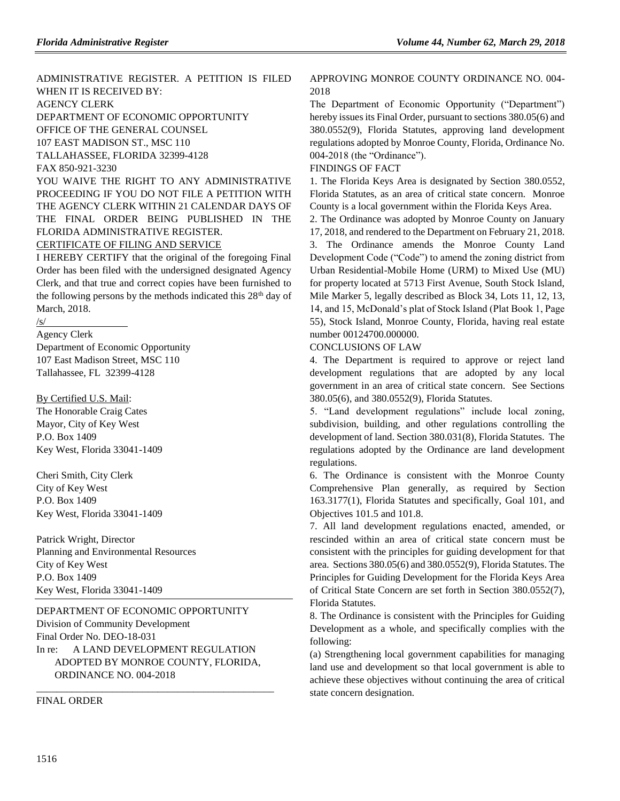ADMINISTRATIVE REGISTER. A PETITION IS FILED WHEN IT IS RECEIVED BY: AGENCY CLERK DEPARTMENT OF ECONOMIC OPPORTUNITY OFFICE OF THE GENERAL COUNSEL 107 EAST MADISON ST., MSC 110 TALLAHASSEE, FLORIDA 32399-4128 FAX 850-921-3230 YOU WAIVE THE RIGHT TO ANY ADMINISTRATIVE PROCEEDING IF YOU DO NOT FILE A PETITION WITH THE AGENCY CLERK WITHIN 21 CALENDAR DAYS OF THE FINAL ORDER BEING PUBLISHED IN THE

FLORIDA ADMINISTRATIVE REGISTER.

## CERTIFICATE OF FILING AND SERVICE

I HEREBY CERTIFY that the original of the foregoing Final Order has been filed with the undersigned designated Agency Clerk, and that true and correct copies have been furnished to the following persons by the methods indicated this  $28<sup>th</sup>$  day of March, 2018.

#### /s/

Agency Clerk

Department of Economic Opportunity 107 East Madison Street, MSC 110 Tallahassee, FL 32399-4128

By Certified U.S. Mail:

The Honorable Craig Cates Mayor, City of Key West P.O. Box 1409 Key West, Florida 33041-1409

Cheri Smith, City Clerk City of Key West P.O. Box 1409 Key West, Florida 33041-1409

Patrick Wright, Director Planning and Environmental Resources City of Key West P.O. Box 1409 Key West, Florida 33041-1409

#### [DEPARTMENT OF ECONOMIC OPPORTUNITY](https://www.flrules.org/gateway/department.asp?id=73)

[Division of Community Development](https://www.flrules.org/gateway/organization.asp?id=1066) Final Order No. DEO-18-031 In re: A LAND DEVELOPMENT REGULATION ADOPTED BY MONROE COUNTY, FLORIDA, ORDINANCE NO. 004-2018

\_\_\_\_\_\_\_\_\_\_\_\_\_\_\_\_\_\_\_\_\_\_\_\_\_\_\_\_\_\_\_\_\_\_\_\_\_\_\_\_\_\_\_\_\_\_\_

FINAL ORDER

## APPROVING MONROE COUNTY ORDINANCE NO. 004- 2018

The Department of Economic Opportunity ("Department") hereby issues its Final Order, pursuant to sections 380.05(6) and 380.0552(9), Florida Statutes, approving land development regulations adopted by Monroe County, Florida, Ordinance No. 004-2018 (the "Ordinance").

#### FINDINGS OF FACT

1. The Florida Keys Area is designated by Section 380.0552, Florida Statutes, as an area of critical state concern. Monroe County is a local government within the Florida Keys Area.

2. The Ordinance was adopted by Monroe County on January 17, 2018, and rendered to the Department on February 21, 2018.

3. The Ordinance amends the Monroe County Land Development Code ("Code") to amend the zoning district from Urban Residential-Mobile Home (URM) to Mixed Use (MU) for property located at 5713 First Avenue, South Stock Island, Mile Marker 5, legally described as Block 34, Lots 11, 12, 13, 14, and 15, McDonald's plat of Stock Island (Plat Book 1, Page 55), Stock Island, Monroe County, Florida, having real estate number 00124700.000000.

#### CONCLUSIONS OF LAW

4. The Department is required to approve or reject land development regulations that are adopted by any local government in an area of critical state concern. See Sections 380.05(6), and 380.0552(9), Florida Statutes.

5. "Land development regulations" include local zoning, subdivision, building, and other regulations controlling the development of land. Section 380.031(8), Florida Statutes. The regulations adopted by the Ordinance are land development regulations.

6. The Ordinance is consistent with the Monroe County Comprehensive Plan generally, as required by Section 163.3177(1), Florida Statutes and specifically, Goal 101, and Objectives 101.5 and 101.8.

7. All land development regulations enacted, amended, or rescinded within an area of critical state concern must be consistent with the principles for guiding development for that area. Sections 380.05(6) and 380.0552(9), Florida Statutes. The Principles for Guiding Development for the Florida Keys Area of Critical State Concern are set forth in Section 380.0552(7), Florida Statutes.

8. The Ordinance is consistent with the Principles for Guiding Development as a whole, and specifically complies with the following:

(a) Strengthening local government capabilities for managing land use and development so that local government is able to achieve these objectives without continuing the area of critical state concern designation.